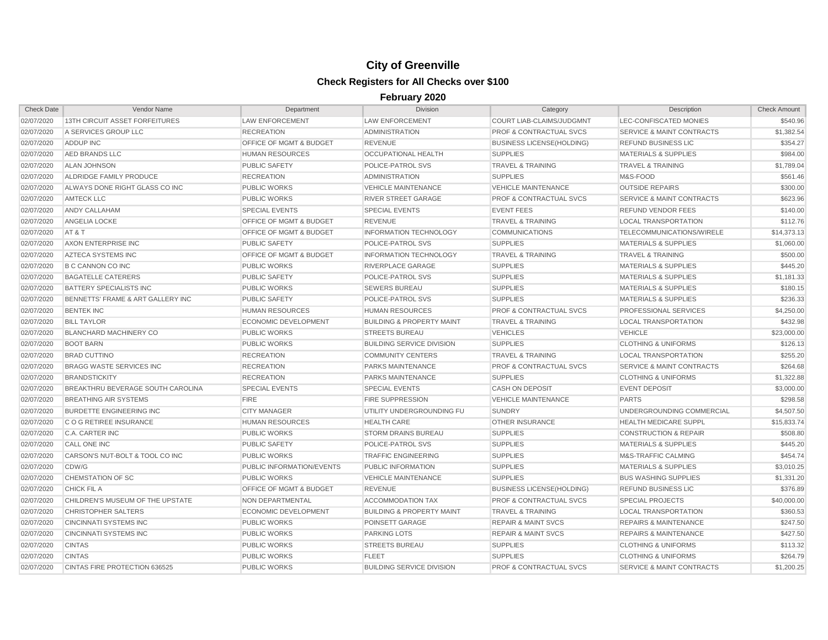| <b>Check Date</b> | Vendor Name                              | Department                         | <b>Division</b>                      | Category                           | Description                          | <b>Check Amount</b> |
|-------------------|------------------------------------------|------------------------------------|--------------------------------------|------------------------------------|--------------------------------------|---------------------|
| 02/07/2020        | 13TH CIRCUIT ASSET FORFEITURES           | <b>LAW ENFORCEMENT</b>             | <b>LAW ENFORCEMENT</b>               | COURT LIAB-CLAIMS/JUDGMNT          | <b>LEC-CONFISCATED MONIES</b>        | \$540.96            |
| 02/07/2020        | A SERVICES GROUP LLC                     | <b>RECREATION</b>                  | <b>ADMINISTRATION</b>                | <b>PROF &amp; CONTRACTUAL SVCS</b> | <b>SERVICE &amp; MAINT CONTRACTS</b> | \$1,382.54          |
| 02/07/2020        | <b>ADDUP INC</b>                         | <b>OFFICE OF MGMT &amp; BUDGET</b> | <b>REVENUE</b>                       | <b>BUSINESS LICENSE(HOLDING)</b>   | <b>REFUND BUSINESS LIC</b>           | \$354.27            |
| 02/07/2020        | AED BRANDS LLC                           | <b>HUMAN RESOURCES</b>             | <b>OCCUPATIONAL HEALTH</b>           | <b>SUPPLIES</b>                    | <b>MATERIALS &amp; SUPPLIES</b>      | \$984.00            |
| 02/07/2020        | ALAN JOHNSON                             | <b>PUBLIC SAFETY</b>               | POLICE-PATROL SVS                    | <b>TRAVEL &amp; TRAINING</b>       | <b>TRAVEL &amp; TRAINING</b>         | \$1,789.04          |
| 02/07/2020        | ALDRIDGE FAMILY PRODUCE                  | <b>RECREATION</b>                  | <b>ADMINISTRATION</b>                | <b>SUPPLIES</b>                    | M&S-FOOD                             | \$561.46            |
| 02/07/2020        | ALWAYS DONE RIGHT GLASS CO INC           | <b>PUBLIC WORKS</b>                | <b>VEHICLE MAINTENANCE</b>           | <b>VEHICLE MAINTENANCE</b>         | <b>OUTSIDE REPAIRS</b>               | \$300.00            |
| 02/07/2020        | <b>AMTECK LLC</b>                        | <b>PUBLIC WORKS</b>                | <b>RIVER STREET GARAGE</b>           | <b>PROF &amp; CONTRACTUAL SVCS</b> | <b>SERVICE &amp; MAINT CONTRACTS</b> | \$623.96            |
| 02/07/2020        | ANDY CALLAHAM                            | <b>SPECIAL EVENTS</b>              | <b>SPECIAL EVENTS</b>                | <b>EVENT FEES</b>                  | <b>REFUND VENDOR FEES</b>            | \$140.00            |
| 02/07/2020        | <b>ANGELIA LOCKE</b>                     | OFFICE OF MGMT & BUDGET            | <b>REVENUE</b>                       | <b>TRAVEL &amp; TRAINING</b>       | <b>LOCAL TRANSPORTATION</b>          | \$112.76            |
| 02/07/2020        | AT&T                                     | OFFICE OF MGMT & BUDGET            | <b>INFORMATION TECHNOLOGY</b>        | <b>COMMUNICATIONS</b>              | TELECOMMUNICATIONS/WIRELE            | \$14,373.13         |
| 02/07/2020        | AXON ENTERPRISE INC                      | <b>PUBLIC SAFETY</b>               | POLICE-PATROL SVS                    | <b>SUPPLIES</b>                    | <b>MATERIALS &amp; SUPPLIES</b>      | \$1,060.00          |
| 02/07/2020        | AZTECA SYSTEMS INC                       | OFFICE OF MGMT & BUDGET            | <b>INFORMATION TECHNOLOGY</b>        | <b>TRAVEL &amp; TRAINING</b>       | <b>TRAVEL &amp; TRAINING</b>         | \$500.00            |
| 02/07/2020        | <b>B C CANNON CO INC</b>                 | <b>PUBLIC WORKS</b>                | <b>RIVERPLACE GARAGE</b>             | <b>SUPPLIES</b>                    | <b>MATERIALS &amp; SUPPLIES</b>      | \$445.20            |
| 02/07/2020        | <b>BAGATELLE CATERERS</b>                | <b>PUBLIC SAFETY</b>               | POLICE-PATROL SVS                    | <b>SUPPLIES</b>                    | <b>MATERIALS &amp; SUPPLIES</b>      | \$1,181.33          |
| 02/07/2020        | <b>BATTERY SPECIALISTS INC</b>           | <b>PUBLIC WORKS</b>                | <b>SEWERS BUREAU</b>                 | <b>SUPPLIES</b>                    | <b>MATERIALS &amp; SUPPLIES</b>      | \$180.15            |
| 02/07/2020        | BENNETTS' FRAME & ART GALLERY INC        | <b>PUBLIC SAFETY</b>               | POLICE-PATROL SVS                    | <b>SUPPLIES</b>                    | <b>MATERIALS &amp; SUPPLIES</b>      | \$236.33            |
| 02/07/2020        | <b>BENTEK INC</b>                        | <b>HUMAN RESOURCES</b>             | <b>HUMAN RESOURCES</b>               | <b>PROF &amp; CONTRACTUAL SVCS</b> | <b>PROFESSIONAL SERVICES</b>         | \$4,250.00          |
| 02/07/2020        | <b>BILL TAYLOR</b>                       | <b>ECONOMIC DEVELOPMENT</b>        | <b>BUILDING &amp; PROPERTY MAINT</b> | <b>TRAVEL &amp; TRAINING</b>       | <b>LOCAL TRANSPORTATION</b>          | \$432.98            |
| 02/07/2020        | <b>BLANCHARD MACHINERY CO</b>            | <b>PUBLIC WORKS</b>                | <b>STREETS BUREAU</b>                | <b>VEHICLES</b>                    | <b>VEHICLE</b>                       | \$23,000.00         |
| 02/07/2020        | <b>BOOT BARN</b>                         | <b>PUBLIC WORKS</b>                | <b>BUILDING SERVICE DIVISION</b>     | <b>SUPPLIES</b>                    | <b>CLOTHING &amp; UNIFORMS</b>       | \$126.13            |
| 02/07/2020        | <b>BRAD CUTTINO</b>                      | <b>RECREATION</b>                  | <b>COMMUNITY CENTERS</b>             | <b>TRAVEL &amp; TRAINING</b>       | <b>LOCAL TRANSPORTATION</b>          | \$255.20            |
| 02/07/2020        | <b>BRAGG WASTE SERVICES INC</b>          | <b>RECREATION</b>                  | PARKS MAINTENANCE                    | <b>PROF &amp; CONTRACTUAL SVCS</b> | <b>SERVICE &amp; MAINT CONTRACTS</b> | \$264.68            |
| 02/07/2020        | <b>BRANDSTICKITY</b>                     | <b>RECREATION</b>                  | PARKS MAINTENANCE                    | <b>SUPPLIES</b>                    | <b>CLOTHING &amp; UNIFORMS</b>       | \$1,322.88          |
| 02/07/2020        | <b>BREAKTHRU BEVERAGE SOUTH CAROLINA</b> | <b>SPECIAL EVENTS</b>              | <b>SPECIAL EVENTS</b>                | <b>CASH ON DEPOSIT</b>             | <b>EVENT DEPOSIT</b>                 | \$3,000.00          |
| 02/07/2020        | <b>BREATHING AIR SYSTEMS</b>             | <b>FIRE</b>                        | <b>FIRE SUPPRESSION</b>              | <b>VEHICLE MAINTENANCE</b>         | <b>PARTS</b>                         | \$298.58            |
| 02/07/2020        | <b>BURDETTE ENGINEERING INC</b>          | <b>CITY MANAGER</b>                | UTILITY UNDERGROUNDING FU            | <b>SUNDRY</b>                      | UNDERGROUNDING COMMERCIAL            | \$4,507.50          |
| 02/07/2020        | C O G RETIREE INSURANCE                  | <b>HUMAN RESOURCES</b>             | <b>HEALTH CARE</b>                   | <b>OTHER INSURANCE</b>             | <b>HEALTH MEDICARE SUPPL</b>         | \$15,833.74         |
| 02/07/2020        | C.A. CARTER INC                          | <b>PUBLIC WORKS</b>                | <b>STORM DRAINS BUREAU</b>           | <b>SUPPLIES</b>                    | <b>CONSTRUCTION &amp; REPAIR</b>     | \$508.80            |
| 02/07/2020        | <b>CALL ONE INC</b>                      | <b>PUBLIC SAFETY</b>               | POLICE-PATROL SVS                    | <b>SUPPLIES</b>                    | <b>MATERIALS &amp; SUPPLIES</b>      | \$445.20            |
| 02/07/2020        | CARSON'S NUT-BOLT & TOOL CO INC          | <b>PUBLIC WORKS</b>                | <b>TRAFFIC ENGINEERING</b>           | <b>SUPPLIES</b>                    | M&S-TRAFFIC CALMING                  | \$454.74            |
| 02/07/2020        | CDW/G                                    | PUBLIC INFORMATION/EVENTS          | PUBLIC INFORMATION                   | <b>SUPPLIES</b>                    | <b>MATERIALS &amp; SUPPLIES</b>      | \$3,010.25          |
| 02/07/2020        | CHEMSTATION OF SC                        | <b>PUBLIC WORKS</b>                | <b>VEHICLE MAINTENANCE</b>           | <b>SUPPLIES</b>                    | <b>BUS WASHING SUPPLIES</b>          | \$1,331.20          |
| 02/07/2020        | CHICK FIL A                              | OFFICE OF MGMT & BUDGET            | <b>REVENUE</b>                       | <b>BUSINESS LICENSE(HOLDING)</b>   | <b>REFUND BUSINESS LIC</b>           | \$376.89            |
| 02/07/2020        | CHILDREN'S MUSEUM OF THE UPSTATE         | <b>NON DEPARTMENTAL</b>            | <b>ACCOMMODATION TAX</b>             | <b>PROF &amp; CONTRACTUAL SVCS</b> | <b>SPECIAL PROJECTS</b>              | \$40,000.00         |
| 02/07/2020        | <b>CHRISTOPHER SALTERS</b>               | <b>ECONOMIC DEVELOPMENT</b>        | <b>BUILDING &amp; PROPERTY MAINT</b> | <b>TRAVEL &amp; TRAINING</b>       | <b>LOCAL TRANSPORTATION</b>          | \$360.53            |
| 02/07/2020        | <b>CINCINNATI SYSTEMS INC</b>            | <b>PUBLIC WORKS</b>                | POINSETT GARAGE                      | <b>REPAIR &amp; MAINT SVCS</b>     | <b>REPAIRS &amp; MAINTENANCE</b>     | \$247.50            |
| 02/07/2020        | <b>CINCINNATI SYSTEMS INC</b>            | <b>PUBLIC WORKS</b>                | <b>PARKING LOTS</b>                  | <b>REPAIR &amp; MAINT SVCS</b>     | <b>REPAIRS &amp; MAINTENANCE</b>     | \$427.50            |
| 02/07/2020        | <b>CINTAS</b>                            | <b>PUBLIC WORKS</b>                | <b>STREETS BUREAU</b>                | <b>SUPPLIES</b>                    | <b>CLOTHING &amp; UNIFORMS</b>       | \$113.32            |
| 02/07/2020        | <b>CINTAS</b>                            | <b>PUBLIC WORKS</b>                | <b>FLEET</b>                         | <b>SUPPLIES</b>                    | <b>CLOTHING &amp; UNIFORMS</b>       | \$264.79            |
| 02/07/2020        | CINTAS FIRE PROTECTION 636525            | <b>PUBLIC WORKS</b>                | <b>BUILDING SERVICE DIVISION</b>     | <b>PROF &amp; CONTRACTUAL SVCS</b> | <b>SERVICE &amp; MAINT CONTRACTS</b> | \$1,200.25          |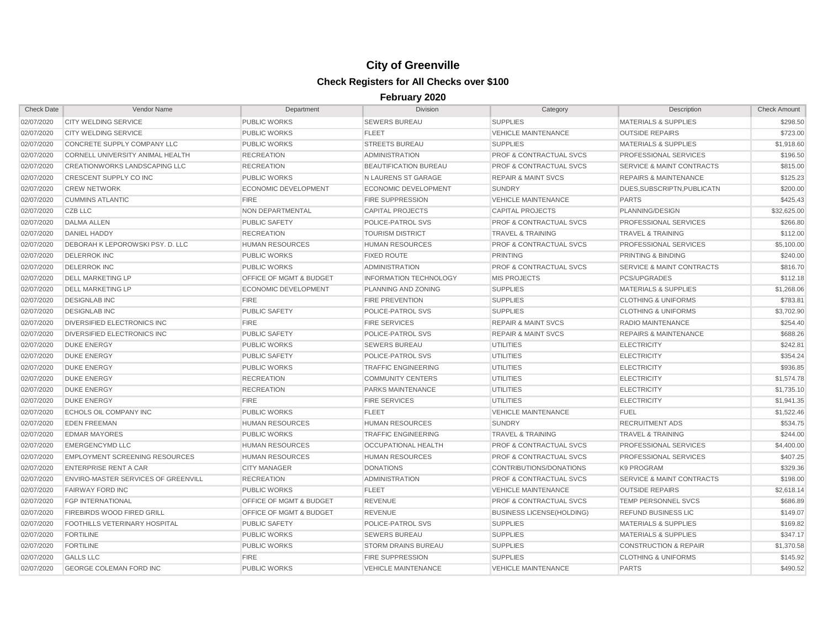| <b>Check Date</b> | Vendor Name                           | Department                         | <b>Division</b>               | Category                           | Description                          | <b>Check Amount</b> |
|-------------------|---------------------------------------|------------------------------------|-------------------------------|------------------------------------|--------------------------------------|---------------------|
| 02/07/2020        | <b>CITY WELDING SERVICE</b>           | <b>PUBLIC WORKS</b>                | <b>SEWERS BUREAU</b>          | <b>SUPPLIES</b>                    | <b>MATERIALS &amp; SUPPLIES</b>      | \$298.50            |
| 02/07/2020        | <b>CITY WELDING SERVICE</b>           | <b>PUBLIC WORKS</b>                | <b>FLEET</b>                  | <b>VEHICLE MAINTENANCE</b>         | <b>OUTSIDE REPAIRS</b>               | \$723.00            |
| 02/07/2020        | CONCRETE SUPPLY COMPANY LLC           | <b>PUBLIC WORKS</b>                | <b>STREETS BUREAU</b>         | <b>SUPPLIES</b>                    | <b>MATERIALS &amp; SUPPLIES</b>      | \$1,918.60          |
| 02/07/2020        | CORNELL UNIVERSITY ANIMAL HEALTH      | <b>RECREATION</b>                  | <b>ADMINISTRATION</b>         | <b>PROF &amp; CONTRACTUAL SVCS</b> | PROFESSIONAL SERVICES                | \$196.50            |
| 02/07/2020        | CREATIONWORKS LANDSCAPING LLC         | <b>RECREATION</b>                  | BEAUTIFICATION BUREAU         | <b>PROF &amp; CONTRACTUAL SVCS</b> | SERVICE & MAINT CONTRACTS            | \$815.00            |
| 02/07/2020        | CRESCENT SUPPLY CO INC                | <b>PUBLIC WORKS</b>                | N LAURENS ST GARAGE           | <b>REPAIR &amp; MAINT SVCS</b>     | <b>REPAIRS &amp; MAINTENANCE</b>     | \$125.23            |
| 02/07/2020        | <b>CREW NETWORK</b>                   | <b>ECONOMIC DEVELOPMENT</b>        | <b>ECONOMIC DEVELOPMENT</b>   | <b>SUNDRY</b>                      | DUES, SUBSCRIPTN, PUBLICATN          | \$200.00            |
| 02/07/2020        | <b>CUMMINS ATLANTIC</b>               | <b>FIRE</b>                        | <b>FIRE SUPPRESSION</b>       | <b>VEHICLE MAINTENANCE</b>         | <b>PARTS</b>                         | \$425.43            |
| 02/07/2020        | CZB LLC                               | NON DEPARTMENTAL                   | <b>CAPITAL PROJECTS</b>       | <b>CAPITAL PROJECTS</b>            | PLANNING/DESIGN                      | \$32,625.00         |
| 02/07/2020        | <b>DALMA ALLEN</b>                    | <b>PUBLIC SAFETY</b>               | POLICE-PATROL SVS             | PROF & CONTRACTUAL SVCS            | PROFESSIONAL SERVICES                | \$266.80            |
| 02/07/2020        | <b>DANIEL HADDY</b>                   | <b>RECREATION</b>                  | <b>TOURISM DISTRICT</b>       | <b>TRAVEL &amp; TRAINING</b>       | <b>TRAVEL &amp; TRAINING</b>         | \$112.00            |
| 02/07/2020        | DEBORAH K LEPOROWSKI PSY, D. LLC      | <b>HUMAN RESOURCES</b>             | <b>HUMAN RESOURCES</b>        | <b>PROF &amp; CONTRACTUAL SVCS</b> | PROFESSIONAL SERVICES                | \$5,100.00          |
| 02/07/2020        | <b>DELERROK INC</b>                   | <b>PUBLIC WORKS</b>                | <b>FIXED ROUTE</b>            | <b>PRINTING</b>                    | PRINTING & BINDING                   | \$240.00            |
| 02/07/2020        | <b>DELERROK INC</b>                   | <b>PUBLIC WORKS</b>                | <b>ADMINISTRATION</b>         | <b>PROF &amp; CONTRACTUAL SVCS</b> | SERVICE & MAINT CONTRACTS            | \$816.70            |
| 02/07/2020        | <b>DELL MARKETING LP</b>              | OFFICE OF MGMT & BUDGET            | <b>INFORMATION TECHNOLOGY</b> | <b>MIS PROJECTS</b>                | PCS/UPGRADES                         | \$112.18            |
| 02/07/2020        | <b>DELL MARKETING LP</b>              | <b>ECONOMIC DEVELOPMENT</b>        | PLANNING AND ZONING           | <b>SUPPLIES</b>                    | <b>MATERIALS &amp; SUPPLIES</b>      | \$1,268.06          |
| 02/07/2020        | <b>DESIGNLAB INC</b>                  | <b>FIRE</b>                        | <b>FIRE PREVENTION</b>        | <b>SUPPLIES</b>                    | <b>CLOTHING &amp; UNIFORMS</b>       | \$783.81            |
| 02/07/2020        | <b>DESIGNLAB INC</b>                  | <b>PUBLIC SAFETY</b>               | POLICE-PATROL SVS             | <b>SUPPLIES</b>                    | <b>CLOTHING &amp; UNIFORMS</b>       | \$3,702.90          |
| 02/07/2020        | <b>DIVERSIFIED ELECTRONICS INC</b>    | <b>FIRE</b>                        | <b>FIRE SERVICES</b>          | <b>REPAIR &amp; MAINT SVCS</b>     | <b>RADIO MAINTENANCE</b>             | \$254.40            |
| 02/07/2020        | <b>DIVERSIFIED ELECTRONICS INC</b>    | <b>PUBLIC SAFETY</b>               | POLICE-PATROL SVS             | <b>REPAIR &amp; MAINT SVCS</b>     | <b>REPAIRS &amp; MAINTENANCE</b>     | \$688.26            |
| 02/07/2020        | <b>DUKE ENERGY</b>                    | <b>PUBLIC WORKS</b>                | <b>SEWERS BUREAU</b>          | <b>UTILITIES</b>                   | <b>ELECTRICITY</b>                   | \$242.81            |
| 02/07/2020        | <b>DUKE ENERGY</b>                    | <b>PUBLIC SAFETY</b>               | POLICE-PATROL SVS             | <b>UTILITIES</b>                   | <b>ELECTRICITY</b>                   | \$354.24            |
| 02/07/2020        | <b>DUKE ENERGY</b>                    | <b>PUBLIC WORKS</b>                | <b>TRAFFIC ENGINEERING</b>    | <b>UTILITIES</b>                   | <b>ELECTRICITY</b>                   | \$936.85            |
| 02/07/2020        | <b>DUKE ENERGY</b>                    | <b>RECREATION</b>                  | <b>COMMUNITY CENTERS</b>      | <b>UTILITIES</b>                   | <b>ELECTRICITY</b>                   | \$1,574.78          |
| 02/07/2020        | <b>DUKE ENERGY</b>                    | <b>RECREATION</b>                  | PARKS MAINTENANCE             | <b>UTILITIES</b>                   | <b>ELECTRICITY</b>                   | \$1,735.10          |
| 02/07/2020        | <b>DUKE ENERGY</b>                    | <b>FIRE</b>                        | <b>FIRE SERVICES</b>          | <b>UTILITIES</b>                   | <b>ELECTRICITY</b>                   | \$1,941.35          |
| 02/07/2020        | ECHOLS OIL COMPANY INC                | <b>PUBLIC WORKS</b>                | <b>FLEET</b>                  | <b>VEHICLE MAINTENANCE</b>         | <b>FUEL</b>                          | \$1,522.46          |
| 02/07/2020        | <b>EDEN FREEMAN</b>                   | <b>HUMAN RESOURCES</b>             | <b>HUMAN RESOURCES</b>        | <b>SUNDRY</b>                      | <b>RECRUITMENT ADS</b>               | \$534.75            |
| 02/07/2020        | <b>EDMAR MAYORES</b>                  | <b>PUBLIC WORKS</b>                | <b>TRAFFIC ENGINEERING</b>    | <b>TRAVEL &amp; TRAINING</b>       | <b>TRAVEL &amp; TRAINING</b>         | \$244.00            |
| 02/07/2020        | <b>EMERGENCYMD LLC</b>                | <b>HUMAN RESOURCES</b>             | <b>OCCUPATIONAL HEALTH</b>    | <b>PROF &amp; CONTRACTUAL SVCS</b> | PROFESSIONAL SERVICES                | \$4,400.00          |
| 02/07/2020        | <b>EMPLOYMENT SCREENING RESOURCES</b> | <b>HUMAN RESOURCES</b>             | <b>HUMAN RESOURCES</b>        | <b>PROF &amp; CONTRACTUAL SVCS</b> | PROFESSIONAL SERVICES                | \$407.25            |
| 02/07/2020        | <b>ENTERPRISE RENT A CAR</b>          | <b>CITY MANAGER</b>                | <b>DONATIONS</b>              | CONTRIBUTIONS/DONATIONS            | K9 PROGRAM                           | \$329.36            |
| 02/07/2020        | ENVIRO-MASTER SERVICES OF GREENVILL   | <b>RECREATION</b>                  | <b>ADMINISTRATION</b>         | <b>PROF &amp; CONTRACTUAL SVCS</b> | <b>SERVICE &amp; MAINT CONTRACTS</b> | \$198.00            |
| 02/07/2020        | <b>FAIRWAY FORD INC</b>               | <b>PUBLIC WORKS</b>                | <b>FLEET</b>                  | <b>VEHICLE MAINTENANCE</b>         | <b>OUTSIDE REPAIRS</b>               | \$2,618.14          |
| 02/07/2020        | <b>FGP INTERNATIONAL</b>              | <b>OFFICE OF MGMT &amp; BUDGET</b> | <b>REVENUE</b>                | PROF & CONTRACTUAL SVCS            | <b>TEMP PERSONNEL SVCS</b>           | \$686.89            |
| 02/07/2020        | FIREBIRDS WOOD FIRED GRILL            | <b>OFFICE OF MGMT &amp; BUDGET</b> | <b>REVENUE</b>                | <b>BUSINESS LICENSE(HOLDING)</b>   | <b>REFUND BUSINESS LIC</b>           | \$149.07            |
| 02/07/2020        | <b>FOOTHILLS VETERINARY HOSPITAL</b>  | <b>PUBLIC SAFETY</b>               | POLICE-PATROL SVS             | <b>SUPPLIES</b>                    | <b>MATERIALS &amp; SUPPLIES</b>      | \$169.82            |
| 02/07/2020        | <b>FORTILINE</b>                      | <b>PUBLIC WORKS</b>                | <b>SEWERS BUREAU</b>          | <b>SUPPLIES</b>                    | <b>MATERIALS &amp; SUPPLIES</b>      | \$347.17            |
| 02/07/2020        | <b>FORTILINE</b>                      | <b>PUBLIC WORKS</b>                | <b>STORM DRAINS BUREAU</b>    | <b>SUPPLIES</b>                    | <b>CONSTRUCTION &amp; REPAIR</b>     | \$1,370.58          |
| 02/07/2020        | <b>GALLS LLC</b>                      | <b>FIRE</b>                        | <b>FIRE SUPPRESSION</b>       | <b>SUPPLIES</b>                    | <b>CLOTHING &amp; UNIFORMS</b>       | \$145.92            |
| 02/07/2020        | <b>GEORGE COLEMAN FORD INC</b>        | <b>PUBLIC WORKS</b>                | <b>VEHICLE MAINTENANCE</b>    | <b>VEHICLE MAINTENANCE</b>         | <b>PARTS</b>                         | \$490.52            |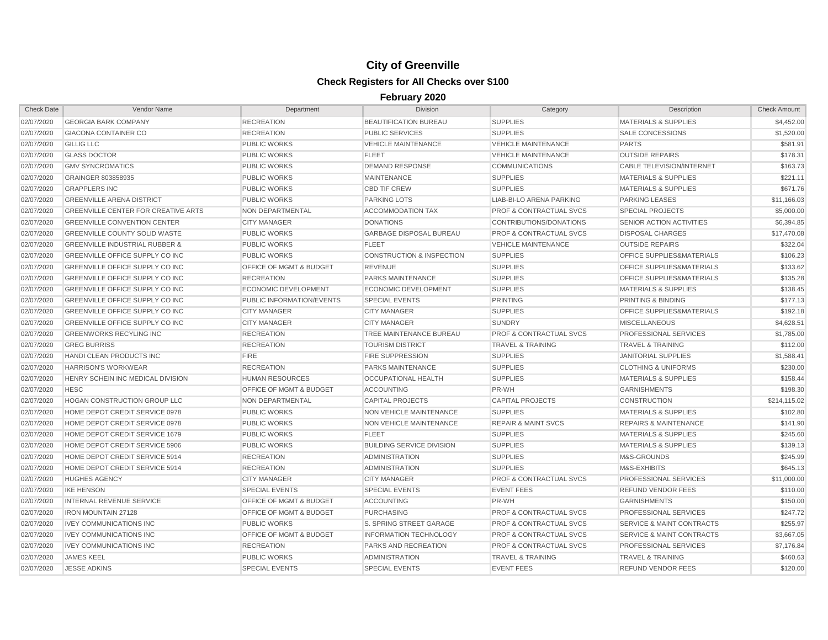| <b>Check Date</b> | Vendor Name                                | Department                         | <b>Division</b>                      | Category                           | Description                          | <b>Check Amount</b> |
|-------------------|--------------------------------------------|------------------------------------|--------------------------------------|------------------------------------|--------------------------------------|---------------------|
| 02/07/2020        | <b>GEORGIA BARK COMPANY</b>                | <b>RECREATION</b>                  | <b>BEAUTIFICATION BUREAU</b>         | <b>SUPPLIES</b>                    | <b>MATERIALS &amp; SUPPLIES</b>      | \$4,452.00          |
| 02/07/2020        | <b>GIACONA CONTAINER CO</b>                | <b>RECREATION</b>                  | <b>PUBLIC SERVICES</b>               | <b>SUPPLIES</b>                    | <b>SALE CONCESSIONS</b>              | \$1,520.00          |
| 02/07/2020        | <b>GILLIG LLC</b>                          | <b>PUBLIC WORKS</b>                | <b>VEHICLE MAINTENANCE</b>           | <b>VEHICLE MAINTENANCE</b>         | <b>PARTS</b>                         | \$581.91            |
| 02/07/2020        | <b>GLASS DOCTOR</b>                        | <b>PUBLIC WORKS</b>                | <b>FLEET</b>                         | <b>VEHICLE MAINTENANCE</b>         | <b>OUTSIDE REPAIRS</b>               | \$178.31            |
| 02/07/2020        | <b>GMV SYNCROMATICS</b>                    | <b>PUBLIC WORKS</b>                | <b>DEMAND RESPONSE</b>               | <b>COMMUNICATIONS</b>              | CABLE TELEVISION/INTERNET            | \$163.73            |
| 02/07/2020        | GRAINGER 803858935                         | <b>PUBLIC WORKS</b>                | <b>MAINTENANCE</b>                   | <b>SUPPLIES</b>                    | <b>MATERIALS &amp; SUPPLIES</b>      | \$221.11            |
| 02/07/2020        | <b>GRAPPLERS INC</b>                       | <b>PUBLIC WORKS</b>                | <b>CBD TIF CREW</b>                  | <b>SUPPLIES</b>                    | <b>MATERIALS &amp; SUPPLIES</b>      | \$671.76            |
| 02/07/2020        | <b>GREENVILLE ARENA DISTRICT</b>           | <b>PUBLIC WORKS</b>                | <b>PARKING LOTS</b>                  | LIAB-BI-LO ARENA PARKING           | <b>PARKING LEASES</b>                | \$11,166.03         |
| 02/07/2020        | <b>GREENVILLE CENTER FOR CREATIVE ARTS</b> | NON DEPARTMENTAL                   | <b>ACCOMMODATION TAX</b>             | <b>PROF &amp; CONTRACTUAL SVCS</b> | <b>SPECIAL PROJECTS</b>              | \$5,000.00          |
| 02/07/2020        | <b>GREENVILLE CONVENTION CENTER</b>        | <b>CITY MANAGER</b>                | <b>DONATIONS</b>                     | CONTRIBUTIONS/DONATIONS            | SENIOR ACTION ACTIVITIES             | \$6,394.85          |
| 02/07/2020        | <b>GREENVILLE COUNTY SOLID WASTE</b>       | <b>PUBLIC WORKS</b>                | <b>GARBAGE DISPOSAL BUREAU</b>       | <b>PROF &amp; CONTRACTUAL SVCS</b> | <b>DISPOSAL CHARGES</b>              | \$17,470.08         |
| 02/07/2020        | <b>GREENVILLE INDUSTRIAL RUBBER &amp;</b>  | <b>PUBLIC WORKS</b>                | <b>FLEET</b>                         | <b>VEHICLE MAINTENANCE</b>         | <b>OUTSIDE REPAIRS</b>               | \$322.04            |
| 02/07/2020        | <b>GREENVILLE OFFICE SUPPLY CO INC</b>     | <b>PUBLIC WORKS</b>                | <b>CONSTRUCTION &amp; INSPECTION</b> | <b>SUPPLIES</b>                    | <b>OFFICE SUPPLIES&amp;MATERIALS</b> | \$106.23            |
| 02/07/2020        | GREENVILLE OFFICE SUPPLY CO INC            | OFFICE OF MGMT & BUDGET            | <b>REVENUE</b>                       | <b>SUPPLIES</b>                    | OFFICE SUPPLIES&MATERIALS            | \$133.62            |
| 02/07/2020        | GREENVILLE OFFICE SUPPLY CO INC            | <b>RECREATION</b>                  | PARKS MAINTENANCE                    | <b>SUPPLIES</b>                    | OFFICE SUPPLIES&MATERIALS            | \$135.28            |
| 02/07/2020        | GREENVILLE OFFICE SUPPLY CO INC            | <b>ECONOMIC DEVELOPMENT</b>        | <b>ECONOMIC DEVELOPMENT</b>          | <b>SUPPLIES</b>                    | <b>MATERIALS &amp; SUPPLIES</b>      | \$138.45            |
| 02/07/2020        | GREENVILLE OFFICE SUPPLY CO INC            | PUBLIC INFORMATION/EVENTS          | <b>SPECIAL EVENTS</b>                | <b>PRINTING</b>                    | <b>PRINTING &amp; BINDING</b>        | \$177.13            |
| 02/07/2020        | GREENVILLE OFFICE SUPPLY CO INC            | <b>CITY MANAGER</b>                | <b>CITY MANAGER</b>                  | <b>SUPPLIES</b>                    | OFFICE SUPPLIES&MATERIALS            | \$192.18            |
| 02/07/2020        | <b>GREENVILLE OFFICE SUPPLY CO INC</b>     | <b>CITY MANAGER</b>                | <b>CITY MANAGER</b>                  | <b>SUNDRY</b>                      | <b>MISCELLANEOUS</b>                 | \$4,628.51          |
| 02/07/2020        | <b>GREENWORKS RECYLING INC</b>             | <b>RECREATION</b>                  | <b>TREE MAINTENANCE BUREAU</b>       | <b>PROF &amp; CONTRACTUAL SVCS</b> | <b>PROFESSIONAL SERVICES</b>         | \$1,785.00          |
| 02/07/2020        | <b>GREG BURRISS</b>                        | <b>RECREATION</b>                  | <b>TOURISM DISTRICT</b>              | <b>TRAVEL &amp; TRAINING</b>       | <b>TRAVEL &amp; TRAINING</b>         | \$112.00            |
| 02/07/2020        | <b>HANDI CLEAN PRODUCTS INC</b>            | FIRE                               | <b>FIRE SUPPRESSION</b>              | <b>SUPPLIES</b>                    | <b>JANITORIAL SUPPLIES</b>           | \$1,588.41          |
| 02/07/2020        | <b>HARRISON'S WORKWEAR</b>                 | <b>RECREATION</b>                  | <b>PARKS MAINTENANCE</b>             | <b>SUPPLIES</b>                    | <b>CLOTHING &amp; UNIFORMS</b>       | \$230.00            |
| 02/07/2020        | <b>HENRY SCHEIN INC MEDICAL DIVISION</b>   | <b>HUMAN RESOURCES</b>             | <b>OCCUPATIONAL HEALTH</b>           | <b>SUPPLIES</b>                    | <b>MATERIALS &amp; SUPPLIES</b>      | \$158.44            |
| 02/07/2020        | <b>HESC</b>                                | <b>OFFICE OF MGMT &amp; BUDGET</b> | <b>ACCOUNTING</b>                    | PR-WH                              | <b>GARNISHMENTS</b>                  | \$198.30            |
| 02/07/2020        | <b>HOGAN CONSTRUCTION GROUP LLC</b>        | NON DEPARTMENTAL                   | <b>CAPITAL PROJECTS</b>              | <b>CAPITAL PROJECTS</b>            | <b>CONSTRUCTION</b>                  | \$214,115.02        |
| 02/07/2020        | HOME DEPOT CREDIT SERVICE 0978             | <b>PUBLIC WORKS</b>                | <b>NON VEHICLE MAINTENANCE</b>       | <b>SUPPLIES</b>                    | <b>MATERIALS &amp; SUPPLIES</b>      | \$102.80            |
| 02/07/2020        | HOME DEPOT CREDIT SERVICE 0978             | <b>PUBLIC WORKS</b>                | NON VEHICLE MAINTENANCE              | <b>REPAIR &amp; MAINT SVCS</b>     | <b>REPAIRS &amp; MAINTENANCE</b>     | \$141.90            |
| 02/07/2020        | HOME DEPOT CREDIT SERVICE 1679             | <b>PUBLIC WORKS</b>                | <b>FLEET</b>                         | <b>SUPPLIES</b>                    | <b>MATERIALS &amp; SUPPLIES</b>      | \$245.60            |
| 02/07/2020        | HOME DEPOT CREDIT SERVICE 5906             | <b>PUBLIC WORKS</b>                | <b>BUILDING SERVICE DIVISION</b>     | <b>SUPPLIES</b>                    | <b>MATERIALS &amp; SUPPLIES</b>      | \$139.13            |
| 02/07/2020        | HOME DEPOT CREDIT SERVICE 5914             | <b>RECREATION</b>                  | <b>ADMINISTRATION</b>                | <b>SUPPLIES</b>                    | M&S-GROUNDS                          | \$245.99            |
| 02/07/2020        | HOME DEPOT CREDIT SERVICE 5914             | <b>RECREATION</b>                  | <b>ADMINISTRATION</b>                | <b>SUPPLIES</b>                    | M&S-EXHIBITS                         | \$645.13            |
| 02/07/2020        | <b>HUGHES AGENCY</b>                       | <b>CITY MANAGER</b>                | <b>CITY MANAGER</b>                  | <b>PROF &amp; CONTRACTUAL SVCS</b> | <b>PROFESSIONAL SERVICES</b>         | \$11,000.00         |
| 02/07/2020        | <b>IKE HENSON</b>                          | <b>SPECIAL EVENTS</b>              | <b>SPECIAL EVENTS</b>                | <b>EVENT FEES</b>                  | <b>REFUND VENDOR FEES</b>            | \$110.00            |
| 02/07/2020        | <b>INTERNAL REVENUE SERVICE</b>            | <b>OFFICE OF MGMT &amp; BUDGET</b> | <b>ACCOUNTING</b>                    | PR-WH                              | <b>GARNISHMENTS</b>                  | \$150.00            |
| 02/07/2020        | <b>IRON MOUNTAIN 27128</b>                 | OFFICE OF MGMT & BUDGET            | <b>PURCHASING</b>                    | <b>PROF &amp; CONTRACTUAL SVCS</b> | <b>PROFESSIONAL SERVICES</b>         | \$247.72            |
| 02/07/2020        | <b>IVEY COMMUNICATIONS INC</b>             | <b>PUBLIC WORKS</b>                | S. SPRING STREET GARAGE              | <b>PROF &amp; CONTRACTUAL SVCS</b> | <b>SERVICE &amp; MAINT CONTRACTS</b> | \$255.97            |
| 02/07/2020        | <b>IVEY COMMUNICATIONS INC</b>             | <b>OFFICE OF MGMT &amp; BUDGET</b> | <b>INFORMATION TECHNOLOGY</b>        | <b>PROF &amp; CONTRACTUAL SVCS</b> | <b>SERVICE &amp; MAINT CONTRACTS</b> | \$3,667.05          |
| 02/07/2020        | <b>IVEY COMMUNICATIONS INC</b>             | <b>RECREATION</b>                  | <b>PARKS AND RECREATION</b>          | <b>PROF &amp; CONTRACTUAL SVCS</b> | <b>PROFESSIONAL SERVICES</b>         | \$7,176.84          |
| 02/07/2020        | <b>JAMES KEEL</b>                          | <b>PUBLIC WORKS</b>                | <b>ADMINISTRATION</b>                | <b>TRAVEL &amp; TRAINING</b>       | <b>TRAVEL &amp; TRAINING</b>         | \$460.63            |
| 02/07/2020        | <b>JESSE ADKINS</b>                        | <b>SPECIAL EVENTS</b>              | <b>SPECIAL EVENTS</b>                | <b>EVENT FEES</b>                  | <b>REFUND VENDOR FEES</b>            | \$120.00            |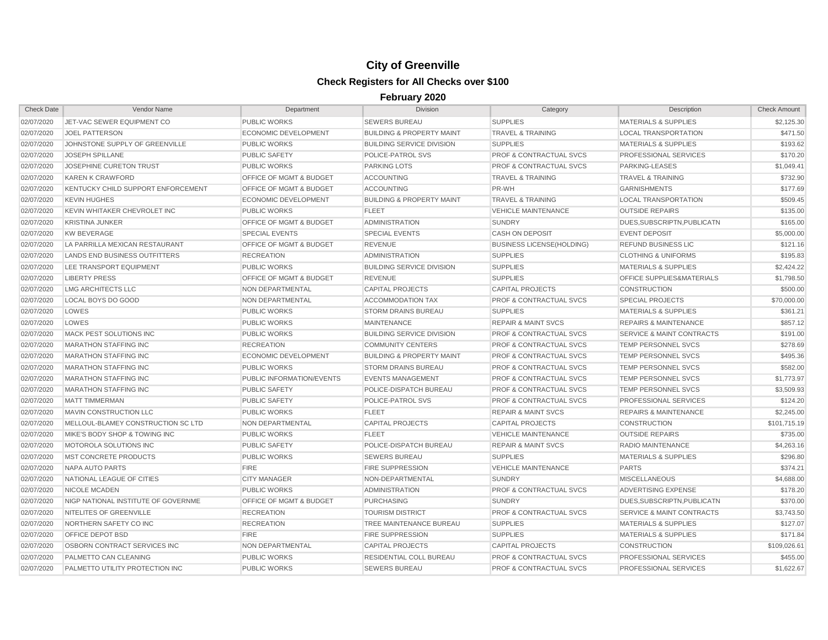| <b>Check Date</b> | Vendor Name                         | Department                         | <b>Division</b>                      | Category                           | Description                          | <b>Check Amount</b> |
|-------------------|-------------------------------------|------------------------------------|--------------------------------------|------------------------------------|--------------------------------------|---------------------|
| 02/07/2020        | JET-VAC SEWER EQUIPMENT CO          | <b>PUBLIC WORKS</b>                | <b>SEWERS BUREAU</b>                 | <b>SUPPLIES</b>                    | <b>MATERIALS &amp; SUPPLIES</b>      | \$2,125.30          |
| 02/07/2020        | <b>JOEL PATTERSON</b>               | <b>ECONOMIC DEVELOPMENT</b>        | <b>BUILDING &amp; PROPERTY MAINT</b> | <b>TRAVEL &amp; TRAINING</b>       | <b>LOCAL TRANSPORTATION</b>          | \$471.50            |
| 02/07/2020        | JOHNSTONE SUPPLY OF GREENVILLE      | <b>PUBLIC WORKS</b>                | <b>BUILDING SERVICE DIVISION</b>     | <b>SUPPLIES</b>                    | <b>MATERIALS &amp; SUPPLIES</b>      | \$193.62            |
| 02/07/2020        | <b>JOSEPH SPILLANE</b>              | <b>PUBLIC SAFETY</b>               | POLICE-PATROL SVS                    | <b>PROF &amp; CONTRACTUAL SVCS</b> | <b>PROFESSIONAL SERVICES</b>         | \$170.20            |
| 02/07/2020        | JOSEPHINE CURETON TRUST             | <b>PUBLIC WORKS</b>                | <b>PARKING LOTS</b>                  | <b>PROF &amp; CONTRACTUAL SVCS</b> | PARKING-LEASES                       | \$1,049.41          |
| 02/07/2020        | <b>KAREN K CRAWFORD</b>             | <b>OFFICE OF MGMT &amp; BUDGET</b> | <b>ACCOUNTING</b>                    | <b>TRAVEL &amp; TRAINING</b>       | <b>TRAVEL &amp; TRAINING</b>         | \$732.90            |
| 02/07/2020        | KENTUCKY CHILD SUPPORT ENFORCEMENT  | OFFICE OF MGMT & BUDGET            | <b>ACCOUNTING</b>                    | PR-WH                              | <b>GARNISHMENTS</b>                  | \$177.69            |
| 02/07/2020        | <b>KEVIN HUGHES</b>                 | <b>ECONOMIC DEVELOPMENT</b>        | <b>BUILDING &amp; PROPERTY MAINT</b> | <b>TRAVEL &amp; TRAINING</b>       | <b>LOCAL TRANSPORTATION</b>          | \$509.45            |
| 02/07/2020        | KEVIN WHITAKER CHEVROLET INC        | <b>PUBLIC WORKS</b>                | <b>FLEET</b>                         | <b>VEHICLE MAINTENANCE</b>         | <b>OUTSIDE REPAIRS</b>               | \$135.00            |
| 02/07/2020        | <b>KRISTINA JUNKER</b>              | OFFICE OF MGMT & BUDGET            | <b>ADMINISTRATION</b>                | <b>SUNDRY</b>                      | DUES, SUBSCRIPTN, PUBLICATN          | \$165.00            |
| 02/07/2020        | <b>KW BEVERAGE</b>                  | <b>SPECIAL EVENTS</b>              | <b>SPECIAL EVENTS</b>                | <b>CASH ON DEPOSIT</b>             | <b>EVENT DEPOSIT</b>                 | \$5,000.00          |
| 02/07/2020        | LA PARRILLA MEXICAN RESTAURANT      | <b>OFFICE OF MGMT &amp; BUDGET</b> | <b>REVENUE</b>                       | <b>BUSINESS LICENSE(HOLDING)</b>   | <b>REFUND BUSINESS LIC</b>           | \$121.16            |
| 02/07/2020        | LANDS END BUSINESS OUTFITTERS       | <b>RECREATION</b>                  | <b>ADMINISTRATION</b>                | <b>SUPPLIES</b>                    | <b>CLOTHING &amp; UNIFORMS</b>       | \$195.83            |
| 02/07/2020        | LEE TRANSPORT EQUIPMENT             | <b>PUBLIC WORKS</b>                | <b>BUILDING SERVICE DIVISION</b>     | <b>SUPPLIES</b>                    | <b>MATERIALS &amp; SUPPLIES</b>      | \$2,424.22          |
| 02/07/2020        | <b>LIBERTY PRESS</b>                | OFFICE OF MGMT & BUDGET            | <b>REVENUE</b>                       | <b>SUPPLIES</b>                    | OFFICE SUPPLIES&MATERIALS            | \$1,798.50          |
| 02/07/2020        | <b>LMG ARCHITECTS LLC</b>           | NON DEPARTMENTAL                   | <b>CAPITAL PROJECTS</b>              | <b>CAPITAL PROJECTS</b>            | <b>CONSTRUCTION</b>                  | \$500.00            |
| 02/07/2020        | LOCAL BOYS DO GOOD                  | NON DEPARTMENTAL                   | ACCOMMODATION TAX                    | PROF & CONTRACTUAL SVCS            | <b>SPECIAL PROJECTS</b>              | \$70,000.00         |
| 02/07/2020        | LOWES                               | <b>PUBLIC WORKS</b>                | <b>STORM DRAINS BUREAU</b>           | <b>SUPPLIES</b>                    | <b>MATERIALS &amp; SUPPLIES</b>      | \$361.21            |
| 02/07/2020        | LOWES                               | <b>PUBLIC WORKS</b>                | <b>MAINTENANCE</b>                   | <b>REPAIR &amp; MAINT SVCS</b>     | <b>REPAIRS &amp; MAINTENANCE</b>     | \$857.12            |
| 02/07/2020        | <b>MACK PEST SOLUTIONS INC</b>      | <b>PUBLIC WORKS</b>                | <b>BUILDING SERVICE DIVISION</b>     | <b>PROF &amp; CONTRACTUAL SVCS</b> | <b>SERVICE &amp; MAINT CONTRACTS</b> | \$191.00            |
| 02/07/2020        | <b>MARATHON STAFFING INC</b>        | <b>RECREATION</b>                  | <b>COMMUNITY CENTERS</b>             | <b>PROF &amp; CONTRACTUAL SVCS</b> | <b>TEMP PERSONNEL SVCS</b>           | \$278.69            |
| 02/07/2020        | <b>MARATHON STAFFING INC</b>        | <b>ECONOMIC DEVELOPMENT</b>        | <b>BUILDING &amp; PROPERTY MAINT</b> | <b>PROF &amp; CONTRACTUAL SVCS</b> | <b>TEMP PERSONNEL SVCS</b>           | \$495.36            |
| 02/07/2020        | <b>MARATHON STAFFING INC</b>        | <b>PUBLIC WORKS</b>                | <b>STORM DRAINS BUREAU</b>           | <b>PROF &amp; CONTRACTUAL SVCS</b> | <b>TEMP PERSONNEL SVCS</b>           | \$582.00            |
| 02/07/2020        | <b>MARATHON STAFFING INC</b>        | PUBLIC INFORMATION/EVENTS          | <b>EVENTS MANAGEMENT</b>             | PROF & CONTRACTUAL SVCS            | TEMP PERSONNEL SVCS                  | \$1,773.97          |
| 02/07/2020        | <b>MARATHON STAFFING INC</b>        | <b>PUBLIC SAFETY</b>               | POLICE-DISPATCH BUREAU               | <b>PROF &amp; CONTRACTUAL SVCS</b> | TEMP PERSONNEL SVCS                  | \$3,509.93          |
| 02/07/2020        | <b>MATT TIMMERMAN</b>               | <b>PUBLIC SAFETY</b>               | POLICE-PATROL SVS                    | <b>PROF &amp; CONTRACTUAL SVCS</b> | PROFESSIONAL SERVICES                | \$124.20            |
| 02/07/2020        | MAVIN CONSTRUCTION LLC              | <b>PUBLIC WORKS</b>                | <b>FLEET</b>                         | <b>REPAIR &amp; MAINT SVCS</b>     | <b>REPAIRS &amp; MAINTENANCE</b>     | \$2,245.00          |
| 02/07/2020        | MELLOUL-BLAMEY CONSTRUCTION SC LTD  | NON DEPARTMENTAL                   | <b>CAPITAL PROJECTS</b>              | <b>CAPITAL PROJECTS</b>            | <b>CONSTRUCTION</b>                  | \$101.715.19        |
| 02/07/2020        | MIKE'S BODY SHOP & TOWING INC       | <b>PUBLIC WORKS</b>                | <b>FLEET</b>                         | <b>VEHICLE MAINTENANCE</b>         | <b>OUTSIDE REPAIRS</b>               | \$735.00            |
| 02/07/2020        | MOTOROLA SOLUTIONS INC              | <b>PUBLIC SAFETY</b>               | POLICE-DISPATCH BUREAU               | <b>REPAIR &amp; MAINT SVCS</b>     | <b>RADIO MAINTENANCE</b>             | \$4,263.16          |
| 02/07/2020        | <b>MST CONCRETE PRODUCTS</b>        | <b>PUBLIC WORKS</b>                | <b>SEWERS BUREAU</b>                 | <b>SUPPLIES</b>                    | <b>MATERIALS &amp; SUPPLIES</b>      | \$296.80            |
| 02/07/2020        | NAPA AUTO PARTS                     | <b>FIRE</b>                        | <b>FIRE SUPPRESSION</b>              | <b>VEHICLE MAINTENANCE</b>         | <b>PARTS</b>                         | \$374.21            |
| 02/07/2020        | NATIONAL LEAGUE OF CITIES           | <b>CITY MANAGER</b>                | NON-DEPARTMENTAL                     | <b>SUNDRY</b>                      | <b>MISCELLANEOUS</b>                 | \$4,688.00          |
| 02/07/2020        | NICOLE MCADEN                       | <b>PUBLIC WORKS</b>                | <b>ADMINISTRATION</b>                | PROF & CONTRACTUAL SVCS            | <b>ADVERTISING EXPENSE</b>           | \$178.20            |
| 02/07/2020        | NIGP NATIONAL INSTITUTE OF GOVERNME | <b>OFFICE OF MGMT &amp; BUDGET</b> | <b>PURCHASING</b>                    | <b>SUNDRY</b>                      | DUES, SUBSCRIPTN, PUBLICATN          | \$370.00            |
| 02/07/2020        | NITELITES OF GREENVILLE             | <b>RECREATION</b>                  | <b>TOURISM DISTRICT</b>              | <b>PROF &amp; CONTRACTUAL SVCS</b> | <b>SERVICE &amp; MAINT CONTRACTS</b> | \$3.743.50          |
| 02/07/2020        | NORTHERN SAFETY CO INC              | <b>RECREATION</b>                  | TREE MAINTENANCE BUREAU              | <b>SUPPLIES</b>                    | <b>MATERIALS &amp; SUPPLIES</b>      | \$127.07            |
| 02/07/2020        | OFFICE DEPOT BSD                    | <b>FIRE</b>                        | <b>FIRE SUPPRESSION</b>              | <b>SUPPLIES</b>                    | <b>MATERIALS &amp; SUPPLIES</b>      | \$171.84            |
| 02/07/2020        | OSBORN CONTRACT SERVICES INC        | NON DEPARTMENTAL                   | <b>CAPITAL PROJECTS</b>              | <b>CAPITAL PROJECTS</b>            | <b>CONSTRUCTION</b>                  | \$109,026.61        |
| 02/07/2020        | PALMETTO CAN CLEANING               | <b>PUBLIC WORKS</b>                | <b>RESIDENTIAL COLL BUREAU</b>       | <b>PROF &amp; CONTRACTUAL SVCS</b> | PROFESSIONAL SERVICES                | \$455.00            |
| 02/07/2020        | PALMETTO UTILITY PROTECTION INC     | <b>PUBLIC WORKS</b>                | <b>SEWERS BUREAU</b>                 | <b>PROF &amp; CONTRACTUAL SVCS</b> | PROFESSIONAL SERVICES                | \$1,622.67          |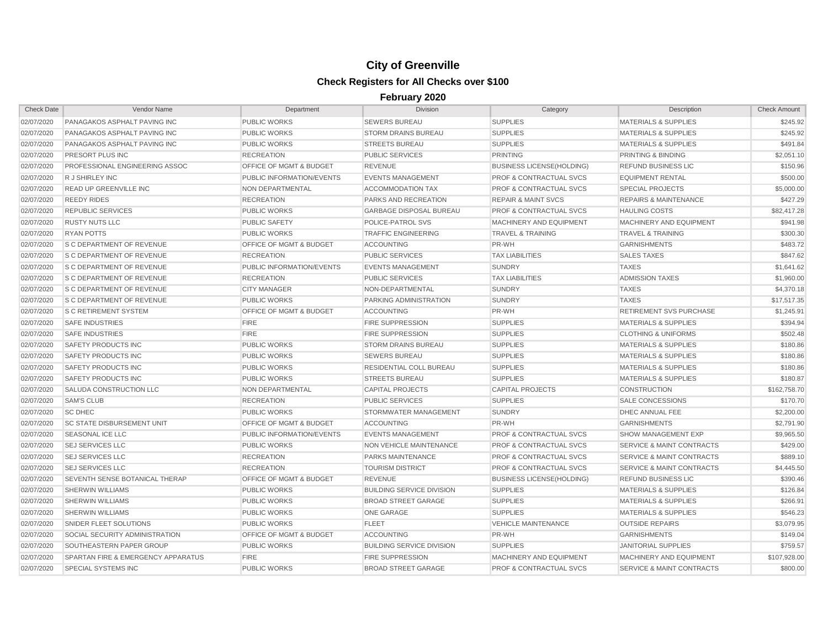| <b>Check Date</b> | Vendor Name                        | Department                         | <b>Division</b>                  | Category                           | Description                          | <b>Check Amount</b> |
|-------------------|------------------------------------|------------------------------------|----------------------------------|------------------------------------|--------------------------------------|---------------------|
| 02/07/2020        | PANAGAKOS ASPHALT PAVING INC       | PUBLIC WORKS                       | <b>SEWERS BUREAU</b>             | <b>SUPPLIES</b>                    | <b>MATERIALS &amp; SUPPLIES</b>      | \$245.92            |
| 02/07/2020        | PANAGAKOS ASPHALT PAVING INC       | <b>PUBLIC WORKS</b>                | <b>STORM DRAINS BUREAU</b>       | <b>SUPPLIES</b>                    | <b>MATERIALS &amp; SUPPLIES</b>      | \$245.92            |
| 02/07/2020        | PANAGAKOS ASPHALT PAVING INC       | <b>PUBLIC WORKS</b>                | <b>STREETS BUREAU</b>            | <b>SUPPLIES</b>                    | <b>MATERIALS &amp; SUPPLIES</b>      | \$491.84            |
| 02/07/2020        | PRESORT PLUS INC                   | <b>RECREATION</b>                  | <b>PUBLIC SERVICES</b>           | <b>PRINTING</b>                    | PRINTING & BINDING                   | \$2,051.10          |
| 02/07/2020        | PROFESSIONAL ENGINEERING ASSOC     | OFFICE OF MGMT & BUDGET            | <b>REVENUE</b>                   | <b>BUSINESS LICENSE(HOLDING)</b>   | <b>REFUND BUSINESS LIC</b>           | \$150.96            |
| 02/07/2020        | R J SHIRLEY INC                    | PUBLIC INFORMATION/EVENTS          | <b>EVENTS MANAGEMENT</b>         | <b>PROF &amp; CONTRACTUAL SVCS</b> | <b>EQUIPMENT RENTAL</b>              | \$500.00            |
| 02/07/2020        | READ UP GREENVILLE INC             | NON DEPARTMENTAL                   | <b>ACCOMMODATION TAX</b>         | <b>PROF &amp; CONTRACTUAL SVCS</b> | <b>SPECIAL PROJECTS</b>              | \$5,000.00          |
| 02/07/2020        | <b>REEDY RIDES</b>                 | <b>RECREATION</b>                  | PARKS AND RECREATION             | <b>REPAIR &amp; MAINT SVCS</b>     | <b>REPAIRS &amp; MAINTENANCE</b>     | \$427.29            |
| 02/07/2020        | <b>REPUBLIC SERVICES</b>           | <b>PUBLIC WORKS</b>                | <b>GARBAGE DISPOSAL BUREAU</b>   | <b>PROF &amp; CONTRACTUAL SVCS</b> | <b>HAULING COSTS</b>                 | \$82,417.28         |
| 02/07/2020        | <b>RUSTY NUTS LLC</b>              | <b>PUBLIC SAFETY</b>               | POLICE-PATROL SVS                | <b>MACHINERY AND EQUIPMENT</b>     | MACHINERY AND EQUIPMENT              | \$941.98            |
| 02/07/2020        | <b>RYAN POTTS</b>                  | <b>PUBLIC WORKS</b>                | <b>TRAFFIC ENGINEERING</b>       | <b>TRAVEL &amp; TRAINING</b>       | <b>TRAVEL &amp; TRAINING</b>         | \$300.30            |
| 02/07/2020        | <b>S C DEPARTMENT OF REVENUE</b>   | <b>OFFICE OF MGMT &amp; BUDGET</b> | <b>ACCOUNTING</b>                | PR-WH                              | <b>GARNISHMENTS</b>                  | \$483.72            |
| 02/07/2020        | <b>S C DEPARTMENT OF REVENUE</b>   | <b>RECREATION</b>                  | <b>PUBLIC SERVICES</b>           | <b>TAX LIABILITIES</b>             | <b>SALES TAXES</b>                   | \$847.62            |
| 02/07/2020        | <b>S C DEPARTMENT OF REVENUE</b>   | PUBLIC INFORMATION/EVENTS          | <b>EVENTS MANAGEMENT</b>         | <b>SUNDRY</b>                      | <b>TAXES</b>                         | \$1,641.62          |
| 02/07/2020        | <b>S C DEPARTMENT OF REVENUE</b>   | <b>RECREATION</b>                  | PUBLIC SERVICES                  | <b>TAX LIABILITIES</b>             | <b>ADMISSION TAXES</b>               | \$1,960.00          |
| 02/07/2020        | <b>S C DEPARTMENT OF REVENUE</b>   | <b>CITY MANAGER</b>                | NON-DEPARTMENTAL                 | <b>SUNDRY</b>                      | <b>TAXES</b>                         | \$4,370.18          |
| 02/07/2020        | <b>S C DEPARTMENT OF REVENUE</b>   | <b>PUBLIC WORKS</b>                | PARKING ADMINISTRATION           | <b>SUNDRY</b>                      | <b>TAXES</b>                         | \$17,517.35         |
| 02/07/2020        | <b>S C RETIREMENT SYSTEM</b>       | OFFICE OF MGMT & BUDGET            | <b>ACCOUNTING</b>                | PR-WH                              | <b>RETIREMENT SVS PURCHASE</b>       | \$1,245.91          |
| 02/07/2020        | <b>SAFE INDUSTRIES</b>             | <b>FIRE</b>                        | <b>FIRE SUPPRESSION</b>          | <b>SUPPLIES</b>                    | <b>MATERIALS &amp; SUPPLIES</b>      | \$394.94            |
| 02/07/2020        | <b>SAFE INDUSTRIES</b>             | <b>FIRE</b>                        | <b>FIRE SUPPRESSION</b>          | <b>SUPPLIES</b>                    | <b>CLOTHING &amp; UNIFORMS</b>       | \$502.48            |
| 02/07/2020        | SAFETY PRODUCTS INC                | <b>PUBLIC WORKS</b>                | <b>STORM DRAINS BUREAU</b>       | <b>SUPPLIES</b>                    | <b>MATERIALS &amp; SUPPLIES</b>      | \$180.86            |
| 02/07/2020        | SAFETY PRODUCTS INC                | <b>PUBLIC WORKS</b>                | <b>SEWERS BUREAU</b>             | <b>SUPPLIES</b>                    | <b>MATERIALS &amp; SUPPLIES</b>      | \$180.86            |
| 02/07/2020        | SAFETY PRODUCTS INC                | <b>PUBLIC WORKS</b>                | RESIDENTIAL COLL BUREAU          | <b>SUPPLIES</b>                    | <b>MATERIALS &amp; SUPPLIES</b>      | \$180.86            |
| 02/07/2020        | SAFETY PRODUCTS INC                | <b>PUBLIC WORKS</b>                | <b>STREETS BUREAU</b>            | <b>SUPPLIES</b>                    | <b>MATERIALS &amp; SUPPLIES</b>      | \$180.87            |
| 02/07/2020        | SALUDA CONSTRUCTION LLC            | NON DEPARTMENTAL                   | <b>CAPITAL PROJECTS</b>          | <b>CAPITAL PROJECTS</b>            | <b>CONSTRUCTION</b>                  | \$162,758,70        |
| 02/07/2020        | <b>SAM'S CLUB</b>                  | <b>RECREATION</b>                  | PUBLIC SERVICES                  | <b>SUPPLIES</b>                    | <b>SALE CONCESSIONS</b>              | \$170.70            |
| 02/07/2020        | <b>SC DHEC</b>                     | PUBLIC WORKS                       | STORMWATER MANAGEMENT            | <b>SUNDRY</b>                      | DHEC ANNUAL FEE                      | \$2,200.00          |
| 02/07/2020        | <b>SC STATE DISBURSEMENT UNIT</b>  | <b>OFFICE OF MGMT &amp; BUDGET</b> | <b>ACCOUNTING</b>                | PR-WH                              | <b>GARNISHMENTS</b>                  | \$2,791.90          |
| 02/07/2020        | <b>SEASONAL ICE LLC</b>            | PUBLIC INFORMATION/EVENTS          | <b>EVENTS MANAGEMENT</b>         | <b>PROF &amp; CONTRACTUAL SVCS</b> | SHOW MANAGEMENT EXP                  | \$9,965.50          |
| 02/07/2020        | <b>SEJ SERVICES LLC</b>            | <b>PUBLIC WORKS</b>                | NON VEHICLE MAINTENANCE          | <b>PROF &amp; CONTRACTUAL SVCS</b> | <b>SERVICE &amp; MAINT CONTRACTS</b> | \$429.00            |
| 02/07/2020        | <b>SEJ SERVICES LLC</b>            | <b>RECREATION</b>                  | PARKS MAINTENANCE                | <b>PROF &amp; CONTRACTUAL SVCS</b> | <b>SERVICE &amp; MAINT CONTRACTS</b> | \$889.10            |
| 02/07/2020        | <b>SEJ SERVICES LLC</b>            | <b>RECREATION</b>                  | <b>TOURISM DISTRICT</b>          | PROF & CONTRACTUAL SVCS            | <b>SERVICE &amp; MAINT CONTRACTS</b> | \$4,445.50          |
| 02/07/2020        | SEVENTH SENSE BOTANICAL THERAP     | OFFICE OF MGMT & BUDGET            | <b>REVENUE</b>                   | <b>BUSINESS LICENSE(HOLDING)</b>   | <b>REFUND BUSINESS LIC</b>           | \$390.46            |
| 02/07/2020        | <b>SHERWIN WILLIAMS</b>            | <b>PUBLIC WORKS</b>                | <b>BUILDING SERVICE DIVISION</b> | <b>SUPPLIES</b>                    | <b>MATERIALS &amp; SUPPLIES</b>      | \$126.84            |
| 02/07/2020        | <b>SHERWIN WILLIAMS</b>            | <b>PUBLIC WORKS</b>                | <b>BROAD STREET GARAGE</b>       | <b>SUPPLIES</b>                    | <b>MATERIALS &amp; SUPPLIES</b>      | \$266.91            |
| 02/07/2020        | <b>SHERWIN WILLIAMS</b>            | <b>PUBLIC WORKS</b>                | ONE GARAGE                       | <b>SUPPLIES</b>                    | <b>MATERIALS &amp; SUPPLIES</b>      | \$546.23            |
| 02/07/2020        | SNIDER FLEET SOLUTIONS             | <b>PUBLIC WORKS</b>                | <b>FLEET</b>                     | <b>VEHICLE MAINTENANCE</b>         | <b>OUTSIDE REPAIRS</b>               | \$3,079.95          |
| 02/07/2020        | SOCIAL SECURITY ADMINISTRATION     | OFFICE OF MGMT & BUDGET            | <b>ACCOUNTING</b>                | PR-WH                              | <b>GARNISHMENTS</b>                  | \$149.04            |
| 02/07/2020        | SOUTHEASTERN PAPER GROUP           | <b>PUBLIC WORKS</b>                | <b>BUILDING SERVICE DIVISION</b> | <b>SUPPLIES</b>                    | <b>JANITORIAL SUPPLIES</b>           | \$759.57            |
| 02/07/2020        | SPARTAN FIRE & EMERGENCY APPARATUS | <b>FIRE</b>                        | <b>FIRE SUPPRESSION</b>          | MACHINERY AND EQUIPMENT            | MACHINERY AND EQUIPMENT              | \$107,928.00        |
| 02/07/2020        | SPECIAL SYSTEMS INC                | <b>PUBLIC WORKS</b>                | <b>BROAD STREET GARAGE</b>       | <b>PROF &amp; CONTRACTUAL SVCS</b> | <b>SERVICE &amp; MAINT CONTRACTS</b> | \$800.00            |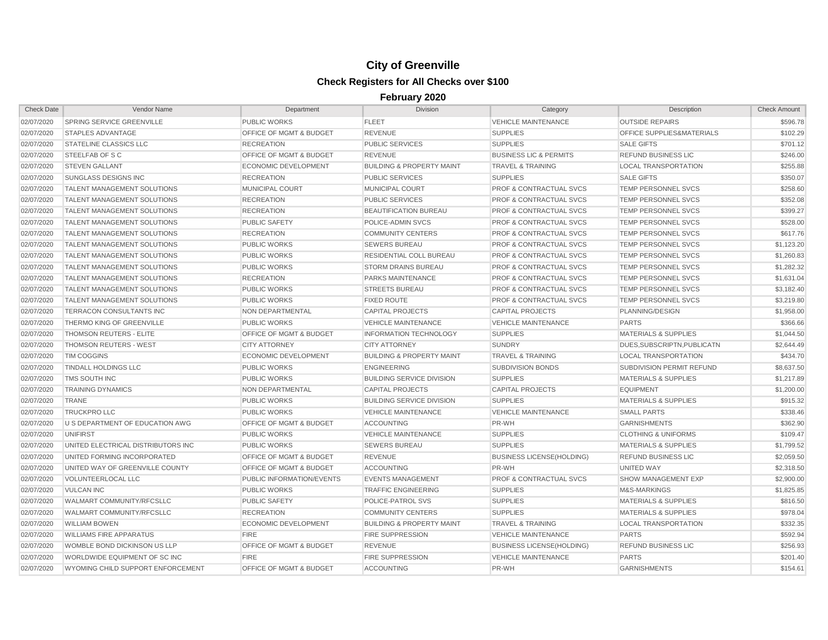| <b>Check Date</b> | Vendor Name                        | Department                         | <b>Division</b>                      | Category                           | Description                     | <b>Check Amount</b> |
|-------------------|------------------------------------|------------------------------------|--------------------------------------|------------------------------------|---------------------------------|---------------------|
| 02/07/2020        | SPRING SERVICE GREENVILLE          | <b>PUBLIC WORKS</b>                | <b>FLEET</b>                         | <b>VEHICLE MAINTENANCE</b>         | <b>OUTSIDE REPAIRS</b>          | \$596.78            |
| 02/07/2020        | <b>STAPLES ADVANTAGE</b>           | OFFICE OF MGMT & BUDGET            | <b>REVENUE</b>                       | <b>SUPPLIES</b>                    | OFFICE SUPPLIES&MATERIALS       | \$102.29            |
| 02/07/2020        | <b>STATELINE CLASSICS LLC</b>      | <b>RECREATION</b>                  | <b>PUBLIC SERVICES</b>               | <b>SUPPLIES</b>                    | <b>SALE GIFTS</b>               | \$701.12            |
| 02/07/2020        | <b>STEELFAB OF S C</b>             | OFFICE OF MGMT & BUDGET            | <b>REVENUE</b>                       | <b>BUSINESS LIC &amp; PERMITS</b>  | <b>REFUND BUSINESS LIC</b>      | \$246.00            |
| 02/07/2020        | <b>STEVEN GALLANT</b>              | <b>ECONOMIC DEVELOPMENT</b>        | <b>BUILDING &amp; PROPERTY MAINT</b> | <b>TRAVEL &amp; TRAINING</b>       | <b>LOCAL TRANSPORTATION</b>     | \$255.88            |
| 02/07/2020        | <b>SUNGLASS DESIGNS INC</b>        | <b>RECREATION</b>                  | <b>PUBLIC SERVICES</b>               | <b>SUPPLIES</b>                    | <b>SALE GIFTS</b>               | \$350.07            |
| 02/07/2020        | <b>TALENT MANAGEMENT SOLUTIONS</b> | MUNICIPAL COURT                    | MUNICIPAL COURT                      | <b>PROF &amp; CONTRACTUAL SVCS</b> | <b>TEMP PERSONNEL SVCS</b>      | \$258.60            |
| 02/07/2020        | TALENT MANAGEMENT SOLUTIONS        | <b>RECREATION</b>                  | <b>PUBLIC SERVICES</b>               | <b>PROF &amp; CONTRACTUAL SVCS</b> | TEMP PERSONNEL SVCS             | \$352.08            |
| 02/07/2020        | <b>TALENT MANAGEMENT SOLUTIONS</b> | <b>RECREATION</b>                  | <b>BEAUTIFICATION BUREAU</b>         | <b>PROF &amp; CONTRACTUAL SVCS</b> | TEMP PERSONNEL SVCS             | \$399.27            |
| 02/07/2020        | <b>TALENT MANAGEMENT SOLUTIONS</b> | <b>PUBLIC SAFETY</b>               | POLICE-ADMIN SVCS                    | <b>PROF &amp; CONTRACTUAL SVCS</b> | TEMP PERSONNEL SVCS             | \$528.00            |
| 02/07/2020        | <b>TALENT MANAGEMENT SOLUTIONS</b> | <b>RECREATION</b>                  | <b>COMMUNITY CENTERS</b>             | <b>PROF &amp; CONTRACTUAL SVCS</b> | TEMP PERSONNEL SVCS             | \$617.76            |
| 02/07/2020        | <b>TALENT MANAGEMENT SOLUTIONS</b> | <b>PUBLIC WORKS</b>                | <b>SEWERS BUREAU</b>                 | <b>PROF &amp; CONTRACTUAL SVCS</b> | TEMP PERSONNEL SVCS             | \$1,123.20          |
| 02/07/2020        | <b>TALENT MANAGEMENT SOLUTIONS</b> | <b>PUBLIC WORKS</b>                | <b>RESIDENTIAL COLL BUREAU</b>       | <b>PROF &amp; CONTRACTUAL SVCS</b> | <b>TEMP PERSONNEL SVCS</b>      | \$1,260.83          |
| 02/07/2020        | <b>TALENT MANAGEMENT SOLUTIONS</b> | <b>PUBLIC WORKS</b>                | <b>STORM DRAINS BUREAU</b>           | <b>PROF &amp; CONTRACTUAL SVCS</b> | TEMP PERSONNEL SVCS             | \$1,282.32          |
| 02/07/2020        | <b>TALENT MANAGEMENT SOLUTIONS</b> | <b>RECREATION</b>                  | PARKS MAINTENANCE                    | <b>PROF &amp; CONTRACTUAL SVCS</b> | TEMP PERSONNEL SVCS             | \$1,631.04          |
| 02/07/2020        | <b>TALENT MANAGEMENT SOLUTIONS</b> | <b>PUBLIC WORKS</b>                | <b>STREETS BUREAU</b>                | <b>PROF &amp; CONTRACTUAL SVCS</b> | TEMP PERSONNEL SVCS             | \$3,182.40          |
| 02/07/2020        | <b>TALENT MANAGEMENT SOLUTIONS</b> | <b>PUBLIC WORKS</b>                | <b>FIXED ROUTE</b>                   | <b>PROF &amp; CONTRACTUAL SVCS</b> | TEMP PERSONNEL SVCS             | \$3,219.80          |
| 02/07/2020        | TERRACON CONSULTANTS INC           | NON DEPARTMENTAL                   | <b>CAPITAL PROJECTS</b>              | <b>CAPITAL PROJECTS</b>            | PLANNING/DESIGN                 | \$1,958.00          |
| 02/07/2020        | THERMO KING OF GREENVILLE          | <b>PUBLIC WORKS</b>                | <b>VEHICLE MAINTENANCE</b>           | <b>VEHICLE MAINTENANCE</b>         | <b>PARTS</b>                    | \$366.66            |
| 02/07/2020        | <b>THOMSON REUTERS - ELITE</b>     | <b>OFFICE OF MGMT &amp; BUDGET</b> | <b>INFORMATION TECHNOLOGY</b>        | <b>SUPPLIES</b>                    | <b>MATERIALS &amp; SUPPLIES</b> | \$1,044.50          |
| 02/07/2020        | <b>THOMSON REUTERS - WEST</b>      | <b>CITY ATTORNEY</b>               | <b>CITY ATTORNEY</b>                 | <b>SUNDRY</b>                      | DUES, SUBSCRIPTN, PUBLICATN     | \$2,644.49          |
| 02/07/2020        | <b>TIM COGGINS</b>                 | <b>ECONOMIC DEVELOPMENT</b>        | <b>BUILDING &amp; PROPERTY MAINT</b> | <b>TRAVEL &amp; TRAINING</b>       | <b>LOCAL TRANSPORTATION</b>     | \$434.70            |
| 02/07/2020        | <b>TINDALL HOLDINGS LLC</b>        | <b>PUBLIC WORKS</b>                | <b>ENGINEERING</b>                   | <b>SUBDIVISION BONDS</b>           | SUBDIVISION PERMIT REFUND       | \$8,637.50          |
| 02/07/2020        | TMS SOUTH INC                      | <b>PUBLIC WORKS</b>                | <b>BUILDING SERVICE DIVISION</b>     | <b>SUPPLIES</b>                    | <b>MATERIALS &amp; SUPPLIES</b> | \$1,217.89          |
| 02/07/2020        | <b>TRAINING DYNAMICS</b>           | NON DEPARTMENTAL                   | <b>CAPITAL PROJECTS</b>              | <b>CAPITAL PROJECTS</b>            | <b>EQUIPMENT</b>                | \$1,200.00          |
| 02/07/2020        | <b>TRANE</b>                       | <b>PUBLIC WORKS</b>                | <b>BUILDING SERVICE DIVISION</b>     | <b>SUPPLIES</b>                    | <b>MATERIALS &amp; SUPPLIES</b> | \$915.32            |
| 02/07/2020        | <b>TRUCKPRO LLC</b>                | <b>PUBLIC WORKS</b>                | <b>VEHICLE MAINTENANCE</b>           | <b>VEHICLE MAINTENANCE</b>         | <b>SMALL PARTS</b>              | \$338.46            |
| 02/07/2020        | U S DEPARTMENT OF EDUCATION AWG    | OFFICE OF MGMT & BUDGET            | <b>ACCOUNTING</b>                    | PR-WH                              | <b>GARNISHMENTS</b>             | \$362.90            |
| 02/07/2020        | <b>UNIFIRST</b>                    | <b>PUBLIC WORKS</b>                | <b>VEHICLE MAINTENANCE</b>           | <b>SUPPLIES</b>                    | <b>CLOTHING &amp; UNIFORMS</b>  | \$109.47            |
| 02/07/2020        | UNITED ELECTRICAL DISTRIBUTORS INC | <b>PUBLIC WORKS</b>                | <b>SEWERS BUREAU</b>                 | <b>SUPPLIES</b>                    | <b>MATERIALS &amp; SUPPLIES</b> | \$1,799.52          |
| 02/07/2020        | UNITED FORMING INCORPORATED        | <b>OFFICE OF MGMT &amp; BUDGET</b> | <b>REVENUE</b>                       | <b>BUSINESS LICENSE(HOLDING)</b>   | <b>REFUND BUSINESS LIC</b>      | \$2,059.50          |
| 02/07/2020        | UNITED WAY OF GREENVILLE COUNTY    | <b>OFFICE OF MGMT &amp; BUDGET</b> | <b>ACCOUNTING</b>                    | PR-WH                              | UNITED WAY                      | \$2,318.50          |
| 02/07/2020        | <b>VOLUNTEERLOCAL LLC</b>          | PUBLIC INFORMATION/EVENTS          | <b>EVENTS MANAGEMENT</b>             | <b>PROF &amp; CONTRACTUAL SVCS</b> | <b>SHOW MANAGEMENT EXP</b>      | \$2,900.00          |
| 02/07/2020        | <b>VULCAN INC</b>                  | <b>PUBLIC WORKS</b>                | <b>TRAFFIC ENGINEERING</b>           | <b>SUPPLIES</b>                    | M&S-MARKINGS                    | \$1,825.85          |
| 02/07/2020        | WALMART COMMUNITY/RFCSLLC          | <b>PUBLIC SAFETY</b>               | POLICE-PATROL SVS                    | <b>SUPPLIES</b>                    | <b>MATERIALS &amp; SUPPLIES</b> | \$816.50            |
| 02/07/2020        | WALMART COMMUNITY/RFCSLLC          | <b>RECREATION</b>                  | <b>COMMUNITY CENTERS</b>             | <b>SUPPLIES</b>                    | <b>MATERIALS &amp; SUPPLIES</b> | \$978.04            |
| 02/07/2020        | <b>WILLIAM BOWEN</b>               | ECONOMIC DEVELOPMENT               | <b>BUILDING &amp; PROPERTY MAINT</b> | <b>TRAVEL &amp; TRAINING</b>       | <b>LOCAL TRANSPORTATION</b>     | \$332.35            |
| 02/07/2020        | <b>WILLIAMS FIRE APPARATUS</b>     | <b>FIRE</b>                        | <b>FIRE SUPPRESSION</b>              | <b>VEHICLE MAINTENANCE</b>         | <b>PARTS</b>                    | \$592.94            |
| 02/07/2020        | WOMBLE BOND DICKINSON US LLP       | OFFICE OF MGMT & BUDGET            | <b>REVENUE</b>                       | <b>BUSINESS LICENSE(HOLDING)</b>   | <b>REFUND BUSINESS LIC</b>      | \$256.93            |
| 02/07/2020        | WORLDWIDE EQUIPMENT OF SC INC      | <b>FIRE</b>                        | <b>FIRE SUPPRESSION</b>              | <b>VEHICLE MAINTENANCE</b>         | <b>PARTS</b>                    | \$201.40            |
| 02/07/2020        | WYOMING CHILD SUPPORT ENFORCEMENT  | OFFICE OF MGMT & BUDGET            | <b>ACCOUNTING</b>                    | PR-WH                              | <b>GARNISHMENTS</b>             | \$154.61            |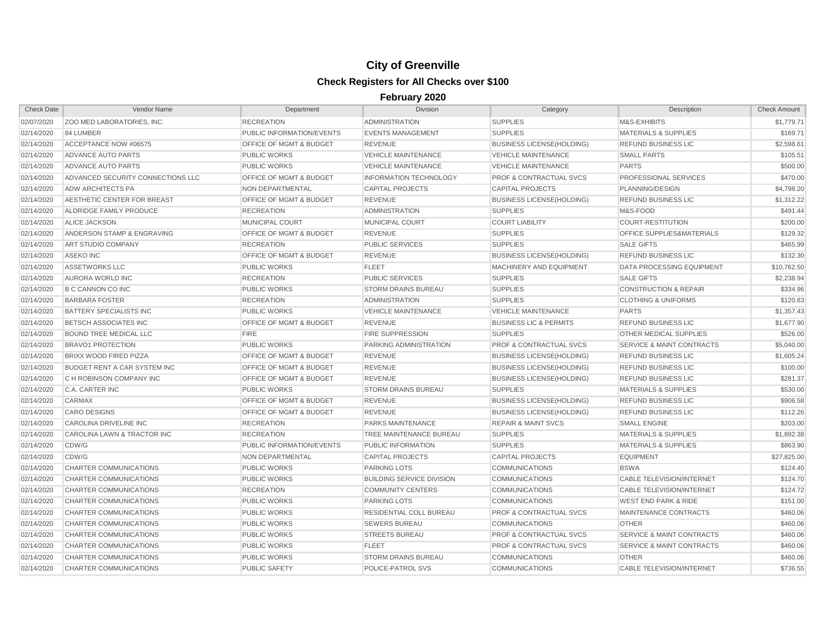| <b>Check Date</b> | Vendor Name                       | Department                         | <b>Division</b>                  | Category                           | Description                          | <b>Check Amount</b> |
|-------------------|-----------------------------------|------------------------------------|----------------------------------|------------------------------------|--------------------------------------|---------------------|
| 02/07/2020        | ZOO MED LABORATORIES, INC.        | <b>RECREATION</b>                  | <b>ADMINISTRATION</b>            | <b>SUPPLIES</b>                    | M&S-EXHIBITS                         | \$1,779.71          |
| 02/14/2020        | 84 LUMBER                         | <b>PUBLIC INFORMATION/EVENTS</b>   | <b>EVENTS MANAGEMENT</b>         | <b>SUPPLIES</b>                    | <b>MATERIALS &amp; SUPPLIES</b>      | \$169.71            |
| 02/14/2020        | ACCEPTANCE NOW #06575             | <b>OFFICE OF MGMT &amp; BUDGET</b> | <b>REVENUE</b>                   | <b>BUSINESS LICENSE(HOLDING)</b>   | <b>REFUND BUSINESS LIC</b>           | \$2,598.61          |
| 02/14/2020        | <b>ADVANCE AUTO PARTS</b>         | <b>PUBLIC WORKS</b>                | <b>VEHICLE MAINTENANCE</b>       | <b>VEHICLE MAINTENANCE</b>         | <b>SMALL PARTS</b>                   | \$105.51            |
| 02/14/2020        | ADVANCE AUTO PARTS                | <b>PUBLIC WORKS</b>                | <b>VEHICLE MAINTENANCE</b>       | <b>VEHICLE MAINTENANCE</b>         | <b>PARTS</b>                         | \$500.00            |
| 02/14/2020        | ADVANCED SECURITY CONNECTIONS LLC | OFFICE OF MGMT & BUDGET            | <b>INFORMATION TECHNOLOGY</b>    | <b>PROF &amp; CONTRACTUAL SVCS</b> | PROFESSIONAL SERVICES                | \$470.00            |
| 02/14/2020        | ADW ARCHITECTS PA                 | NON DEPARTMENTAL                   | <b>CAPITAL PROJECTS</b>          | <b>CAPITAL PROJECTS</b>            | PLANNING/DESIGN                      | \$4,798.20          |
| 02/14/2020        | AESTHETIC CENTER FOR BREAST       | <b>OFFICE OF MGMT &amp; BUDGET</b> | <b>REVENUE</b>                   | <b>BUSINESS LICENSE(HOLDING)</b>   | <b>REFUND BUSINESS LIC</b>           | \$1,312.22          |
| 02/14/2020        | ALDRIDGE FAMILY PRODUCE           | <b>RECREATION</b>                  | <b>ADMINISTRATION</b>            | <b>SUPPLIES</b>                    | M&S-FOOD                             | \$491.44            |
| 02/14/2020        | <b>ALICE JACKSON</b>              | MUNICIPAL COURT                    | MUNICIPAL COURT                  | <b>COURT LIABILITY</b>             | <b>COURT-RESTITUTION</b>             | \$200.00            |
| 02/14/2020        | ANDERSON STAMP & ENGRAVING        | <b>OFFICE OF MGMT &amp; BUDGET</b> | <b>REVENUE</b>                   | <b>SUPPLIES</b>                    | <b>OFFICE SUPPLIES&amp;MATERIALS</b> | \$129.32            |
| 02/14/2020        | <b>ART STUDIO COMPANY</b>         | <b>RECREATION</b>                  | <b>PUBLIC SERVICES</b>           | <b>SUPPLIES</b>                    | <b>SALE GIFTS</b>                    | \$465.99            |
| 02/14/2020        | ASEKO INC                         | <b>OFFICE OF MGMT &amp; BUDGET</b> | <b>REVENUE</b>                   | <b>BUSINESS LICENSE(HOLDING)</b>   | <b>REFUND BUSINESS LIC</b>           | \$132.30            |
| 02/14/2020        | <b>ASSETWORKS LLC</b>             | <b>PUBLIC WORKS</b>                | <b>FLEET</b>                     | MACHINERY AND EQUIPMENT            | DATA PROCESSING EQUIPMENT            | \$10,762.50         |
| 02/14/2020        | <b>AURORA WORLD INC</b>           | <b>RECREATION</b>                  | <b>PUBLIC SERVICES</b>           | <b>SUPPLIES</b>                    | <b>SALE GIFTS</b>                    | \$2,238.94          |
| 02/14/2020        | <b>B C CANNON CO INC</b>          | <b>PUBLIC WORKS</b>                | <b>STORM DRAINS BUREAU</b>       | <b>SUPPLIES</b>                    | <b>CONSTRUCTION &amp; REPAIR</b>     | \$334.96            |
| 02/14/2020        | <b>BARBARA FOSTER</b>             | <b>RECREATION</b>                  | <b>ADMINISTRATION</b>            | <b>SUPPLIES</b>                    | <b>CLOTHING &amp; UNIFORMS</b>       | \$120.83            |
| 02/14/2020        | <b>BATTERY SPECIALISTS INC</b>    | <b>PUBLIC WORKS</b>                | <b>VEHICLE MAINTENANCE</b>       | <b>VEHICLE MAINTENANCE</b>         | <b>PARTS</b>                         | \$1,357.43          |
| 02/14/2020        | <b>BETSCH ASSOCIATES INC</b>      | <b>OFFICE OF MGMT &amp; BUDGET</b> | <b>REVENUE</b>                   | <b>BUSINESS LIC &amp; PERMITS</b>  | <b>REFUND BUSINESS LIC</b>           | \$1,677.90          |
| 02/14/2020        | <b>BOUND TREE MEDICAL LLC</b>     | <b>FIRE</b>                        | <b>FIRE SUPPRESSION</b>          | <b>SUPPLIES</b>                    | <b>OTHER MEDICAL SUPPLIES</b>        | \$526.00            |
| 02/14/2020        | <b>BRAVO1 PROTECTION</b>          | <b>PUBLIC WORKS</b>                | PARKING ADMINISTRATION           | <b>PROF &amp; CONTRACTUAL SVCS</b> | <b>SERVICE &amp; MAINT CONTRACTS</b> | \$5,040.00          |
| 02/14/2020        | BRIXX WOOD FIRED PIZZA            | OFFICE OF MGMT & BUDGET            | <b>REVENUE</b>                   | <b>BUSINESS LICENSE(HOLDING)</b>   | <b>REFUND BUSINESS LIC</b>           | \$1,605.24          |
| 02/14/2020        | BUDGET RENT A CAR SYSTEM INC      | OFFICE OF MGMT & BUDGET            | <b>REVENUE</b>                   | <b>BUSINESS LICENSE(HOLDING)</b>   | <b>REFUND BUSINESS LIC</b>           | \$100.00            |
| 02/14/2020        | C H ROBINSON COMPANY INC          | OFFICE OF MGMT & BUDGET            | <b>REVENUE</b>                   | <b>BUSINESS LICENSE(HOLDING)</b>   | <b>REFUND BUSINESS LIC</b>           | \$281.37            |
| 02/14/2020        | C.A. CARTER INC                   | <b>PUBLIC WORKS</b>                | <b>STORM DRAINS BUREAU</b>       | <b>SUPPLIES</b>                    | <b>MATERIALS &amp; SUPPLIES</b>      | \$530.00            |
| 02/14/2020        | CARMAX                            | OFFICE OF MGMT & BUDGET            | <b>REVENUE</b>                   | <b>BUSINESS LICENSE(HOLDING)</b>   | <b>REFUND BUSINESS LIC</b>           | \$906.58            |
| 02/14/2020        | <b>CARO DESIGNS</b>               | OFFICE OF MGMT & BUDGET            | <b>REVENUE</b>                   | <b>BUSINESS LICENSE(HOLDING)</b>   | <b>REFUND BUSINESS LIC</b>           | \$112.26            |
| 02/14/2020        | <b>CAROLINA DRIVELINE INC</b>     | <b>RECREATION</b>                  | <b>PARKS MAINTENANCE</b>         | <b>REPAIR &amp; MAINT SVCS</b>     | <b>SMALL ENGINE</b>                  | \$203.00            |
| 02/14/2020        | CAROLINA LAWN & TRACTOR INC       | <b>RECREATION</b>                  | TREE MAINTENANCE BUREAU          | <b>SUPPLIES</b>                    | <b>MATERIALS &amp; SUPPLIES</b>      | \$1,892.38          |
| 02/14/2020        | CDW/G                             | <b>PUBLIC INFORMATION/EVENTS</b>   | PUBLIC INFORMATION               | <b>SUPPLIES</b>                    | <b>MATERIALS &amp; SUPPLIES</b>      | \$863.90            |
| 02/14/2020        | CDW/G                             | <b>NON DEPARTMENTAL</b>            | <b>CAPITAL PROJECTS</b>          | <b>CAPITAL PROJECTS</b>            | <b>EQUIPMENT</b>                     | \$27,825.00         |
| 02/14/2020        | <b>CHARTER COMMUNICATIONS</b>     | <b>PUBLIC WORKS</b>                | <b>PARKING LOTS</b>              | <b>COMMUNICATIONS</b>              | <b>BSWA</b>                          | \$124.40            |
| 02/14/2020        | <b>CHARTER COMMUNICATIONS</b>     | <b>PUBLIC WORKS</b>                | <b>BUILDING SERVICE DIVISION</b> | <b>COMMUNICATIONS</b>              | <b>CABLE TELEVISION/INTERNET</b>     | \$124.70            |
| 02/14/2020        | <b>CHARTER COMMUNICATIONS</b>     | <b>RECREATION</b>                  | <b>COMMUNITY CENTERS</b>         | <b>COMMUNICATIONS</b>              | <b>CABLE TELEVISION/INTERNET</b>     | \$124.72            |
| 02/14/2020        | <b>CHARTER COMMUNICATIONS</b>     | <b>PUBLIC WORKS</b>                | <b>PARKING LOTS</b>              | <b>COMMUNICATIONS</b>              | <b>WEST END PARK &amp; RIDE</b>      | \$151.00            |
| 02/14/2020        | <b>CHARTER COMMUNICATIONS</b>     | <b>PUBLIC WORKS</b>                | <b>RESIDENTIAL COLL BUREAU</b>   | <b>PROF &amp; CONTRACTUAL SVCS</b> | MAINTENANCE CONTRACTS                | \$460.06            |
| 02/14/2020        | <b>CHARTER COMMUNICATIONS</b>     | <b>PUBLIC WORKS</b>                | <b>SEWERS BUREAU</b>             | <b>COMMUNICATIONS</b>              | <b>OTHER</b>                         | \$460.06            |
| 02/14/2020        | <b>CHARTER COMMUNICATIONS</b>     | <b>PUBLIC WORKS</b>                | <b>STREETS BUREAU</b>            | PROF & CONTRACTUAL SVCS            | <b>SERVICE &amp; MAINT CONTRACTS</b> | \$460.06            |
| 02/14/2020        | <b>CHARTER COMMUNICATIONS</b>     | <b>PUBLIC WORKS</b>                | <b>FLEET</b>                     | <b>PROF &amp; CONTRACTUAL SVCS</b> | <b>SERVICE &amp; MAINT CONTRACTS</b> | \$460.06            |
| 02/14/2020        | <b>CHARTER COMMUNICATIONS</b>     | <b>PUBLIC WORKS</b>                | <b>STORM DRAINS BUREAU</b>       | <b>COMMUNICATIONS</b>              | <b>OTHER</b>                         | \$460.06            |
| 02/14/2020        | <b>CHARTER COMMUNICATIONS</b>     | <b>PUBLIC SAFETY</b>               | POLICE-PATROL SVS                | <b>COMMUNICATIONS</b>              | <b>CABLE TELEVISION/INTERNET</b>     | \$736.55            |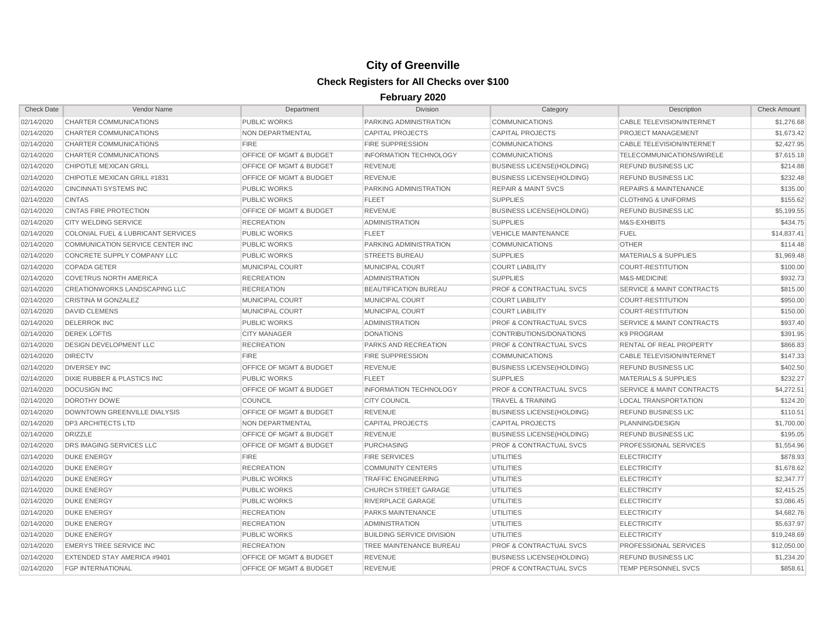| <b>Check Date</b> | <b>Vendor Name</b>                     | Department                         | Division                         | Category                           | Description                          | <b>Check Amount</b> |
|-------------------|----------------------------------------|------------------------------------|----------------------------------|------------------------------------|--------------------------------------|---------------------|
| 02/14/2020        | <b>CHARTER COMMUNICATIONS</b>          | <b>PUBLIC WORKS</b>                | PARKING ADMINISTRATION           | <b>COMMUNICATIONS</b>              | <b>CABLE TELEVISION/INTERNET</b>     | \$1,276.68          |
| 02/14/2020        | <b>CHARTER COMMUNICATIONS</b>          | <b>NON DEPARTMENTAL</b>            | <b>CAPITAL PROJECTS</b>          | <b>CAPITAL PROJECTS</b>            | <b>PROJECT MANAGEMENT</b>            | \$1,673.42          |
| 02/14/2020        | CHARTER COMMUNICATIONS                 | <b>FIRE</b>                        | <b>FIRE SUPPRESSION</b>          | <b>COMMUNICATIONS</b>              | CABLE TELEVISION/INTERNET            | \$2,427.95          |
| 02/14/2020        | CHARTER COMMUNICATIONS                 | OFFICE OF MGMT & BUDGET            | <b>INFORMATION TECHNOLOGY</b>    | <b>COMMUNICATIONS</b>              | TELECOMMUNICATIONS/WIRELE            | \$7,615.18          |
| 02/14/2020        | CHIPOTLE MEXICAN GRILL                 | <b>OFFICE OF MGMT &amp; BUDGET</b> | <b>REVENUE</b>                   | <b>BUSINESS LICENSE(HOLDING)</b>   | <b>REFUND BUSINESS LIC</b>           | \$214.88            |
| 02/14/2020        | CHIPOTLE MEXICAN GRILL #1831           | <b>OFFICE OF MGMT &amp; BUDGET</b> | <b>REVENUE</b>                   | <b>BUSINESS LICENSE(HOLDING)</b>   | <b>REFUND BUSINESS LIC</b>           | \$232.48            |
| 02/14/2020        | <b>CINCINNATI SYSTEMS INC</b>          | <b>PUBLIC WORKS</b>                | PARKING ADMINISTRATION           | <b>REPAIR &amp; MAINT SVCS</b>     | <b>REPAIRS &amp; MAINTENANCE</b>     | \$135.00            |
| 02/14/2020        | <b>CINTAS</b>                          | <b>PUBLIC WORKS</b>                | <b>FLEET</b>                     | <b>SUPPLIES</b>                    | <b>CLOTHING &amp; UNIFORMS</b>       | \$155.62            |
| 02/14/2020        | <b>CINTAS FIRE PROTECTION</b>          | OFFICE OF MGMT & BUDGET            | <b>REVENUE</b>                   | <b>BUSINESS LICENSE(HOLDING)</b>   | <b>REFUND BUSINESS LIC</b>           | \$5,199.55          |
| 02/14/2020        | <b>CITY WELDING SERVICE</b>            | <b>RECREATION</b>                  | <b>ADMINISTRATION</b>            | <b>SUPPLIES</b>                    | M&S-EXHIBITS                         | \$434.75            |
| 02/14/2020        | COLONIAL FUEL & LUBRICANT SERVICES     | <b>PUBLIC WORKS</b>                | <b>FLEET</b>                     | <b>VEHICLE MAINTENANCE</b>         | <b>FUEL</b>                          | \$14,837.41         |
| 02/14/2020        | COMMUNICATION SERVICE CENTER INC       | <b>PUBLIC WORKS</b>                | PARKING ADMINISTRATION           | <b>COMMUNICATIONS</b>              | <b>OTHER</b>                         | \$114.48            |
| 02/14/2020        | CONCRETE SUPPLY COMPANY LLC            | <b>PUBLIC WORKS</b>                | <b>STREETS BUREAU</b>            | <b>SUPPLIES</b>                    | <b>MATERIALS &amp; SUPPLIES</b>      | \$1,969.48          |
| 02/14/2020        | <b>COPADA GETER</b>                    | <b>MUNICIPAL COURT</b>             | MUNICIPAL COURT                  | <b>COURT LIABILITY</b>             | <b>COURT-RESTITUTION</b>             | \$100.00            |
| 02/14/2020        | <b>COVETRUS NORTH AMERICA</b>          | <b>RECREATION</b>                  | <b>ADMINISTRATION</b>            | <b>SUPPLIES</b>                    | M&S-MEDICINE                         | \$932.73            |
| 02/14/2020        | <b>CREATIONWORKS LANDSCAPING LLC</b>   | <b>RECREATION</b>                  | <b>BEAUTIFICATION BUREAU</b>     | <b>PROF &amp; CONTRACTUAL SVCS</b> | <b>SERVICE &amp; MAINT CONTRACTS</b> | \$815.00            |
| 02/14/2020        | <b>CRISTINA M GONZALEZ</b>             | MUNICIPAL COURT                    | MUNICIPAL COURT                  | <b>COURT LIABILITY</b>             | <b>COURT-RESTITUTION</b>             | \$950.00            |
| 02/14/2020        | <b>DAVID CLEMENS</b>                   | MUNICIPAL COURT                    | MUNICIPAL COURT                  | <b>COURT LIABILITY</b>             | <b>COURT-RESTITUTION</b>             | \$150.00            |
| 02/14/2020        | <b>DELERROK INC</b>                    | <b>PUBLIC WORKS</b>                | <b>ADMINISTRATION</b>            | <b>PROF &amp; CONTRACTUAL SVCS</b> | SERVICE & MAINT CONTRACTS            | \$937.40            |
| 02/14/2020        | <b>DEREK LOFTIS</b>                    | <b>CITY MANAGER</b>                | <b>DONATIONS</b>                 | CONTRIBUTIONS/DONATIONS            | K9 PROGRAM                           | \$391.95            |
| 02/14/2020        | <b>DESIGN DEVELOPMENT LLC</b>          | <b>RECREATION</b>                  | PARKS AND RECREATION             | <b>PROF &amp; CONTRACTUAL SVCS</b> | RENTAL OF REAL PROPERTY              | \$866.83            |
| 02/14/2020        | <b>DIRECTV</b>                         | <b>FIRE</b>                        | <b>FIRE SUPPRESSION</b>          | <b>COMMUNICATIONS</b>              | <b>CABLE TELEVISION/INTERNET</b>     | \$147.33            |
| 02/14/2020        | <b>DIVERSEY INC</b>                    | OFFICE OF MGMT & BUDGET            | <b>REVENUE</b>                   | <b>BUSINESS LICENSE(HOLDING)</b>   | <b>REFUND BUSINESS LIC</b>           | \$402.50            |
| 02/14/2020        | <b>DIXIE RUBBER &amp; PLASTICS INC</b> | <b>PUBLIC WORKS</b>                | <b>FLEET</b>                     | <b>SUPPLIES</b>                    | <b>MATERIALS &amp; SUPPLIES</b>      | \$232.27            |
| 02/14/2020        | <b>DOCUSIGN INC</b>                    | OFFICE OF MGMT & BUDGET            | <b>INFORMATION TECHNOLOGY</b>    | <b>PROF &amp; CONTRACTUAL SVCS</b> | SERVICE & MAINT CONTRACTS            | \$4,272.51          |
| 02/14/2020        | DOROTHY DOWE                           | <b>COUNCIL</b>                     | <b>CITY COUNCIL</b>              | <b>TRAVEL &amp; TRAINING</b>       | <b>LOCAL TRANSPORTATION</b>          | \$124.20            |
| 02/14/2020        | DOWNTOWN GREENVILLE DIALYSIS           | OFFICE OF MGMT & BUDGET            | <b>REVENUE</b>                   | <b>BUSINESS LICENSE(HOLDING)</b>   | <b>REFUND BUSINESS LIC</b>           | \$110.51            |
| 02/14/2020        | <b>DP3 ARCHITECTS LTD</b>              | NON DEPARTMENTAL                   | <b>CAPITAL PROJECTS</b>          | <b>CAPITAL PROJECTS</b>            | PLANNING/DESIGN                      | \$1,700.00          |
| 02/14/2020        | <b>DRIZZLE</b>                         | OFFICE OF MGMT & BUDGET            | <b>REVENUE</b>                   | <b>BUSINESS LICENSE(HOLDING)</b>   | <b>REFUND BUSINESS LIC</b>           | \$195.05            |
| 02/14/2020        | DRS IMAGING SERVICES LLC               | OFFICE OF MGMT & BUDGET            | <b>PURCHASING</b>                | <b>PROF &amp; CONTRACTUAL SVCS</b> | PROFESSIONAL SERVICES                | \$1,554.96          |
| 02/14/2020        | <b>DUKE ENERGY</b>                     | <b>FIRE</b>                        | <b>FIRE SERVICES</b>             | <b>UTILITIES</b>                   | <b>ELECTRICITY</b>                   | \$878.93            |
| 02/14/2020        | <b>DUKE ENERGY</b>                     | <b>RECREATION</b>                  | <b>COMMUNITY CENTERS</b>         | <b>UTILITIES</b>                   | <b>ELECTRICITY</b>                   | \$1,678.62          |
| 02/14/2020        | <b>DUKE ENERGY</b>                     | <b>PUBLIC WORKS</b>                | <b>TRAFFIC ENGINEERING</b>       | <b>UTILITIES</b>                   | <b>ELECTRICITY</b>                   | \$2,347.77          |
| 02/14/2020        | <b>DUKE ENERGY</b>                     | <b>PUBLIC WORKS</b>                | <b>CHURCH STREET GARAGE</b>      | <b>UTILITIES</b>                   | <b>ELECTRICITY</b>                   | \$2,415.25          |
| 02/14/2020        | <b>DUKE ENERGY</b>                     | <b>PUBLIC WORKS</b>                | RIVERPLACE GARAGE                | <b>UTILITIES</b>                   | <b>ELECTRICITY</b>                   | \$3,086.45          |
| 02/14/2020        | <b>DUKE ENERGY</b>                     | <b>RECREATION</b>                  | PARKS MAINTENANCE                | <b>UTILITIES</b>                   | <b>ELECTRICITY</b>                   | \$4,682.76          |
| 02/14/2020        | <b>DUKE ENERGY</b>                     | <b>RECREATION</b>                  | <b>ADMINISTRATION</b>            | <b>UTILITIES</b>                   | <b>ELECTRICITY</b>                   | \$5,637.97          |
| 02/14/2020        | <b>DUKE ENERGY</b>                     | <b>PUBLIC WORKS</b>                | <b>BUILDING SERVICE DIVISION</b> | <b>UTILITIES</b>                   | <b>ELECTRICITY</b>                   | \$19,248.69         |
| 02/14/2020        | <b>EMERYS TREE SERVICE INC</b>         | <b>RECREATION</b>                  | TREE MAINTENANCE BUREAU          | <b>PROF &amp; CONTRACTUAL SVCS</b> | PROFESSIONAL SERVICES                | \$12,050.00         |
| 02/14/2020        | EXTENDED STAY AMERICA #9401            | OFFICE OF MGMT & BUDGET            | <b>REVENUE</b>                   | <b>BUSINESS LICENSE(HOLDING)</b>   | <b>REFUND BUSINESS LIC</b>           | \$1,234.20          |
| 02/14/2020        | <b>FGP INTERNATIONAL</b>               | OFFICE OF MGMT & BUDGET            | <b>REVENUE</b>                   | PROF & CONTRACTUAL SVCS            | TEMP PERSONNEL SVCS                  | \$858.61            |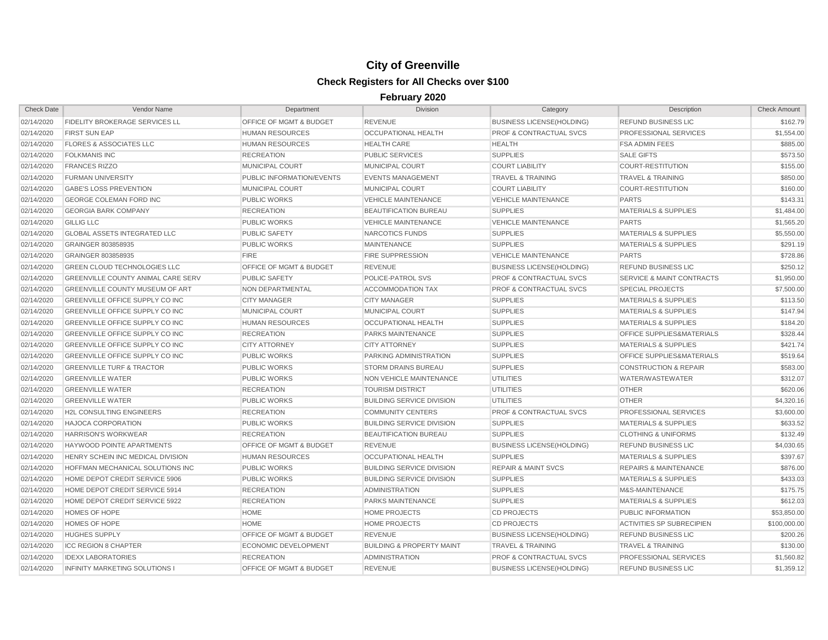| <b>Check Date</b> | Vendor Name                            | Department                | <b>Division</b>                      | Category                           | Description                          | <b>Check Amount</b> |
|-------------------|----------------------------------------|---------------------------|--------------------------------------|------------------------------------|--------------------------------------|---------------------|
| 02/14/2020        | <b>FIDELITY BROKERAGE SERVICES LL</b>  | OFFICE OF MGMT & BUDGET   | <b>REVENUE</b>                       | <b>BUSINESS LICENSE(HOLDING)</b>   | <b>REFUND BUSINESS LIC</b>           | \$162.79            |
| 02/14/2020        | <b>FIRST SUN EAP</b>                   | <b>HUMAN RESOURCES</b>    | OCCUPATIONAL HEALTH                  | <b>PROF &amp; CONTRACTUAL SVCS</b> | PROFESSIONAL SERVICES                | \$1,554.00          |
| 02/14/2020        | <b>FLORES &amp; ASSOCIATES LLC</b>     | <b>HUMAN RESOURCES</b>    | <b>HEALTH CARE</b>                   | <b>HEALTH</b>                      | <b>FSA ADMIN FEES</b>                | \$885.00            |
| 02/14/2020        | <b>FOLKMANIS INC</b>                   | <b>RECREATION</b>         | <b>PUBLIC SERVICES</b>               | <b>SUPPLIES</b>                    | <b>SALE GIFTS</b>                    | \$573.50            |
| 02/14/2020        | <b>FRANCES RIZZO</b>                   | MUNICIPAL COURT           | MUNICIPAL COURT                      | <b>COURT LIABILITY</b>             | <b>COURT-RESTITUTION</b>             | \$155.00            |
| 02/14/2020        | <b>FURMAN UNIVERSITY</b>               | PUBLIC INFORMATION/EVENTS | <b>EVENTS MANAGEMENT</b>             | <b>TRAVEL &amp; TRAINING</b>       | <b>TRAVEL &amp; TRAINING</b>         | \$850.00            |
| 02/14/2020        | <b>GABE'S LOSS PREVENTION</b>          | MUNICIPAL COURT           | MUNICIPAL COURT                      | <b>COURT LIABILITY</b>             | <b>COURT-RESTITUTION</b>             | \$160.00            |
| 02/14/2020        | GEORGE COLEMAN FORD INC                | <b>PUBLIC WORKS</b>       | <b>VEHICLE MAINTENANCE</b>           | <b>VEHICLE MAINTENANCE</b>         | <b>PARTS</b>                         | \$143.31            |
| 02/14/2020        | <b>GEORGIA BARK COMPANY</b>            | <b>RECREATION</b>         | <b>BEAUTIFICATION BUREAU</b>         | <b>SUPPLIES</b>                    | <b>MATERIALS &amp; SUPPLIES</b>      | \$1,484.00          |
| 02/14/2020        | <b>GILLIG LLC</b>                      | <b>PUBLIC WORKS</b>       | <b>VEHICLE MAINTENANCE</b>           | <b>VEHICLE MAINTENANCE</b>         | <b>PARTS</b>                         | \$1,565.20          |
| 02/14/2020        | <b>GLOBAL ASSETS INTEGRATED LLC</b>    | <b>PUBLIC SAFETY</b>      | NARCOTICS FUNDS                      | <b>SUPPLIES</b>                    | <b>MATERIALS &amp; SUPPLIES</b>      | \$5,550.00          |
| 02/14/2020        | GRAINGER 803858935                     | <b>PUBLIC WORKS</b>       | <b>MAINTENANCE</b>                   | <b>SUPPLIES</b>                    | <b>MATERIALS &amp; SUPPLIES</b>      | \$291.19            |
| 02/14/2020        | GRAINGER 803858935                     | <b>FIRE</b>               | <b>FIRE SUPPRESSION</b>              | <b>VEHICLE MAINTENANCE</b>         | <b>PARTS</b>                         | \$728.86            |
| 02/14/2020        | <b>GREEN CLOUD TECHNOLOGIES LLC</b>    | OFFICE OF MGMT & BUDGET   | <b>REVENUE</b>                       | <b>BUSINESS LICENSE(HOLDING)</b>   | <b>REFUND BUSINESS LIC</b>           | \$250.12            |
| 02/14/2020        | GREENVILLE COUNTY ANIMAL CARE SERV     | <b>PUBLIC SAFETY</b>      | POLICE-PATROL SVS                    | PROF & CONTRACTUAL SVCS            | <b>SERVICE &amp; MAINT CONTRACTS</b> | \$1,950.00          |
| 02/14/2020        | <b>GREENVILLE COUNTY MUSEUM OF ART</b> | NON DEPARTMENTAL          | ACCOMMODATION TAX                    | <b>PROF &amp; CONTRACTUAL SVCS</b> | <b>SPECIAL PROJECTS</b>              | \$7,500.00          |
| 02/14/2020        | GREENVILLE OFFICE SUPPLY CO INC        | <b>CITY MANAGER</b>       | <b>CITY MANAGER</b>                  | <b>SUPPLIES</b>                    | <b>MATERIALS &amp; SUPPLIES</b>      | \$113.50            |
| 02/14/2020        | GREENVILLE OFFICE SUPPLY CO INC        | MUNICIPAL COURT           | <b>MUNICIPAL COURT</b>               | <b>SUPPLIES</b>                    | <b>MATERIALS &amp; SUPPLIES</b>      | \$147.94            |
| 02/14/2020        | GREENVILLE OFFICE SUPPLY CO INC        | <b>HUMAN RESOURCES</b>    | <b>OCCUPATIONAL HEALTH</b>           | <b>SUPPLIES</b>                    | <b>MATERIALS &amp; SUPPLIES</b>      | \$184.20            |
| 02/14/2020        | GREENVILLE OFFICE SUPPLY CO INC        | <b>RECREATION</b>         | PARKS MAINTENANCE                    | <b>SUPPLIES</b>                    | OFFICE SUPPLIES&MATERIALS            | \$328.44            |
| 02/14/2020        | GREENVILLE OFFICE SUPPLY CO INC        | <b>CITY ATTORNEY</b>      | <b>CITY ATTORNEY</b>                 | <b>SUPPLIES</b>                    | <b>MATERIALS &amp; SUPPLIES</b>      | \$421.74            |
| 02/14/2020        | GREENVILLE OFFICE SUPPLY CO INC        | <b>PUBLIC WORKS</b>       | PARKING ADMINISTRATION               | <b>SUPPLIES</b>                    | OFFICE SUPPLIES&MATERIALS            | \$519.64            |
| 02/14/2020        | <b>GREENVILLE TURF &amp; TRACTOR</b>   | <b>PUBLIC WORKS</b>       | <b>STORM DRAINS BUREAU</b>           | <b>SUPPLIES</b>                    | <b>CONSTRUCTION &amp; REPAIR</b>     | \$583.00            |
| 02/14/2020        | <b>GREENVILLE WATER</b>                | <b>PUBLIC WORKS</b>       | NON VEHICLE MAINTENANCE              | <b>UTILITIES</b>                   | WATER/WASTEWATER                     | \$312.07            |
| 02/14/2020        | <b>GREENVILLE WATER</b>                | <b>RECREATION</b>         | <b>TOURISM DISTRICT</b>              | <b>UTILITIES</b>                   | <b>OTHER</b>                         | \$620.06            |
| 02/14/2020        | <b>GREENVILLE WATER</b>                | <b>PUBLIC WORKS</b>       | <b>BUILDING SERVICE DIVISION</b>     | <b>UTILITIES</b>                   | <b>OTHER</b>                         | \$4,320.16          |
| 02/14/2020        | H2L CONSULTING ENGINEERS               | <b>RECREATION</b>         | <b>COMMUNITY CENTERS</b>             | PROF & CONTRACTUAL SVCS            | PROFESSIONAL SERVICES                | \$3,600.00          |
| 02/14/2020        | <b>HAJOCA CORPORATION</b>              | <b>PUBLIC WORKS</b>       | <b>BUILDING SERVICE DIVISION</b>     | <b>SUPPLIES</b>                    | <b>MATERIALS &amp; SUPPLIES</b>      | \$633.52            |
| 02/14/2020        | <b>HARRISON'S WORKWEAR</b>             | <b>RECREATION</b>         | <b>BEAUTIFICATION BUREAU</b>         | <b>SUPPLIES</b>                    | <b>CLOTHING &amp; UNIFORMS</b>       | \$132.49            |
| 02/14/2020        | HAYWOOD POINTE APARTMENTS              | OFFICE OF MGMT & BUDGET   | <b>REVENUE</b>                       | <b>BUSINESS LICENSE(HOLDING)</b>   | <b>REFUND BUSINESS LIC</b>           | \$4,030.65          |
| 02/14/2020        | HENRY SCHEIN INC MEDICAL DIVISION      | <b>HUMAN RESOURCES</b>    | OCCUPATIONAL HEALTH                  | <b>SUPPLIES</b>                    | <b>MATERIALS &amp; SUPPLIES</b>      | \$397.67            |
| 02/14/2020        | HOFFMAN MECHANICAL SOLUTIONS INC       | <b>PUBLIC WORKS</b>       | <b>BUILDING SERVICE DIVISION</b>     | <b>REPAIR &amp; MAINT SVCS</b>     | <b>REPAIRS &amp; MAINTENANCE</b>     | \$876.00            |
| 02/14/2020        | HOME DEPOT CREDIT SERVICE 5906         | <b>PUBLIC WORKS</b>       | <b>BUILDING SERVICE DIVISION</b>     | <b>SUPPLIES</b>                    | <b>MATERIALS &amp; SUPPLIES</b>      | \$433.03            |
| 02/14/2020        | HOME DEPOT CREDIT SERVICE 5914         | <b>RECREATION</b>         | <b>ADMINISTRATION</b>                | <b>SUPPLIES</b>                    | M&S-MAINTENANCE                      | \$175.75            |
| 02/14/2020        | HOME DEPOT CREDIT SERVICE 5922         | <b>RECREATION</b>         | PARKS MAINTENANCE                    | <b>SUPPLIES</b>                    | <b>MATERIALS &amp; SUPPLIES</b>      | \$612.03            |
| 02/14/2020        | HOMES OF HOPE                          | HOME                      | <b>HOME PROJECTS</b>                 | <b>CD PROJECTS</b>                 | PUBLIC INFORMATION                   | \$53,850.00         |
| 02/14/2020        | HOMES OF HOPE                          | <b>HOME</b>               | <b>HOME PROJECTS</b>                 | <b>CD PROJECTS</b>                 | <b>ACTIVITIES SP SUBRECIPIEN</b>     | \$100,000.00        |
| 02/14/2020        | <b>HUGHES SUPPLY</b>                   | OFFICE OF MGMT & BUDGET   | <b>REVENUE</b>                       | <b>BUSINESS LICENSE(HOLDING)</b>   | <b>REFUND BUSINESS LIC</b>           | \$200.26            |
| 02/14/2020        | <b>ICC REGION 8 CHAPTER</b>            | ECONOMIC DEVELOPMENT      | <b>BUILDING &amp; PROPERTY MAINT</b> | <b>TRAVEL &amp; TRAINING</b>       | <b>TRAVEL &amp; TRAINING</b>         | \$130.00            |
| 02/14/2020        | <b>IDEXX LABORATORIES</b>              | <b>RECREATION</b>         | <b>ADMINISTRATION</b>                | <b>PROF &amp; CONTRACTUAL SVCS</b> | PROFESSIONAL SERVICES                | \$1,560.82          |
| 02/14/2020        | <b>INFINITY MARKETING SOLUTIONS I</b>  | OFFICE OF MGMT & BUDGET   | <b>REVENUE</b>                       | <b>BUSINESS LICENSE(HOLDING)</b>   | <b>REFUND BUSINESS LIC</b>           | \$1,359.12          |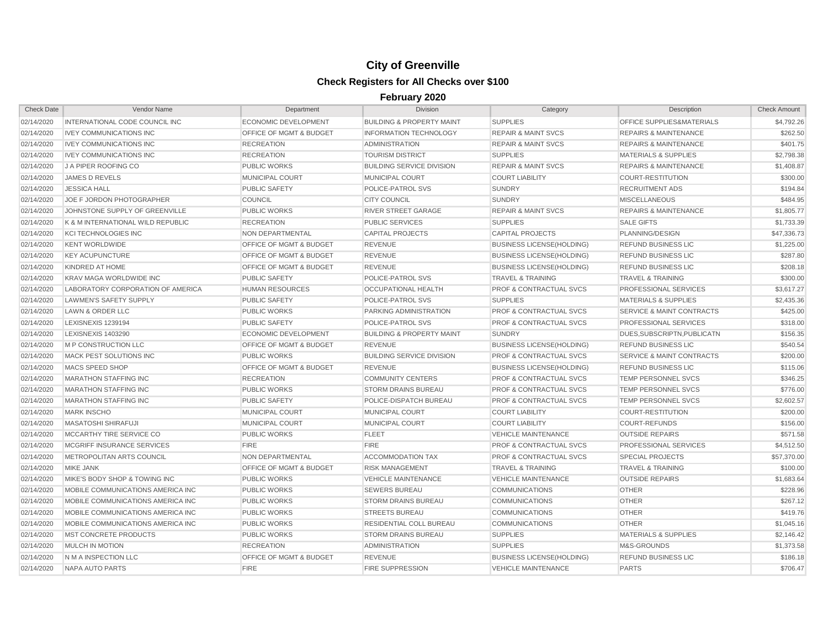| <b>Check Date</b> | Vendor Name                       | Department                         | <b>Division</b>                      | Category                           | Description                          | <b>Check Amount</b> |
|-------------------|-----------------------------------|------------------------------------|--------------------------------------|------------------------------------|--------------------------------------|---------------------|
| 02/14/2020        | INTERNATIONAL CODE COUNCIL INC    | <b>ECONOMIC DEVELOPMENT</b>        | <b>BUILDING &amp; PROPERTY MAINT</b> | <b>SUPPLIES</b>                    | OFFICE SUPPLIES&MATERIALS            | \$4,792.26          |
| 02/14/2020        | <b>IVEY COMMUNICATIONS INC</b>    | OFFICE OF MGMT & BUDGET            | <b>INFORMATION TECHNOLOGY</b>        | <b>REPAIR &amp; MAINT SVCS</b>     | <b>REPAIRS &amp; MAINTENANCE</b>     | \$262.50            |
| 02/14/2020        | <b>IVEY COMMUNICATIONS INC</b>    | <b>RECREATION</b>                  | <b>ADMINISTRATION</b>                | <b>REPAIR &amp; MAINT SVCS</b>     | <b>REPAIRS &amp; MAINTENANCE</b>     | \$401.75            |
| 02/14/2020        | <b>IVEY COMMUNICATIONS INC</b>    | <b>RECREATION</b>                  | <b>TOURISM DISTRICT</b>              | <b>SUPPLIES</b>                    | <b>MATERIALS &amp; SUPPLIES</b>      | \$2,798.38          |
| 02/14/2020        | J A PIPER ROOFING CO              | <b>PUBLIC WORKS</b>                | <b>BUILDING SERVICE DIVISION</b>     | <b>REPAIR &amp; MAINT SVCS</b>     | <b>REPAIRS &amp; MAINTENANCE</b>     | \$1,408.87          |
| 02/14/2020        | <b>JAMES D REVELS</b>             | <b>MUNICIPAL COURT</b>             | MUNICIPAL COURT                      | <b>COURT LIABILITY</b>             | <b>COURT-RESTITUTION</b>             | \$300.00            |
| 02/14/2020        | <b>JESSICA HALL</b>               | <b>PUBLIC SAFETY</b>               | POLICE-PATROL SVS                    | <b>SUNDRY</b>                      | <b>RECRUITMENT ADS</b>               | \$194.84            |
| 02/14/2020        | JOE F JORDON PHOTOGRAPHER         | <b>COUNCIL</b>                     | <b>CITY COUNCIL</b>                  | <b>SUNDRY</b>                      | <b>MISCELLANEOUS</b>                 | \$484.95            |
| 02/14/2020        | JOHNSTONE SUPPLY OF GREENVILLE    | <b>PUBLIC WORKS</b>                | <b>RIVER STREET GARAGE</b>           | <b>REPAIR &amp; MAINT SVCS</b>     | <b>REPAIRS &amp; MAINTENANCE</b>     | \$1,805.77          |
| 02/14/2020        | K & M INTERNATIONAL WILD REPUBLIC | <b>RECREATION</b>                  | <b>PUBLIC SERVICES</b>               | <b>SUPPLIES</b>                    | <b>SALE GIFTS</b>                    | \$1,733.39          |
| 02/14/2020        | <b>KCI TECHNOLOGIES INC</b>       | NON DEPARTMENTAL                   | <b>CAPITAL PROJECTS</b>              | <b>CAPITAL PROJECTS</b>            | PLANNING/DESIGN                      | \$47,336,73         |
| 02/14/2020        | <b>KENT WORLDWIDE</b>             | <b>OFFICE OF MGMT &amp; BUDGET</b> | <b>REVENUE</b>                       | <b>BUSINESS LICENSE(HOLDING)</b>   | <b>REFUND BUSINESS LIC</b>           | \$1,225.00          |
| 02/14/2020        | <b>KEY ACUPUNCTURE</b>            | <b>OFFICE OF MGMT &amp; BUDGET</b> | <b>REVENUE</b>                       | <b>BUSINESS LICENSE(HOLDING)</b>   | <b>REFUND BUSINESS LIC</b>           | \$287.80            |
| 02/14/2020        | KINDRED AT HOME                   | <b>OFFICE OF MGMT &amp; BUDGET</b> | <b>REVENUE</b>                       | <b>BUSINESS LICENSE(HOLDING)</b>   | <b>REFUND BUSINESS LIC</b>           | \$208.18            |
| 02/14/2020        | <b>KRAV MAGA WORLDWIDE INC</b>    | <b>PUBLIC SAFETY</b>               | POLICE-PATROL SVS                    | <b>TRAVEL &amp; TRAINING</b>       | <b>TRAVEL &amp; TRAINING</b>         | \$300.00            |
| 02/14/2020        | LABORATORY CORPORATION OF AMERICA | <b>HUMAN RESOURCES</b>             | <b>OCCUPATIONAL HEALTH</b>           | <b>PROF &amp; CONTRACTUAL SVCS</b> | PROFESSIONAL SERVICES                | \$3,617.27          |
| 02/14/2020        | LAWMEN'S SAFETY SUPPLY            | <b>PUBLIC SAFETY</b>               | POLICE-PATROL SVS                    | <b>SUPPLIES</b>                    | <b>MATERIALS &amp; SUPPLIES</b>      | \$2,435.36          |
| 02/14/2020        | <b>LAWN &amp; ORDER LLC</b>       | <b>PUBLIC WORKS</b>                | PARKING ADMINISTRATION               | <b>PROF &amp; CONTRACTUAL SVCS</b> | <b>SERVICE &amp; MAINT CONTRACTS</b> | \$425.00            |
| 02/14/2020        | LEXISNEXIS 1239194                | <b>PUBLIC SAFETY</b>               | POLICE-PATROL SVS                    | <b>PROF &amp; CONTRACTUAL SVCS</b> | PROFESSIONAL SERVICES                | \$318.00            |
| 02/14/2020        | LEXISNEXIS 1403290                | <b>ECONOMIC DEVELOPMENT</b>        | <b>BUILDING &amp; PROPERTY MAINT</b> | <b>SUNDRY</b>                      | DUES.SUBSCRIPTN.PUBLICATN            | \$156.35            |
| 02/14/2020        | M P CONSTRUCTION LLC              | <b>OFFICE OF MGMT &amp; BUDGET</b> | <b>REVENUE</b>                       | <b>BUSINESS LICENSE(HOLDING)</b>   | <b>REFUND BUSINESS LIC</b>           | \$540.54            |
| 02/14/2020        | <b>MACK PEST SOLUTIONS INC</b>    | <b>PUBLIC WORKS</b>                | <b>BUILDING SERVICE DIVISION</b>     | <b>PROF &amp; CONTRACTUAL SVCS</b> | <b>SERVICE &amp; MAINT CONTRACTS</b> | \$200.00            |
| 02/14/2020        | <b>MACS SPEED SHOP</b>            | <b>OFFICE OF MGMT &amp; BUDGET</b> | <b>REVENUE</b>                       | <b>BUSINESS LICENSE(HOLDING)</b>   | <b>REFUND BUSINESS LIC</b>           | \$115.06            |
| 02/14/2020        | <b>MARATHON STAFFING INC</b>      | <b>RECREATION</b>                  | <b>COMMUNITY CENTERS</b>             | <b>PROF &amp; CONTRACTUAL SVCS</b> | TEMP PERSONNEL SVCS                  | \$346.25            |
| 02/14/2020        | <b>MARATHON STAFFING INC</b>      | <b>PUBLIC WORKS</b>                | <b>STORM DRAINS BUREAU</b>           | <b>PROF &amp; CONTRACTUAL SVCS</b> | <b>TEMP PERSONNEL SVCS</b>           | \$776.00            |
| 02/14/2020        | <b>MARATHON STAFFING INC</b>      | <b>PUBLIC SAFETY</b>               | POLICE-DISPATCH BUREAU               | <b>PROF &amp; CONTRACTUAL SVCS</b> | <b>TEMP PERSONNEL SVCS</b>           | \$2,602.57          |
| 02/14/2020        | <b>MARK INSCHO</b>                | <b>MUNICIPAL COURT</b>             | MUNICIPAL COURT                      | <b>COURT LIABILITY</b>             | <b>COURT-RESTITUTION</b>             | \$200.00            |
| 02/14/2020        | MASATOSHI SHIRAFUJI               | <b>MUNICIPAL COURT</b>             | MUNICIPAL COURT                      | <b>COURT LIABILITY</b>             | <b>COURT-REFUNDS</b>                 | \$156.00            |
| 02/14/2020        | MCCARTHY TIRE SERVICE CO          | <b>PUBLIC WORKS</b>                | <b>FLEET</b>                         | <b>VEHICLE MAINTENANCE</b>         | <b>OUTSIDE REPAIRS</b>               | \$571.58            |
| 02/14/2020        | MCGRIFF INSURANCE SERVICES        | <b>FIRE</b>                        | <b>FIRE</b>                          | <b>PROF &amp; CONTRACTUAL SVCS</b> | PROFESSIONAL SERVICES                | \$4,512.50          |
| 02/14/2020        | METROPOLITAN ARTS COUNCIL         | <b>NON DEPARTMENTAL</b>            | <b>ACCOMMODATION TAX</b>             | <b>PROF &amp; CONTRACTUAL SVCS</b> | <b>SPECIAL PROJECTS</b>              | \$57,370.00         |
| 02/14/2020        | <b>MIKE JANK</b>                  | <b>OFFICE OF MGMT &amp; BUDGET</b> | <b>RISK MANAGEMENT</b>               | <b>TRAVEL &amp; TRAINING</b>       | <b>TRAVEL &amp; TRAINING</b>         | \$100.00            |
| 02/14/2020        | MIKE'S BODY SHOP & TOWING INC     | <b>PUBLIC WORKS</b>                | <b>VEHICLE MAINTENANCE</b>           | <b>VEHICLE MAINTENANCE</b>         | <b>OUTSIDE REPAIRS</b>               | \$1,683.64          |
| 02/14/2020        | MOBILE COMMUNICATIONS AMERICA INC | <b>PUBLIC WORKS</b>                | <b>SEWERS BUREAU</b>                 | <b>COMMUNICATIONS</b>              | <b>OTHER</b>                         | \$228.96            |
| 02/14/2020        | MOBILE COMMUNICATIONS AMERICA INC | <b>PUBLIC WORKS</b>                | <b>STORM DRAINS BUREAU</b>           | <b>COMMUNICATIONS</b>              | <b>OTHER</b>                         | \$267.12            |
| 02/14/2020        | MOBILE COMMUNICATIONS AMERICA INC | <b>PUBLIC WORKS</b>                | <b>STREETS BUREAU</b>                | <b>COMMUNICATIONS</b>              | <b>OTHER</b>                         | \$419.76            |
| 02/14/2020        | MOBILE COMMUNICATIONS AMERICA INC | <b>PUBLIC WORKS</b>                | <b>RESIDENTIAL COLL BUREAU</b>       | <b>COMMUNICATIONS</b>              | <b>OTHER</b>                         | \$1,045.16          |
| 02/14/2020        | <b>MST CONCRETE PRODUCTS</b>      | <b>PUBLIC WORKS</b>                | <b>STORM DRAINS BUREAU</b>           | <b>SUPPLIES</b>                    | <b>MATERIALS &amp; SUPPLIES</b>      | \$2,146.42          |
| 02/14/2020        | <b>MULCH IN MOTION</b>            | <b>RECREATION</b>                  | <b>ADMINISTRATION</b>                | <b>SUPPLIES</b>                    | M&S-GROUNDS                          | \$1,373.58          |
| 02/14/2020        | N M A INSPECTION LLC              | OFFICE OF MGMT & BUDGET            | <b>REVENUE</b>                       | <b>BUSINESS LICENSE(HOLDING)</b>   | <b>REFUND BUSINESS LIC</b>           | \$186.18            |
| 02/14/2020        | NAPA AUTO PARTS                   | <b>FIRE</b>                        | <b>FIRE SUPPRESSION</b>              | <b>VEHICLE MAINTENANCE</b>         | <b>PARTS</b>                         | \$706.47            |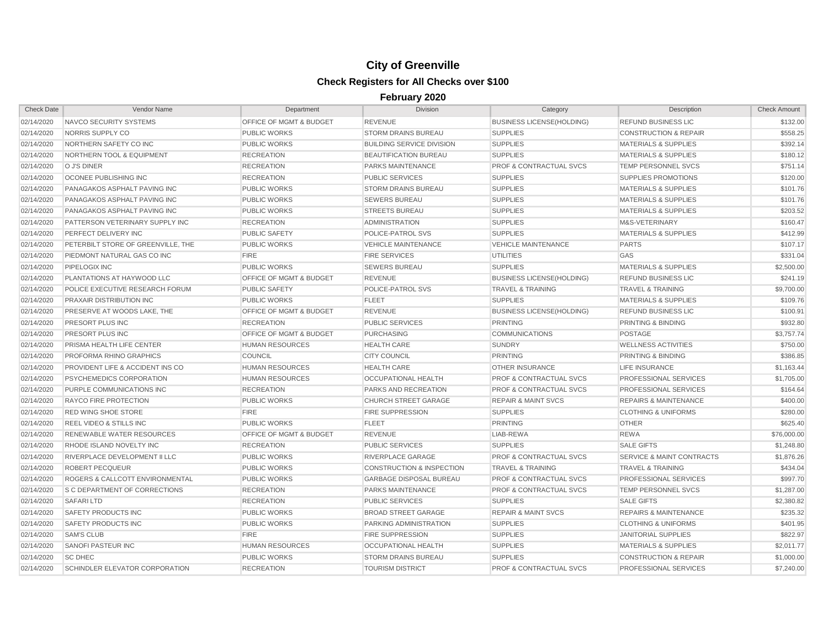| <b>Check Date</b> | <b>Vendor Name</b>                   | Department              | <b>Division</b>                      | Category                           | Description                          | <b>Check Amount</b> |
|-------------------|--------------------------------------|-------------------------|--------------------------------------|------------------------------------|--------------------------------------|---------------------|
| 02/14/2020        | NAVCO SECURITY SYSTEMS               | OFFICE OF MGMT & BUDGET | <b>REVENUE</b>                       | <b>BUSINESS LICENSE(HOLDING)</b>   | <b>REFUND BUSINESS LIC</b>           | \$132.00            |
| 02/14/2020        | NORRIS SUPPLY CO                     | <b>PUBLIC WORKS</b>     | <b>STORM DRAINS BUREAU</b>           | <b>SUPPLIES</b>                    | <b>CONSTRUCTION &amp; REPAIR</b>     | \$558.25            |
| 02/14/2020        | NORTHERN SAFETY CO INC               | <b>PUBLIC WORKS</b>     | <b>BUILDING SERVICE DIVISION</b>     | <b>SUPPLIES</b>                    | <b>MATERIALS &amp; SUPPLIES</b>      | \$392.14            |
| 02/14/2020        | <b>NORTHERN TOOL &amp; EQUIPMENT</b> | <b>RECREATION</b>       | <b>BEAUTIFICATION BUREAU</b>         | <b>SUPPLIES</b>                    | <b>MATERIALS &amp; SUPPLIES</b>      | \$180.12            |
| 02/14/2020        | O J'S DINER                          | <b>RECREATION</b>       | <b>PARKS MAINTENANCE</b>             | <b>PROF &amp; CONTRACTUAL SVCS</b> | TEMP PERSONNEL SVCS                  | \$751.14            |
| 02/14/2020        | OCONEE PUBLISHING INC                | <b>RECREATION</b>       | <b>PUBLIC SERVICES</b>               | <b>SUPPLIES</b>                    | <b>SUPPLIES PROMOTIONS</b>           | \$120.00            |
| 02/14/2020        | PANAGAKOS ASPHALT PAVING INC         | <b>PUBLIC WORKS</b>     | <b>STORM DRAINS BUREAU</b>           | <b>SUPPLIES</b>                    | <b>MATERIALS &amp; SUPPLIES</b>      | \$101.76            |
| 02/14/2020        | PANAGAKOS ASPHALT PAVING INC         | <b>PUBLIC WORKS</b>     | <b>SEWERS BUREAU</b>                 | <b>SUPPLIES</b>                    | <b>MATERIALS &amp; SUPPLIES</b>      | \$101.76            |
| 02/14/2020        | PANAGAKOS ASPHALT PAVING INC         | <b>PUBLIC WORKS</b>     | <b>STREETS BUREAU</b>                | <b>SUPPLIES</b>                    | <b>MATERIALS &amp; SUPPLIES</b>      | \$203.52            |
| 02/14/2020        | PATTERSON VETERINARY SUPPLY INC      | <b>RECREATION</b>       | <b>ADMINISTRATION</b>                | <b>SUPPLIES</b>                    | M&S-VETERINARY                       | \$160.47            |
| 02/14/2020        | PERFECT DELIVERY INC                 | <b>PUBLIC SAFETY</b>    | POLICE-PATROL SVS                    | <b>SUPPLIES</b>                    | <b>MATERIALS &amp; SUPPLIES</b>      | \$412.99            |
| 02/14/2020        | PETERBILT STORE OF GREENVILLE, THE   | <b>PUBLIC WORKS</b>     | <b>VEHICLE MAINTENANCE</b>           | <b>VEHICLE MAINTENANCE</b>         | <b>PARTS</b>                         | \$107.17            |
| 02/14/2020        | PIEDMONT NATURAL GAS CO INC          | <b>FIRE</b>             | <b>FIRE SERVICES</b>                 | <b>UTILITIES</b>                   | GAS                                  | \$331.04            |
| 02/14/2020        | PIPELOGIX INC                        | <b>PUBLIC WORKS</b>     | <b>SEWERS BUREAU</b>                 | <b>SUPPLIES</b>                    | <b>MATERIALS &amp; SUPPLIES</b>      | \$2,500.00          |
| 02/14/2020        | PLANTATIONS AT HAYWOOD LLC           | OFFICE OF MGMT & BUDGET | <b>REVENUE</b>                       | <b>BUSINESS LICENSE(HOLDING)</b>   | <b>REFUND BUSINESS LIC</b>           | \$241.19            |
| 02/14/2020        | POLICE EXECUTIVE RESEARCH FORUM      | <b>PUBLIC SAFETY</b>    | POLICE-PATROL SVS                    | <b>TRAVEL &amp; TRAINING</b>       | <b>TRAVEL &amp; TRAINING</b>         | \$9,700.00          |
| 02/14/2020        | PRAXAIR DISTRIBUTION INC             | <b>PUBLIC WORKS</b>     | <b>FLEET</b>                         | <b>SUPPLIES</b>                    | <b>MATERIALS &amp; SUPPLIES</b>      | \$109.76            |
| 02/14/2020        | PRESERVE AT WOODS LAKE, THE          | OFFICE OF MGMT & BUDGET | <b>REVENUE</b>                       | <b>BUSINESS LICENSE(HOLDING)</b>   | <b>REFUND BUSINESS LIC</b>           | \$100.91            |
| 02/14/2020        | PRESORT PLUS INC                     | <b>RECREATION</b>       | <b>PUBLIC SERVICES</b>               | <b>PRINTING</b>                    | PRINTING & BINDING                   | \$932.80            |
| 02/14/2020        | PRESORT PLUS INC                     | OFFICE OF MGMT & BUDGET | <b>PURCHASING</b>                    | <b>COMMUNICATIONS</b>              | <b>POSTAGE</b>                       | \$3,757.74          |
| 02/14/2020        | PRISMA HEALTH LIFE CENTER            | <b>HUMAN RESOURCES</b>  | <b>HEALTH CARE</b>                   | <b>SUNDRY</b>                      | <b>WELLNESS ACTIVITIES</b>           | \$750.00            |
| 02/14/2020        | PROFORMA RHINO GRAPHICS              | <b>COUNCIL</b>          | <b>CITY COUNCIL</b>                  | <b>PRINTING</b>                    | PRINTING & BINDING                   | \$386.85            |
| 02/14/2020        | PROVIDENT LIFE & ACCIDENT INS CO     | <b>HUMAN RESOURCES</b>  | <b>HEALTH CARE</b>                   | <b>OTHER INSURANCE</b>             | <b>LIFE INSURANCE</b>                | \$1,163.44          |
| 02/14/2020        | PSYCHEMEDICS CORPORATION             | <b>HUMAN RESOURCES</b>  | <b>OCCUPATIONAL HEALTH</b>           | <b>PROF &amp; CONTRACTUAL SVCS</b> | PROFESSIONAL SERVICES                | \$1,705.00          |
| 02/14/2020        | PURPLE COMMUNICATIONS INC            | <b>RECREATION</b>       | PARKS AND RECREATION                 | <b>PROF &amp; CONTRACTUAL SVCS</b> | PROFESSIONAL SERVICES                | \$164.64            |
| 02/14/2020        | <b>RAYCO FIRE PROTECTION</b>         | <b>PUBLIC WORKS</b>     | <b>CHURCH STREET GARAGE</b>          | <b>REPAIR &amp; MAINT SVCS</b>     | <b>REPAIRS &amp; MAINTENANCE</b>     | \$400.00            |
| 02/14/2020        | <b>RED WING SHOE STORE</b>           | <b>FIRE</b>             | <b>FIRE SUPPRESSION</b>              | <b>SUPPLIES</b>                    | <b>CLOTHING &amp; UNIFORMS</b>       | \$280.00            |
| 02/14/2020        | <b>REEL VIDEO &amp; STILLS INC</b>   | <b>PUBLIC WORKS</b>     | <b>FLEET</b>                         | <b>PRINTING</b>                    | <b>OTHER</b>                         | \$625.40            |
| 02/14/2020        | <b>RENEWABLE WATER RESOURCES</b>     | OFFICE OF MGMT & BUDGET | <b>REVENUE</b>                       | LIAB-REWA                          | <b>REWA</b>                          | \$76,000.00         |
| 02/14/2020        | RHODE ISLAND NOVELTY INC             | <b>RECREATION</b>       | <b>PUBLIC SERVICES</b>               | <b>SUPPLIES</b>                    | <b>SALE GIFTS</b>                    | \$1,248.80          |
| 02/14/2020        | RIVERPLACE DEVELOPMENT II LLC        | <b>PUBLIC WORKS</b>     | RIVERPLACE GARAGE                    | <b>PROF &amp; CONTRACTUAL SVCS</b> | <b>SERVICE &amp; MAINT CONTRACTS</b> | \$1,876.26          |
| 02/14/2020        | ROBERT PECQUEUR                      | <b>PUBLIC WORKS</b>     | <b>CONSTRUCTION &amp; INSPECTION</b> | <b>TRAVEL &amp; TRAINING</b>       | <b>TRAVEL &amp; TRAINING</b>         | \$434.04            |
| 02/14/2020        | ROGERS & CALLCOTT ENVIRONMENTAL      | <b>PUBLIC WORKS</b>     | <b>GARBAGE DISPOSAL BUREAU</b>       | <b>PROF &amp; CONTRACTUAL SVCS</b> | PROFESSIONAL SERVICES                | \$997.70            |
| 02/14/2020        | <b>S C DEPARTMENT OF CORRECTIONS</b> | <b>RECREATION</b>       | <b>PARKS MAINTENANCE</b>             | <b>PROF &amp; CONTRACTUAL SVCS</b> | TEMP PERSONNEL SVCS                  | \$1,287.00          |
| 02/14/2020        | <b>SAFARILTD</b>                     | <b>RECREATION</b>       | <b>PUBLIC SERVICES</b>               | <b>SUPPLIES</b>                    | <b>SALE GIFTS</b>                    | \$2,380.82          |
| 02/14/2020        | <b>SAFETY PRODUCTS INC</b>           | <b>PUBLIC WORKS</b>     | <b>BROAD STREET GARAGE</b>           | <b>REPAIR &amp; MAINT SVCS</b>     | <b>REPAIRS &amp; MAINTENANCE</b>     | \$235.32            |
| 02/14/2020        | SAFETY PRODUCTS INC                  | <b>PUBLIC WORKS</b>     | PARKING ADMINISTRATION               | <b>SUPPLIES</b>                    | <b>CLOTHING &amp; UNIFORMS</b>       | \$401.95            |
| 02/14/2020        | <b>SAM'S CLUB</b>                    | <b>FIRE</b>             | <b>FIRE SUPPRESSION</b>              | <b>SUPPLIES</b>                    | <b>JANITORIAL SUPPLIES</b>           | \$822.97            |
| 02/14/2020        | <b>SANOFI PASTEUR INC</b>            | <b>HUMAN RESOURCES</b>  | OCCUPATIONAL HEALTH                  | <b>SUPPLIES</b>                    | <b>MATERIALS &amp; SUPPLIES</b>      | \$2,011.77          |
| 02/14/2020        | <b>SC DHEC</b>                       | <b>PUBLIC WORKS</b>     | <b>STORM DRAINS BUREAU</b>           | <b>SUPPLIES</b>                    | <b>CONSTRUCTION &amp; REPAIR</b>     | \$1,000.00          |
| 02/14/2020        | SCHINDLER ELEVATOR CORPORATION       | <b>RECREATION</b>       | <b>TOURISM DISTRICT</b>              | <b>PROF &amp; CONTRACTUAL SVCS</b> | PROFESSIONAL SERVICES                | \$7,240.00          |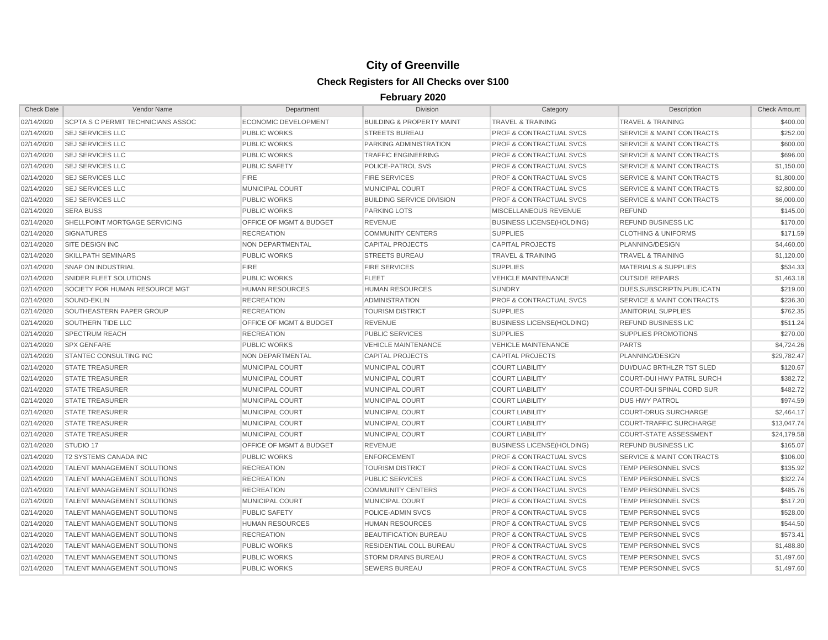| <b>Check Date</b> | Vendor Name                               | Department                         | <b>Division</b>                      | Category                           | Description                          | <b>Check Amount</b> |
|-------------------|-------------------------------------------|------------------------------------|--------------------------------------|------------------------------------|--------------------------------------|---------------------|
| 02/14/2020        | <b>SCPTA S C PERMIT TECHNICIANS ASSOC</b> | ECONOMIC DEVELOPMENT               | <b>BUILDING &amp; PROPERTY MAINT</b> | <b>TRAVEL &amp; TRAINING</b>       | <b>TRAVEL &amp; TRAINING</b>         | \$400.00            |
| 02/14/2020        | <b>SEJ SERVICES LLC</b>                   | <b>PUBLIC WORKS</b>                | <b>STREETS BUREAU</b>                | <b>PROF &amp; CONTRACTUAL SVCS</b> | SERVICE & MAINT CONTRACTS            | \$252.00            |
| 02/14/2020        | <b>SEJ SERVICES LLC</b>                   | <b>PUBLIC WORKS</b>                | PARKING ADMINISTRATION               | <b>PROF &amp; CONTRACTUAL SVCS</b> | <b>SERVICE &amp; MAINT CONTRACTS</b> | \$600.00            |
| 02/14/2020        | <b>SEJ SERVICES LLC</b>                   | <b>PUBLIC WORKS</b>                | <b>TRAFFIC ENGINEERING</b>           | <b>PROF &amp; CONTRACTUAL SVCS</b> | SERVICE & MAINT CONTRACTS            | \$696.00            |
| 02/14/2020        | <b>SEJ SERVICES LLC</b>                   | <b>PUBLIC SAFETY</b>               | POLICE-PATROL SVS                    | <b>PROF &amp; CONTRACTUAL SVCS</b> | <b>SERVICE &amp; MAINT CONTRACTS</b> | \$1,150.00          |
| 02/14/2020        | <b>SEJ SERVICES LLC</b>                   | <b>FIRE</b>                        | <b>FIRE SERVICES</b>                 | <b>PROF &amp; CONTRACTUAL SVCS</b> | <b>SERVICE &amp; MAINT CONTRACTS</b> | \$1,800.00          |
| 02/14/2020        | <b>SEJ SERVICES LLC</b>                   | MUNICIPAL COURT                    | MUNICIPAL COURT                      | <b>PROF &amp; CONTRACTUAL SVCS</b> | <b>SERVICE &amp; MAINT CONTRACTS</b> | \$2,800.00          |
| 02/14/2020        | <b>SEJ SERVICES LLC</b>                   | <b>PUBLIC WORKS</b>                | <b>BUILDING SERVICE DIVISION</b>     | <b>PROF &amp; CONTRACTUAL SVCS</b> | <b>SERVICE &amp; MAINT CONTRACTS</b> | \$6,000.00          |
| 02/14/2020        | <b>SERA BUSS</b>                          | <b>PUBLIC WORKS</b>                | <b>PARKING LOTS</b>                  | MISCELLANEOUS REVENUE              | <b>REFUND</b>                        | \$145.00            |
| 02/14/2020        | SHELLPOINT MORTGAGE SERVICING             | OFFICE OF MGMT & BUDGET            | <b>REVENUE</b>                       | <b>BUSINESS LICENSE(HOLDING)</b>   | <b>REFUND BUSINESS LIC</b>           | \$170.00            |
| 02/14/2020        | <b>SIGNATURES</b>                         | <b>RECREATION</b>                  | <b>COMMUNITY CENTERS</b>             | <b>SUPPLIES</b>                    | <b>CLOTHING &amp; UNIFORMS</b>       | \$171.59            |
| 02/14/2020        | SITE DESIGN INC                           | NON DEPARTMENTAL                   | <b>CAPITAL PROJECTS</b>              | <b>CAPITAL PROJECTS</b>            | PLANNING/DESIGN                      | \$4,460.00          |
| 02/14/2020        | SKILLPATH SEMINARS                        | <b>PUBLIC WORKS</b>                | <b>STREETS BUREAU</b>                | <b>TRAVEL &amp; TRAINING</b>       | <b>TRAVEL &amp; TRAINING</b>         | \$1,120.00          |
| 02/14/2020        | <b>SNAP ON INDUSTRIAL</b>                 | <b>FIRE</b>                        | <b>FIRE SERVICES</b>                 | <b>SUPPLIES</b>                    | <b>MATERIALS &amp; SUPPLIES</b>      | \$534.33            |
| 02/14/2020        | SNIDER FLEET SOLUTIONS                    | <b>PUBLIC WORKS</b>                | <b>FLEET</b>                         | <b>VEHICLE MAINTENANCE</b>         | <b>OUTSIDE REPAIRS</b>               | \$1,463.18          |
| 02/14/2020        | SOCIETY FOR HUMAN RESOURCE MGT            | <b>HUMAN RESOURCES</b>             | <b>HUMAN RESOURCES</b>               | <b>SUNDRY</b>                      | DUES, SUBSCRIPTN, PUBLICATN          | \$219.00            |
| 02/14/2020        | SOUND-EKLIN                               | <b>RECREATION</b>                  | <b>ADMINISTRATION</b>                | <b>PROF &amp; CONTRACTUAL SVCS</b> | <b>SERVICE &amp; MAINT CONTRACTS</b> | \$236.30            |
| 02/14/2020        | SOUTHEASTERN PAPER GROUP                  | <b>RECREATION</b>                  | <b>TOURISM DISTRICT</b>              | <b>SUPPLIES</b>                    | <b>JANITORIAL SUPPLIES</b>           | \$762.35            |
| 02/14/2020        | <b>SOUTHERN TIDE LLC</b>                  | <b>OFFICE OF MGMT &amp; BUDGET</b> | <b>REVENUE</b>                       | <b>BUSINESS LICENSE(HOLDING)</b>   | <b>REFUND BUSINESS LIC</b>           | \$511.24            |
| 02/14/2020        | <b>SPECTRUM REACH</b>                     | <b>RECREATION</b>                  | <b>PUBLIC SERVICES</b>               | <b>SUPPLIES</b>                    | SUPPLIES PROMOTIONS                  | \$270.00            |
| 02/14/2020        | <b>SPX GENFARE</b>                        | <b>PUBLIC WORKS</b>                | <b>VEHICLE MAINTENANCE</b>           | <b>VEHICLE MAINTENANCE</b>         | <b>PARTS</b>                         | \$4,724.26          |
| 02/14/2020        | STANTEC CONSULTING INC                    | <b>NON DEPARTMENTAL</b>            | <b>CAPITAL PROJECTS</b>              | <b>CAPITAL PROJECTS</b>            | PLANNING/DESIGN                      | \$29,782.47         |
| 02/14/2020        | <b>STATE TREASURER</b>                    | MUNICIPAL COURT                    | <b>MUNICIPAL COURT</b>               | <b>COURT LIABILITY</b>             | DUI/DUAC BRTHLZR TST SLED            | \$120.67            |
| 02/14/2020        | <b>STATE TREASURER</b>                    | MUNICIPAL COURT                    | MUNICIPAL COURT                      | <b>COURT LIABILITY</b>             | <b>COURT-DUI HWY PATRL SURCH</b>     | \$382.72            |
| 02/14/2020        | <b>STATE TREASURER</b>                    | MUNICIPAL COURT                    | MUNICIPAL COURT                      | <b>COURT LIABILITY</b>             | <b>COURT-DUI SPINAL CORD SUR</b>     | \$482.72            |
| 02/14/2020        | <b>STATE TREASURER</b>                    | <b>MUNICIPAL COURT</b>             | MUNICIPAL COURT                      | <b>COURT LIABILITY</b>             | <b>DUS HWY PATROL</b>                | \$974.59            |
| 02/14/2020        | <b>STATE TREASURER</b>                    | MUNICIPAL COURT                    | MUNICIPAL COURT                      | <b>COURT LIABILITY</b>             | <b>COURT-DRUG SURCHARGE</b>          | \$2,464.17          |
| 02/14/2020        | <b>STATE TREASURER</b>                    | MUNICIPAL COURT                    | MUNICIPAL COURT                      | <b>COURT LIABILITY</b>             | COURT-TRAFFIC SURCHARGE              | \$13,047.74         |
| 02/14/2020        | <b>STATE TREASURER</b>                    | MUNICIPAL COURT                    | MUNICIPAL COURT                      | <b>COURT LIABILITY</b>             | <b>COURT-STATE ASSESSMENT</b>        | \$24,179.58         |
| 02/14/2020        | STUDIO 17                                 | OFFICE OF MGMT & BUDGET            | <b>REVENUE</b>                       | <b>BUSINESS LICENSE(HOLDING)</b>   | <b>REFUND BUSINESS LIC</b>           | \$165.07            |
| 02/14/2020        | T2 SYSTEMS CANADA INC                     | <b>PUBLIC WORKS</b>                | <b>ENFORCEMENT</b>                   | <b>PROF &amp; CONTRACTUAL SVCS</b> | <b>SERVICE &amp; MAINT CONTRACTS</b> | \$106.00            |
| 02/14/2020        | <b>TALENT MANAGEMENT SOLUTIONS</b>        | <b>RECREATION</b>                  | <b>TOURISM DISTRICT</b>              | <b>PROF &amp; CONTRACTUAL SVCS</b> | TEMP PERSONNEL SVCS                  | \$135.92            |
| 02/14/2020        | <b>TALENT MANAGEMENT SOLUTIONS</b>        | <b>RECREATION</b>                  | <b>PUBLIC SERVICES</b>               | <b>PROF &amp; CONTRACTUAL SVCS</b> | TEMP PERSONNEL SVCS                  | \$322.74            |
| 02/14/2020        | <b>TALENT MANAGEMENT SOLUTIONS</b>        | <b>RECREATION</b>                  | <b>COMMUNITY CENTERS</b>             | <b>PROF &amp; CONTRACTUAL SVCS</b> | TEMP PERSONNEL SVCS                  | \$485.76            |
| 02/14/2020        | TALENT MANAGEMENT SOLUTIONS               | MUNICIPAL COURT                    | MUNICIPAL COURT                      | <b>PROF &amp; CONTRACTUAL SVCS</b> | TEMP PERSONNEL SVCS                  | \$517.20            |
| 02/14/2020        | <b>TALENT MANAGEMENT SOLUTIONS</b>        | <b>PUBLIC SAFETY</b>               | POLICE-ADMIN SVCS                    | <b>PROF &amp; CONTRACTUAL SVCS</b> | TEMP PERSONNEL SVCS                  | \$528.00            |
| 02/14/2020        | <b>TALENT MANAGEMENT SOLUTIONS</b>        | <b>HUMAN RESOURCES</b>             | <b>HUMAN RESOURCES</b>               | <b>PROF &amp; CONTRACTUAL SVCS</b> | TEMP PERSONNEL SVCS                  | \$544.50            |
| 02/14/2020        | <b>TALENT MANAGEMENT SOLUTIONS</b>        | <b>RECREATION</b>                  | <b>BEAUTIFICATION BUREAU</b>         | <b>PROF &amp; CONTRACTUAL SVCS</b> | TEMP PERSONNEL SVCS                  | \$573.41            |
| 02/14/2020        | <b>TALENT MANAGEMENT SOLUTIONS</b>        | <b>PUBLIC WORKS</b>                | RESIDENTIAL COLL BUREAU              | <b>PROF &amp; CONTRACTUAL SVCS</b> | TEMP PERSONNEL SVCS                  | \$1,488.80          |
| 02/14/2020        | <b>TALENT MANAGEMENT SOLUTIONS</b>        | <b>PUBLIC WORKS</b>                | <b>STORM DRAINS BUREAU</b>           | <b>PROF &amp; CONTRACTUAL SVCS</b> | TEMP PERSONNEL SVCS                  | \$1,497.60          |
| 02/14/2020        | <b>TALENT MANAGEMENT SOLUTIONS</b>        | <b>PUBLIC WORKS</b>                | <b>SEWERS BUREAU</b>                 | <b>PROF &amp; CONTRACTUAL SVCS</b> | TEMP PERSONNEL SVCS                  | \$1,497.60          |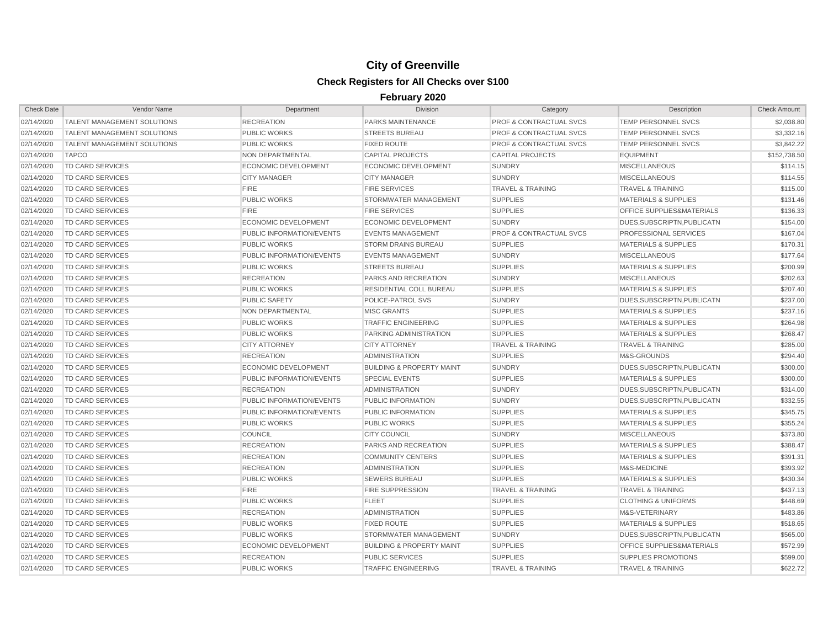| <b>Check Date</b> | Vendor Name                        | Department                  | <b>Division</b>                      | Category                           | Description                          | <b>Check Amount</b> |
|-------------------|------------------------------------|-----------------------------|--------------------------------------|------------------------------------|--------------------------------------|---------------------|
| 02/14/2020        | <b>TALENT MANAGEMENT SOLUTIONS</b> | <b>RECREATION</b>           | PARKS MAINTENANCE                    | <b>PROF &amp; CONTRACTUAL SVCS</b> | TEMP PERSONNEL SVCS                  | \$2,038.80          |
| 02/14/2020        | <b>TALENT MANAGEMENT SOLUTIONS</b> | <b>PUBLIC WORKS</b>         | <b>STREETS BUREAU</b>                | <b>PROF &amp; CONTRACTUAL SVCS</b> | <b>TEMP PERSONNEL SVCS</b>           | \$3,332.16          |
| 02/14/2020        | <b>TALENT MANAGEMENT SOLUTIONS</b> | <b>PUBLIC WORKS</b>         | <b>FIXED ROUTE</b>                   | <b>PROF &amp; CONTRACTUAL SVCS</b> | TEMP PERSONNEL SVCS                  | \$3,842.22          |
| 02/14/2020        | <b>TAPCO</b>                       | NON DEPARTMENTAL            | <b>CAPITAL PROJECTS</b>              | <b>CAPITAL PROJECTS</b>            | <b>EQUIPMENT</b>                     | \$152,738.50        |
| 02/14/2020        | <b>TD CARD SERVICES</b>            | ECONOMIC DEVELOPMENT        | <b>ECONOMIC DEVELOPMENT</b>          | <b>SUNDRY</b>                      | <b>MISCELLANEOUS</b>                 | \$114.15            |
| 02/14/2020        | <b>TD CARD SERVICES</b>            | <b>CITY MANAGER</b>         | <b>CITY MANAGER</b>                  | <b>SUNDRY</b>                      | <b>MISCELLANEOUS</b>                 | \$114.55            |
| 02/14/2020        | <b>TD CARD SERVICES</b>            | <b>FIRE</b>                 | <b>FIRE SERVICES</b>                 | <b>TRAVEL &amp; TRAINING</b>       | <b>TRAVEL &amp; TRAINING</b>         | \$115.00            |
| 02/14/2020        | <b>TD CARD SERVICES</b>            | <b>PUBLIC WORKS</b>         | STORMWATER MANAGEMENT                | <b>SUPPLIES</b>                    | <b>MATERIALS &amp; SUPPLIES</b>      | \$131.46            |
| 02/14/2020        | <b>TD CARD SERVICES</b>            | <b>FIRE</b>                 | <b>FIRE SERVICES</b>                 | <b>SUPPLIES</b>                    | <b>OFFICE SUPPLIES&amp;MATERIALS</b> | \$136.33            |
| 02/14/2020        | <b>TD CARD SERVICES</b>            | <b>ECONOMIC DEVELOPMENT</b> | <b>ECONOMIC DEVELOPMENT</b>          | <b>SUNDRY</b>                      | DUES.SUBSCRIPTN.PUBLICATN            | \$154.00            |
| 02/14/2020        | <b>TD CARD SERVICES</b>            | PUBLIC INFORMATION/EVENTS   | <b>EVENTS MANAGEMENT</b>             | <b>PROF &amp; CONTRACTUAL SVCS</b> | <b>PROFESSIONAL SERVICES</b>         | \$167.04            |
| 02/14/2020        | <b>TD CARD SERVICES</b>            | <b>PUBLIC WORKS</b>         | <b>STORM DRAINS BUREAU</b>           | <b>SUPPLIES</b>                    | <b>MATERIALS &amp; SUPPLIES</b>      | \$170.31            |
| 02/14/2020        | <b>TD CARD SERVICES</b>            | PUBLIC INFORMATION/EVENTS   | <b>EVENTS MANAGEMENT</b>             | <b>SUNDRY</b>                      | <b>MISCELLANEOUS</b>                 | \$177.64            |
| 02/14/2020        | <b>TD CARD SERVICES</b>            | <b>PUBLIC WORKS</b>         | <b>STREETS BUREAU</b>                | <b>SUPPLIES</b>                    | <b>MATERIALS &amp; SUPPLIES</b>      | \$200.99            |
| 02/14/2020        | <b>TD CARD SERVICES</b>            | <b>RECREATION</b>           | PARKS AND RECREATION                 | <b>SUNDRY</b>                      | <b>MISCELLANEOUS</b>                 | \$202.63            |
| 02/14/2020        | <b>TD CARD SERVICES</b>            | <b>PUBLIC WORKS</b>         | RESIDENTIAL COLL BUREAU              | <b>SUPPLIES</b>                    | <b>MATERIALS &amp; SUPPLIES</b>      | \$207.40            |
| 02/14/2020        | <b>TD CARD SERVICES</b>            | <b>PUBLIC SAFETY</b>        | POLICE-PATROL SVS                    | <b>SUNDRY</b>                      | DUES, SUBSCRIPTN, PUBLICATN          | \$237.00            |
| 02/14/2020        | <b>TD CARD SERVICES</b>            | NON DEPARTMENTAL            | <b>MISC GRANTS</b>                   | <b>SUPPLIES</b>                    | <b>MATERIALS &amp; SUPPLIES</b>      | \$237.16            |
| 02/14/2020        | <b>TD CARD SERVICES</b>            | <b>PUBLIC WORKS</b>         | <b>TRAFFIC ENGINEERING</b>           | <b>SUPPLIES</b>                    | <b>MATERIALS &amp; SUPPLIES</b>      | \$264.98            |
| 02/14/2020        | <b>TD CARD SERVICES</b>            | <b>PUBLIC WORKS</b>         | PARKING ADMINISTRATION               | <b>SUPPLIES</b>                    | <b>MATERIALS &amp; SUPPLIES</b>      | \$268.47            |
| 02/14/2020        | <b>TD CARD SERVICES</b>            | <b>CITY ATTORNEY</b>        | <b>CITY ATTORNEY</b>                 | <b>TRAVEL &amp; TRAINING</b>       | <b>TRAVEL &amp; TRAINING</b>         | \$285.00            |
| 02/14/2020        | <b>TD CARD SERVICES</b>            | <b>RECREATION</b>           | <b>ADMINISTRATION</b>                | <b>SUPPLIES</b>                    | M&S-GROUNDS                          | \$294.40            |
| 02/14/2020        | <b>TD CARD SERVICES</b>            | <b>ECONOMIC DEVELOPMENT</b> | <b>BUILDING &amp; PROPERTY MAINT</b> | <b>SUNDRY</b>                      | DUES, SUBSCRIPTN, PUBLICATN          | \$300.00            |
| 02/14/2020        | <b>TD CARD SERVICES</b>            | PUBLIC INFORMATION/EVENTS   | <b>SPECIAL EVENTS</b>                | <b>SUPPLIES</b>                    | <b>MATERIALS &amp; SUPPLIES</b>      | \$300.00            |
| 02/14/2020        | <b>TD CARD SERVICES</b>            | <b>RECREATION</b>           | <b>ADMINISTRATION</b>                | <b>SUNDRY</b>                      | DUES.SUBSCRIPTN.PUBLICATN            | \$314.00            |
| 02/14/2020        | <b>TD CARD SERVICES</b>            | PUBLIC INFORMATION/EVENTS   | PUBLIC INFORMATION                   | <b>SUNDRY</b>                      | DUES, SUBSCRIPTN, PUBLICATN          | \$332.55            |
| 02/14/2020        | <b>TD CARD SERVICES</b>            | PUBLIC INFORMATION/EVENTS   | PUBLIC INFORMATION                   | <b>SUPPLIES</b>                    | <b>MATERIALS &amp; SUPPLIES</b>      | \$345.75            |
| 02/14/2020        | <b>TD CARD SERVICES</b>            | <b>PUBLIC WORKS</b>         | <b>PUBLIC WORKS</b>                  | <b>SUPPLIES</b>                    | <b>MATERIALS &amp; SUPPLIES</b>      | \$355.24            |
| 02/14/2020        | <b>TD CARD SERVICES</b>            | <b>COUNCIL</b>              | <b>CITY COUNCIL</b>                  | <b>SUNDRY</b>                      | <b>MISCELLANEOUS</b>                 | \$373.80            |
| 02/14/2020        | <b>TD CARD SERVICES</b>            | <b>RECREATION</b>           | <b>PARKS AND RECREATION</b>          | <b>SUPPLIES</b>                    | <b>MATERIALS &amp; SUPPLIES</b>      | \$388.47            |
| 02/14/2020        | <b>TD CARD SERVICES</b>            | <b>RECREATION</b>           | <b>COMMUNITY CENTERS</b>             | <b>SUPPLIES</b>                    | <b>MATERIALS &amp; SUPPLIES</b>      | \$391.31            |
| 02/14/2020        | <b>TD CARD SERVICES</b>            | <b>RECREATION</b>           | <b>ADMINISTRATION</b>                | <b>SUPPLIES</b>                    | M&S-MEDICINE                         | \$393.92            |
| 02/14/2020        | <b>TD CARD SERVICES</b>            | <b>PUBLIC WORKS</b>         | <b>SEWERS BUREAU</b>                 | <b>SUPPLIES</b>                    | <b>MATERIALS &amp; SUPPLIES</b>      | \$430.34            |
| 02/14/2020        | <b>TD CARD SERVICES</b>            | <b>FIRE</b>                 | <b>FIRE SUPPRESSION</b>              | <b>TRAVEL &amp; TRAINING</b>       | <b>TRAVEL &amp; TRAINING</b>         | \$437.13            |
| 02/14/2020        | <b>TD CARD SERVICES</b>            | <b>PUBLIC WORKS</b>         | <b>FLEET</b>                         | <b>SUPPLIES</b>                    | <b>CLOTHING &amp; UNIFORMS</b>       | \$448.69            |
| 02/14/2020        | <b>TD CARD SERVICES</b>            | <b>RECREATION</b>           | <b>ADMINISTRATION</b>                | <b>SUPPLIES</b>                    | M&S-VETERINARY                       | \$483.86            |
| 02/14/2020        | <b>TD CARD SERVICES</b>            | <b>PUBLIC WORKS</b>         | <b>FIXED ROUTE</b>                   | <b>SUPPLIES</b>                    | <b>MATERIALS &amp; SUPPLIES</b>      | \$518.65            |
| 02/14/2020        | <b>TD CARD SERVICES</b>            | <b>PUBLIC WORKS</b>         | STORMWATER MANAGEMENT                | <b>SUNDRY</b>                      | DUES.SUBSCRIPTN.PUBLICATN            | \$565.00            |
| 02/14/2020        | <b>TD CARD SERVICES</b>            | <b>ECONOMIC DEVELOPMENT</b> | <b>BUILDING &amp; PROPERTY MAINT</b> | <b>SUPPLIES</b>                    | <b>OFFICE SUPPLIES&amp;MATERIALS</b> | \$572.99            |
| 02/14/2020        | <b>TD CARD SERVICES</b>            | <b>RECREATION</b>           | <b>PUBLIC SERVICES</b>               | <b>SUPPLIES</b>                    | SUPPLIES PROMOTIONS                  | \$599.00            |
| 02/14/2020        | <b>TD CARD SERVICES</b>            | <b>PUBLIC WORKS</b>         | <b>TRAFFIC ENGINEERING</b>           | <b>TRAVEL &amp; TRAINING</b>       | <b>TRAVEL &amp; TRAINING</b>         | \$622.72            |
|                   |                                    |                             |                                      |                                    |                                      |                     |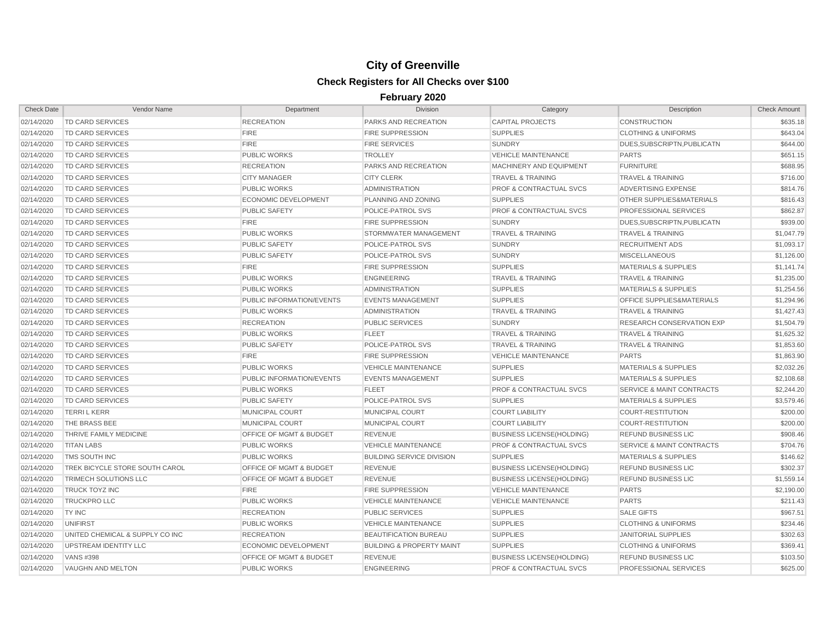| <b>Check Date</b> | <b>Vendor Name</b>              | Department                         | <b>Division</b>                      | Category                           | Description                          | <b>Check Amount</b> |
|-------------------|---------------------------------|------------------------------------|--------------------------------------|------------------------------------|--------------------------------------|---------------------|
| 02/14/2020        | <b>TD CARD SERVICES</b>         | <b>RECREATION</b>                  | PARKS AND RECREATION                 | <b>CAPITAL PROJECTS</b>            | <b>CONSTRUCTION</b>                  | \$635.18            |
| 02/14/2020        | <b>TD CARD SERVICES</b>         | <b>FIRE</b>                        | <b>FIRE SUPPRESSION</b>              | <b>SUPPLIES</b>                    | <b>CLOTHING &amp; UNIFORMS</b>       | \$643.04            |
| 02/14/2020        | <b>TD CARD SERVICES</b>         | <b>FIRE</b>                        | <b>FIRE SERVICES</b>                 | <b>SUNDRY</b>                      | DUES, SUBSCRIPTN, PUBLICATN          | \$644.00            |
| 02/14/2020        | <b>TD CARD SERVICES</b>         | <b>PUBLIC WORKS</b>                | <b>TROLLEY</b>                       | <b>VEHICLE MAINTENANCE</b>         | <b>PARTS</b>                         | \$651.15            |
| 02/14/2020        | <b>TD CARD SERVICES</b>         | <b>RECREATION</b>                  | PARKS AND RECREATION                 | <b>MACHINERY AND EQUIPMENT</b>     | <b>FURNITURE</b>                     | \$688.95            |
| 02/14/2020        | TD CARD SERVICES                | <b>CITY MANAGER</b>                | <b>CITY CLERK</b>                    | <b>TRAVEL &amp; TRAINING</b>       | <b>TRAVEL &amp; TRAINING</b>         | \$716.00            |
| 02/14/2020        | TD CARD SERVICES                | <b>PUBLIC WORKS</b>                | <b>ADMINISTRATION</b>                | <b>PROF &amp; CONTRACTUAL SVCS</b> | ADVERTISING EXPENSE                  | \$814.76            |
| 02/14/2020        | TD CARD SERVICES                | <b>ECONOMIC DEVELOPMENT</b>        | PLANNING AND ZONING                  | <b>SUPPLIES</b>                    | OTHER SUPPLIES&MATERIALS             | \$816.43            |
| 02/14/2020        | <b>TD CARD SERVICES</b>         | <b>PUBLIC SAFETY</b>               | POLICE-PATROL SVS                    | PROF & CONTRACTUAL SVCS            | <b>PROFESSIONAL SERVICES</b>         | \$862.87            |
| 02/14/2020        | <b>TD CARD SERVICES</b>         | <b>FIRE</b>                        | <b>FIRE SUPPRESSION</b>              | <b>SUNDRY</b>                      | DUES, SUBSCRIPTN, PUBLICATN          | \$939.00            |
| 02/14/2020        | <b>TD CARD SERVICES</b>         | <b>PUBLIC WORKS</b>                | STORMWATER MANAGEMENT                | <b>TRAVEL &amp; TRAINING</b>       | <b>TRAVEL &amp; TRAINING</b>         | \$1,047.79          |
| 02/14/2020        | <b>TD CARD SERVICES</b>         | <b>PUBLIC SAFETY</b>               | POLICE-PATROL SVS                    | <b>SUNDRY</b>                      | <b>RECRUITMENT ADS</b>               | \$1,093.17          |
| 02/14/2020        | <b>TD CARD SERVICES</b>         | <b>PUBLIC SAFETY</b>               | POLICE-PATROL SVS                    | <b>SUNDRY</b>                      | <b>MISCELLANEOUS</b>                 | \$1,126.00          |
| 02/14/2020        | <b>TD CARD SERVICES</b>         | <b>FIRE</b>                        | <b>FIRE SUPPRESSION</b>              | <b>SUPPLIES</b>                    | <b>MATERIALS &amp; SUPPLIES</b>      | \$1,141.74          |
| 02/14/2020        | TD CARD SERVICES                | <b>PUBLIC WORKS</b>                | <b>ENGINEERING</b>                   | <b>TRAVEL &amp; TRAINING</b>       | <b>TRAVEL &amp; TRAINING</b>         | \$1,235.00          |
| 02/14/2020        | TD CARD SERVICES                | <b>PUBLIC WORKS</b>                | <b>ADMINISTRATION</b>                | <b>SUPPLIES</b>                    | <b>MATERIALS &amp; SUPPLIES</b>      | \$1,254.56          |
| 02/14/2020        | <b>TD CARD SERVICES</b>         | PUBLIC INFORMATION/EVENTS          | <b>EVENTS MANAGEMENT</b>             | <b>SUPPLIES</b>                    | OFFICE SUPPLIES&MATERIALS            | \$1,294.96          |
| 02/14/2020        | <b>TD CARD SERVICES</b>         | <b>PUBLIC WORKS</b>                | <b>ADMINISTRATION</b>                | <b>TRAVEL &amp; TRAINING</b>       | <b>TRAVEL &amp; TRAINING</b>         | \$1,427.43          |
| 02/14/2020        | TD CARD SERVICES                | <b>RECREATION</b>                  | <b>PUBLIC SERVICES</b>               | <b>SUNDRY</b>                      | <b>RESEARCH CONSERVATION EXP</b>     | \$1,504.79          |
| 02/14/2020        | TD CARD SERVICES                | <b>PUBLIC WORKS</b>                | <b>FLEET</b>                         | <b>TRAVEL &amp; TRAINING</b>       | <b>TRAVEL &amp; TRAINING</b>         | \$1,625.32          |
| 02/14/2020        | TD CARD SERVICES                | <b>PUBLIC SAFETY</b>               | POLICE-PATROL SVS                    | <b>TRAVEL &amp; TRAINING</b>       | <b>TRAVEL &amp; TRAINING</b>         | \$1,853.60          |
| 02/14/2020        | <b>TD CARD SERVICES</b>         | <b>FIRE</b>                        | <b>FIRE SUPPRESSION</b>              | <b>VEHICLE MAINTENANCE</b>         | <b>PARTS</b>                         | \$1,863.90          |
| 02/14/2020        | TD CARD SERVICES                | <b>PUBLIC WORKS</b>                | <b>VEHICLE MAINTENANCE</b>           | <b>SUPPLIES</b>                    | <b>MATERIALS &amp; SUPPLIES</b>      | \$2,032.26          |
| 02/14/2020        | TD CARD SERVICES                | PUBLIC INFORMATION/EVENTS          | <b>EVENTS MANAGEMENT</b>             | <b>SUPPLIES</b>                    | <b>MATERIALS &amp; SUPPLIES</b>      | \$2,108.68          |
| 02/14/2020        | TD CARD SERVICES                | <b>PUBLIC WORKS</b>                | <b>FLEET</b>                         | <b>PROF &amp; CONTRACTUAL SVCS</b> | <b>SERVICE &amp; MAINT CONTRACTS</b> | \$2,244.20          |
| 02/14/2020        | TD CARD SERVICES                | <b>PUBLIC SAFETY</b>               | POLICE-PATROL SVS                    | <b>SUPPLIES</b>                    | <b>MATERIALS &amp; SUPPLIES</b>      | \$3,579.46          |
| 02/14/2020        | <b>TERRILKERR</b>               | MUNICIPAL COURT                    | MUNICIPAL COURT                      | <b>COURT LIABILITY</b>             | COURT-RESTITUTION                    | \$200.00            |
| 02/14/2020        | THE BRASS BEE                   | <b>MUNICIPAL COURT</b>             | MUNICIPAL COURT                      | <b>COURT LIABILITY</b>             | <b>COURT-RESTITUTION</b>             | \$200.00            |
| 02/14/2020        | THRIVE FAMILY MEDICINE          | OFFICE OF MGMT & BUDGET            | <b>REVENUE</b>                       | <b>BUSINESS LICENSE(HOLDING)</b>   | <b>REFUND BUSINESS LIC</b>           | \$908.46            |
| 02/14/2020        | <b>TITAN LABS</b>               | <b>PUBLIC WORKS</b>                | <b>VEHICLE MAINTENANCE</b>           | <b>PROF &amp; CONTRACTUAL SVCS</b> | <b>SERVICE &amp; MAINT CONTRACTS</b> | \$704.76            |
| 02/14/2020        | TMS SOUTH INC                   | <b>PUBLIC WORKS</b>                | <b>BUILDING SERVICE DIVISION</b>     | <b>SUPPLIES</b>                    | <b>MATERIALS &amp; SUPPLIES</b>      | \$146.62            |
| 02/14/2020        | TREK BICYCLE STORE SOUTH CAROL  | OFFICE OF MGMT & BUDGET            | <b>REVENUE</b>                       | <b>BUSINESS LICENSE(HOLDING)</b>   | <b>REFUND BUSINESS LIC</b>           | \$302.37            |
| 02/14/2020        | <b>TRIMECH SOLUTIONS LLC</b>    | OFFICE OF MGMT & BUDGET            | <b>REVENUE</b>                       | <b>BUSINESS LICENSE (HOLDING)</b>  | <b>REFUND BUSINESS LIC</b>           | \$1,559.14          |
| 02/14/2020        | TRUCK TOYZ INC                  | <b>FIRE</b>                        | <b>FIRE SUPPRESSION</b>              | <b>VEHICLE MAINTENANCE</b>         | <b>PARTS</b>                         | \$2,190.00          |
| 02/14/2020        | TRUCKPRO LLC                    | <b>PUBLIC WORKS</b>                | <b>VEHICLE MAINTENANCE</b>           | <b>VEHICLE MAINTENANCE</b>         | <b>PARTS</b>                         | \$211.43            |
| 02/14/2020        | <b>TY INC</b>                   | <b>RECREATION</b>                  | <b>PUBLIC SERVICES</b>               | <b>SUPPLIES</b>                    | <b>SALE GIFTS</b>                    | \$967.51            |
| 02/14/2020        | UNIFIRST                        | <b>PUBLIC WORKS</b>                | <b>VEHICLE MAINTENANCE</b>           | <b>SUPPLIES</b>                    | <b>CLOTHING &amp; UNIFORMS</b>       | \$234.46            |
| 02/14/2020        | UNITED CHEMICAL & SUPPLY CO INC | <b>RECREATION</b>                  | <b>BEAUTIFICATION BUREAU</b>         | <b>SUPPLIES</b>                    | <b>JANITORIAL SUPPLIES</b>           | \$302.63            |
| 02/14/2020        | <b>UPSTREAM IDENTITY LLC</b>    | <b>ECONOMIC DEVELOPMENT</b>        | <b>BUILDING &amp; PROPERTY MAINT</b> | <b>SUPPLIES</b>                    | <b>CLOTHING &amp; UNIFORMS</b>       | \$369.41            |
| 02/14/2020        | <b>VANS #398</b>                | <b>OFFICE OF MGMT &amp; BUDGET</b> | <b>REVENUE</b>                       | <b>BUSINESS LICENSE(HOLDING)</b>   | <b>REFUND BUSINESS LIC</b>           | \$103.50            |
| 02/14/2020        | VAUGHN AND MELTON               | <b>PUBLIC WORKS</b>                | <b>ENGINEERING</b>                   | PROF & CONTRACTUAL SVCS            | PROFESSIONAL SERVICES                | \$625.00            |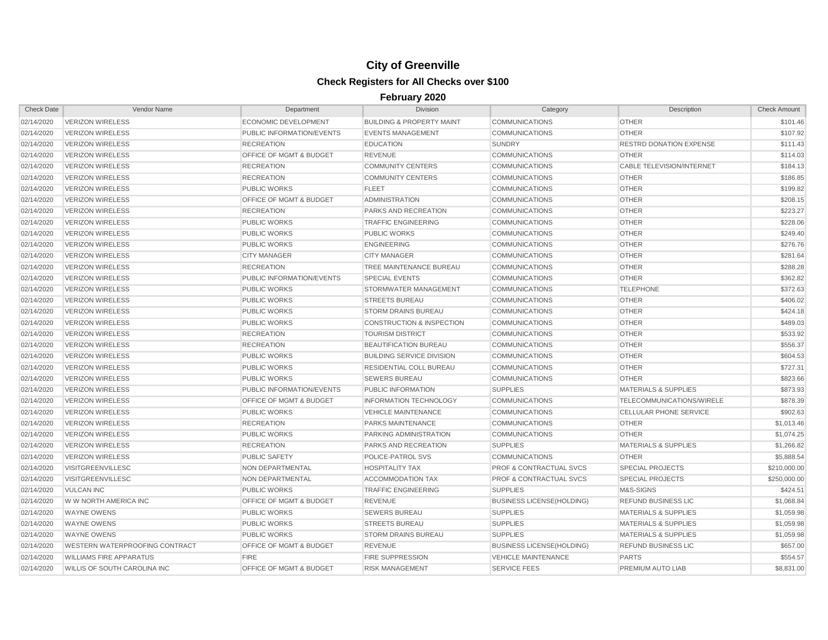| <b>Check Date</b> | Vendor Name                         | Department                         | <b>Division</b>                      | Category                           | Description                      | <b>Check Amount</b> |
|-------------------|-------------------------------------|------------------------------------|--------------------------------------|------------------------------------|----------------------------------|---------------------|
| 02/14/2020        | <b>VERIZON WIRELESS</b>             | ECONOMIC DEVELOPMENT               | <b>BUILDING &amp; PROPERTY MAINT</b> | <b>COMMUNICATIONS</b>              | <b>OTHER</b>                     | \$101.46            |
| 02/14/2020        | <b>VERIZON WIRELESS</b>             | PUBLIC INFORMATION/EVENTS          | <b>EVENTS MANAGEMENT</b>             | <b>COMMUNICATIONS</b>              | <b>OTHER</b>                     | \$107.92            |
| 02/14/2020        | <b>VERIZON WIRELESS</b>             | <b>RECREATION</b>                  | <b>EDUCATION</b>                     | <b>SUNDRY</b>                      | <b>RESTRD DONATION EXPENSE</b>   | \$111.43            |
| 02/14/2020        | <b>VERIZON WIRELESS</b>             | <b>OFFICE OF MGMT &amp; BUDGET</b> | <b>REVENUE</b>                       | <b>COMMUNICATIONS</b>              | <b>OTHER</b>                     | \$114.03            |
| 02/14/2020        | <b>VERIZON WIRELESS</b>             | <b>RECREATION</b>                  | <b>COMMUNITY CENTERS</b>             | <b>COMMUNICATIONS</b>              | <b>CABLE TELEVISION/INTERNET</b> | \$184.13            |
| 02/14/2020        | <b>VERIZON WIRELESS</b>             | <b>RECREATION</b>                  | <b>COMMUNITY CENTERS</b>             | <b>COMMUNICATIONS</b>              | <b>OTHER</b>                     | \$186.85            |
| 02/14/2020        | <b>VERIZON WIRELESS</b>             | <b>PUBLIC WORKS</b>                | <b>FLEET</b>                         | <b>COMMUNICATIONS</b>              | <b>OTHER</b>                     | \$199.82            |
| 02/14/2020        | <b>VERIZON WIRELESS</b>             | <b>OFFICE OF MGMT &amp; BUDGET</b> | <b>ADMINISTRATION</b>                | <b>COMMUNICATIONS</b>              | <b>OTHER</b>                     | \$208.15            |
| 02/14/2020        | <b>VERIZON WIRELESS</b>             | <b>RECREATION</b>                  | PARKS AND RECREATION                 | <b>COMMUNICATIONS</b>              | <b>OTHER</b>                     | \$223.27            |
| 02/14/2020        | <b>VERIZON WIRELESS</b>             | <b>PUBLIC WORKS</b>                | <b>TRAFFIC ENGINEERING</b>           | <b>COMMUNICATIONS</b>              | <b>OTHER</b>                     | \$228.06            |
| 02/14/2020        | <b>VERIZON WIRELESS</b>             | <b>PUBLIC WORKS</b>                | <b>PUBLIC WORKS</b>                  | <b>COMMUNICATIONS</b>              | <b>OTHER</b>                     | \$249.40            |
| 02/14/2020        | <b>VERIZON WIRELESS</b>             | <b>PUBLIC WORKS</b>                | <b>ENGINEERING</b>                   | <b>COMMUNICATIONS</b>              | <b>OTHER</b>                     | \$276.76            |
| 02/14/2020        | <b>VERIZON WIRELESS</b>             | <b>CITY MANAGER</b>                | <b>CITY MANAGER</b>                  | <b>COMMUNICATIONS</b>              | <b>OTHER</b>                     | \$281.64            |
| 02/14/2020        | <b>VERIZON WIRELESS</b>             | <b>RECREATION</b>                  | TREE MAINTENANCE BUREAU              | <b>COMMUNICATIONS</b>              | <b>OTHER</b>                     | \$288.28            |
| 02/14/2020        | <b>VERIZON WIRELESS</b>             | PUBLIC INFORMATION/EVENTS          | <b>SPECIAL EVENTS</b>                | <b>COMMUNICATIONS</b>              | <b>OTHER</b>                     | \$362.82            |
| 02/14/2020        | <b>VERIZON WIRELESS</b>             | <b>PUBLIC WORKS</b>                | STORMWATER MANAGEMENT                | <b>COMMUNICATIONS</b>              | <b>TELEPHONE</b>                 | \$372.63            |
| 02/14/2020        | <b>VERIZON WIRELESS</b>             | <b>PUBLIC WORKS</b>                | <b>STREETS BUREAU</b>                | <b>COMMUNICATIONS</b>              | <b>OTHER</b>                     | \$406.02            |
| 02/14/2020        | <b>VERIZON WIRELESS</b>             | <b>PUBLIC WORKS</b>                | <b>STORM DRAINS BUREAU</b>           | <b>COMMUNICATIONS</b>              | <b>OTHER</b>                     | \$424.18            |
| 02/14/2020        | <b>VERIZON WIRELESS</b>             | <b>PUBLIC WORKS</b>                | <b>CONSTRUCTION &amp; INSPECTION</b> | <b>COMMUNICATIONS</b>              | <b>OTHER</b>                     | \$489.03            |
| 02/14/2020        | <b>VERIZON WIRELESS</b>             | <b>RECREATION</b>                  | <b>TOURISM DISTRICT</b>              | <b>COMMUNICATIONS</b>              | <b>OTHER</b>                     | \$533.92            |
| 02/14/2020        | <b>VERIZON WIRELESS</b>             | <b>RECREATION</b>                  | BEAUTIFICATION BUREAU                | <b>COMMUNICATIONS</b>              | <b>OTHER</b>                     | \$556.37            |
| 02/14/2020        | <b>VERIZON WIRELESS</b>             | <b>PUBLIC WORKS</b>                | <b>BUILDING SERVICE DIVISION</b>     | <b>COMMUNICATIONS</b>              | <b>OTHER</b>                     | \$604.53            |
| 02/14/2020        | <b>VERIZON WIRELESS</b>             | <b>PUBLIC WORKS</b>                | RESIDENTIAL COLL BUREAU              | <b>COMMUNICATIONS</b>              | <b>OTHER</b>                     | \$727.31            |
| 02/14/2020        | <b>VERIZON WIRELESS</b>             | <b>PUBLIC WORKS</b>                | <b>SEWERS BUREAU</b>                 | <b>COMMUNICATIONS</b>              | <b>OTHER</b>                     | \$823.66            |
| 02/14/2020        | <b>VERIZON WIRELESS</b>             | PUBLIC INFORMATION/EVENTS          | PUBLIC INFORMATION                   | <b>SUPPLIES</b>                    | <b>MATERIALS &amp; SUPPLIES</b>  | \$873.93            |
| 02/14/2020        | <b>VERIZON WIRELESS</b>             | OFFICE OF MGMT & BUDGET            | <b>INFORMATION TECHNOLOGY</b>        | <b>COMMUNICATIONS</b>              | TELECOMMUNICATIONS/WIRELE        | \$878.39            |
| 02/14/2020        | <b>VERIZON WIRELESS</b>             | <b>PUBLIC WORKS</b>                | <b>VEHICLE MAINTENANCE</b>           | <b>COMMUNICATIONS</b>              | CELLULAR PHONE SERVICE           | \$902.63            |
| 02/14/2020        | <b>VERIZON WIRELESS</b>             | <b>RECREATION</b>                  | <b>PARKS MAINTENANCE</b>             | <b>COMMUNICATIONS</b>              | <b>OTHER</b>                     | \$1,013.46          |
| 02/14/2020        | <b>VERIZON WIRELESS</b>             | <b>PUBLIC WORKS</b>                | <b>PARKING ADMINISTRATION</b>        | <b>COMMUNICATIONS</b>              | <b>OTHER</b>                     | \$1,074.25          |
| 02/14/2020        | <b>VERIZON WIRELESS</b>             | <b>RECREATION</b>                  | PARKS AND RECREATION                 | <b>SUPPLIES</b>                    | <b>MATERIALS &amp; SUPPLIES</b>  | \$1,266.82          |
| 02/14/2020        | <b>VERIZON WIRELESS</b>             | <b>PUBLIC SAFETY</b>               | POLICE-PATROL SVS                    | <b>COMMUNICATIONS</b>              | <b>OTHER</b>                     | \$5,888.54          |
| 02/14/2020        | <b>VISITGREENVILLESC</b>            | <b>NON DEPARTMENTAL</b>            | <b>HOSPITALITY TAX</b>               | <b>PROF &amp; CONTRACTUAL SVCS</b> | <b>SPECIAL PROJECTS</b>          | \$210,000.00        |
| 02/14/2020        | <b>VISITGREENVILLESC</b>            | NON DEPARTMENTAL                   | <b>ACCOMMODATION TAX</b>             | <b>PROF &amp; CONTRACTUAL SVCS</b> | <b>SPECIAL PROJECTS</b>          | \$250,000.00        |
| 02/14/2020        | <b>VULCAN INC</b>                   | <b>PUBLIC WORKS</b>                | <b>TRAFFIC ENGINEERING</b>           | <b>SUPPLIES</b>                    | M&S-SIGNS                        | \$424.51            |
| 02/14/2020        | W W NORTH AMERICA INC               | <b>OFFICE OF MGMT &amp; BUDGET</b> | <b>REVENUE</b>                       | <b>BUSINESS LICENSE(HOLDING)</b>   | <b>REFUND BUSINESS LIC</b>       | \$1,068.84          |
| 02/14/2020        | <b>WAYNE OWENS</b>                  | <b>PUBLIC WORKS</b>                | <b>SEWERS BUREAU</b>                 | <b>SUPPLIES</b>                    | <b>MATERIALS &amp; SUPPLIES</b>  | \$1,059.98          |
| 02/14/2020        | <b>WAYNE OWENS</b>                  | <b>PUBLIC WORKS</b>                | <b>STREETS BUREAU</b>                | <b>SUPPLIES</b>                    | <b>MATERIALS &amp; SUPPLIES</b>  | \$1,059.98          |
| 02/14/2020        | <b>WAYNE OWENS</b>                  | <b>PUBLIC WORKS</b>                | <b>STORM DRAINS BUREAU</b>           | <b>SUPPLIES</b>                    | <b>MATERIALS &amp; SUPPLIES</b>  | \$1,059.98          |
| 02/14/2020        | WESTERN WATERPROOFING CONTRACT      | <b>OFFICE OF MGMT &amp; BUDGET</b> | <b>REVENUE</b>                       | <b>BUSINESS LICENSE(HOLDING)</b>   | <b>REFUND BUSINESS LIC</b>       | \$657.00            |
| 02/14/2020        | <b>WILLIAMS FIRE APPARATUS</b>      | <b>FIRE</b>                        | <b>FIRE SUPPRESSION</b>              | <b>VEHICLE MAINTENANCE</b>         | <b>PARTS</b>                     | \$554.57            |
| 02/14/2020        | <b>WILLIS OF SOUTH CAROLINA INC</b> | OFFICE OF MGMT & BUDGET            | <b>RISK MANAGEMENT</b>               | <b>SERVICE FEES</b>                | PREMIUM AUTO LIAB                | \$8,831.00          |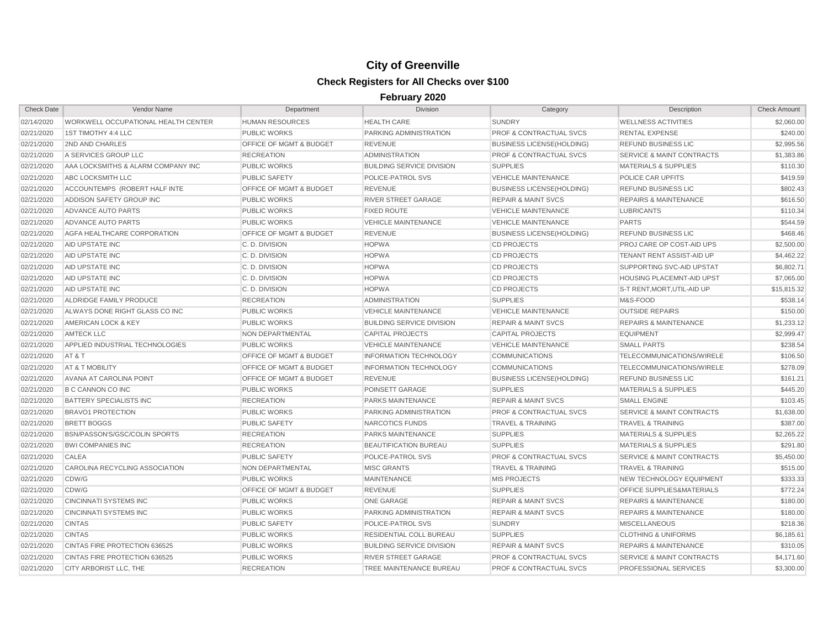| <b>Check Date</b> | Vendor Name                                | Department                         | <b>Division</b>                  | Category                           | Description                          | <b>Check Amount</b> |
|-------------------|--------------------------------------------|------------------------------------|----------------------------------|------------------------------------|--------------------------------------|---------------------|
| 02/14/2020        | <b>WORKWELL OCCUPATIONAL HEALTH CENTER</b> | <b>HUMAN RESOURCES</b>             | <b>HEALTH CARE</b>               | <b>SUNDRY</b>                      | <b>WELLNESS ACTIVITIES</b>           | \$2,060.00          |
| 02/21/2020        | 1ST TIMOTHY 4:4 LLC                        | <b>PUBLIC WORKS</b>                | PARKING ADMINISTRATION           | <b>PROF &amp; CONTRACTUAL SVCS</b> | <b>RENTAL EXPENSE</b>                | \$240.00            |
| 02/21/2020        | <b>2ND AND CHARLES</b>                     | OFFICE OF MGMT & BUDGET            | <b>REVENUE</b>                   | <b>BUSINESS LICENSE(HOLDING)</b>   | <b>REFUND BUSINESS LIC</b>           | \$2,995.56          |
| 02/21/2020        | A SERVICES GROUP LLC                       | <b>RECREATION</b>                  | <b>ADMINISTRATION</b>            | <b>PROF &amp; CONTRACTUAL SVCS</b> | <b>SERVICE &amp; MAINT CONTRACTS</b> | \$1,383.86          |
| 02/21/2020        | AAA LOCKSMITHS & ALARM COMPANY INC         | <b>PUBLIC WORKS</b>                | <b>BUILDING SERVICE DIVISION</b> | <b>SUPPLIES</b>                    | <b>MATERIALS &amp; SUPPLIES</b>      | \$110.30            |
| 02/21/2020        | ABC LOCKSMITH LLC                          | <b>PUBLIC SAFETY</b>               | POLICE-PATROL SVS                | <b>VEHICLE MAINTENANCE</b>         | POLICE CAR UPFITS                    | \$419.59            |
| 02/21/2020        | ACCOUNTEMPS (ROBERT HALF INTE              | OFFICE OF MGMT & BUDGET            | <b>REVENUE</b>                   | <b>BUSINESS LICENSE(HOLDING)</b>   | <b>REFUND BUSINESS LIC</b>           | \$802.43            |
| 02/21/2020        | ADDISON SAFETY GROUP INC                   | <b>PUBLIC WORKS</b>                | <b>RIVER STREET GARAGE</b>       | <b>REPAIR &amp; MAINT SVCS</b>     | <b>REPAIRS &amp; MAINTENANCE</b>     | \$616.50            |
| 02/21/2020        | ADVANCE AUTO PARTS                         | <b>PUBLIC WORKS</b>                | <b>FIXED ROUTE</b>               | <b>VEHICLE MAINTENANCE</b>         | <b>LUBRICANTS</b>                    | \$110.34            |
| 02/21/2020        | <b>ADVANCE AUTO PARTS</b>                  | <b>PUBLIC WORKS</b>                | <b>VEHICLE MAINTENANCE</b>       | <b>VEHICLE MAINTENANCE</b>         | <b>PARTS</b>                         | \$544.59            |
| 02/21/2020        | AGFA HEALTHCARE CORPORATION                | <b>OFFICE OF MGMT &amp; BUDGET</b> | <b>REVENUE</b>                   | <b>BUSINESS LICENSE(HOLDING)</b>   | <b>REFUND BUSINESS LIC</b>           | \$468.46            |
| 02/21/2020        | AID UPSTATE INC                            | C.D. DIVISION                      | <b>HOPWA</b>                     | <b>CD PROJECTS</b>                 | PROJ CARE OP COST-AID UPS            | \$2,500.00          |
| 02/21/2020        | AID UPSTATE INC                            | C.D. DIVISION                      | <b>HOPWA</b>                     | <b>CD PROJECTS</b>                 | TENANT RENT ASSIST-AID UP            | \$4,462.22          |
| 02/21/2020        | <b>AID UPSTATE INC</b>                     | C.D. DIVISION                      | <b>HOPWA</b>                     | <b>CD PROJECTS</b>                 | SUPPORTING SVC-AID UPSTAT            | \$6,802.71          |
| 02/21/2020        | <b>AID UPSTATE INC</b>                     | C.D. DIVISION                      | <b>HOPWA</b>                     | <b>CD PROJECTS</b>                 | <b>HOUSING PLACEMNT-AID UPST</b>     | \$7,065.00          |
| 02/21/2020        | <b>AID UPSTATE INC</b>                     | C.D. DIVISION                      | <b>HOPWA</b>                     | <b>CD PROJECTS</b>                 | S-T RENT, MORT, UTIL-AID UP          | \$15,815.32         |
| 02/21/2020        | ALDRIDGE FAMILY PRODUCE                    | <b>RECREATION</b>                  | <b>ADMINISTRATION</b>            | <b>SUPPLIES</b>                    | M&S-FOOD                             | \$538.14            |
| 02/21/2020        | ALWAYS DONE RIGHT GLASS CO INC             | <b>PUBLIC WORKS</b>                | <b>VEHICLE MAINTENANCE</b>       | VEHICLE MAINTENANCE                | <b>OUTSIDE REPAIRS</b>               | \$150.00            |
| 02/21/2020        | AMERICAN LOCK & KEY                        | <b>PUBLIC WORKS</b>                | <b>BUILDING SERVICE DIVISION</b> | <b>REPAIR &amp; MAINT SVCS</b>     | <b>REPAIRS &amp; MAINTENANCE</b>     | \$1,233.12          |
| 02/21/2020        | <b>AMTECK LLC</b>                          | NON DEPARTMENTAL                   | <b>CAPITAL PROJECTS</b>          | <b>CAPITAL PROJECTS</b>            | <b>EQUIPMENT</b>                     | \$2,999.47          |
| 02/21/2020        | APPLIED INDUSTRIAL TECHNOLOGIES            | <b>PUBLIC WORKS</b>                | <b>VEHICLE MAINTENANCE</b>       | <b>VEHICLE MAINTENANCE</b>         | <b>SMALL PARTS</b>                   | \$238.54            |
| 02/21/2020        | AT&T                                       | OFFICE OF MGMT & BUDGET            | <b>INFORMATION TECHNOLOGY</b>    | <b>COMMUNICATIONS</b>              | TELECOMMUNICATIONS/WIRELE            | \$106.50            |
| 02/21/2020        | AT & T MOBILITY                            | OFFICE OF MGMT & BUDGET            | <b>INFORMATION TECHNOLOGY</b>    | <b>COMMUNICATIONS</b>              | TELECOMMUNICATIONS/WIRELE            | \$278.09            |
| 02/21/2020        | AVANA AT CAROLINA POINT                    | OFFICE OF MGMT & BUDGET            | <b>REVENUE</b>                   | <b>BUSINESS LICENSE(HOLDING)</b>   | <b>REFUND BUSINESS LIC</b>           | \$161.21            |
| 02/21/2020        | <b>B C CANNON CO INC</b>                   | <b>PUBLIC WORKS</b>                | POINSETT GARAGE                  | <b>SUPPLIES</b>                    | <b>MATERIALS &amp; SUPPLIES</b>      | \$445.20            |
| 02/21/2020        | BATTERY SPECIALISTS INC                    | <b>RECREATION</b>                  | PARKS MAINTENANCE                | <b>REPAIR &amp; MAINT SVCS</b>     | <b>SMALL ENGINE</b>                  | \$103.45            |
| 02/21/2020        | <b>BRAVO1 PROTECTION</b>                   | PUBLIC WORKS                       | PARKING ADMINISTRATION           | <b>PROF &amp; CONTRACTUAL SVCS</b> | SERVICE & MAINT CONTRACTS            | \$1,638.00          |
| 02/21/2020        | <b>BRETT BOGGS</b>                         | <b>PUBLIC SAFETY</b>               | NARCOTICS FUNDS                  | <b>TRAVEL &amp; TRAINING</b>       | <b>TRAVEL &amp; TRAINING</b>         | \$387.00            |
| 02/21/2020        | BSN/PASSON'S/GSC/COLIN SPORTS              | <b>RECREATION</b>                  | <b>PARKS MAINTENANCE</b>         | <b>SUPPLIES</b>                    | <b>MATERIALS &amp; SUPPLIES</b>      | \$2,265.22          |
| 02/21/2020        | <b>BWI COMPANIES INC</b>                   | <b>RECREATION</b>                  | <b>BEAUTIFICATION BUREAU</b>     | <b>SUPPLIES</b>                    | <b>MATERIALS &amp; SUPPLIES</b>      | \$291.80            |
| 02/21/2020        | CALEA                                      | <b>PUBLIC SAFETY</b>               | POLICE-PATROL SVS                | <b>PROF &amp; CONTRACTUAL SVCS</b> | <b>SERVICE &amp; MAINT CONTRACTS</b> | \$5,450.00          |
| 02/21/2020        | CAROLINA RECYCLING ASSOCIATION             | NON DEPARTMENTAL                   | <b>MISC GRANTS</b>               | <b>TRAVEL &amp; TRAINING</b>       | TRAVEL & TRAINING                    | \$515.00            |
| 02/21/2020        | CDW/G                                      | <b>PUBLIC WORKS</b>                | <b>MAINTENANCE</b>               | <b>MIS PROJECTS</b>                | NEW TECHNOLOGY EQUIPMENT             | \$333.33            |
| 02/21/2020        | CDW/G                                      | OFFICE OF MGMT & BUDGET            | <b>REVENUE</b>                   | <b>SUPPLIES</b>                    | OFFICE SUPPLIES&MATERIALS            | \$772.24            |
| 02/21/2020        | <b>CINCINNATI SYSTEMS INC</b>              | <b>PUBLIC WORKS</b>                | ONE GARAGE                       | <b>REPAIR &amp; MAINT SVCS</b>     | <b>REPAIRS &amp; MAINTENANCE</b>     | \$180.00            |
| 02/21/2020        | <b>CINCINNATI SYSTEMS INC</b>              | <b>PUBLIC WORKS</b>                | PARKING ADMINISTRATION           | <b>REPAIR &amp; MAINT SVCS</b>     | <b>REPAIRS &amp; MAINTENANCE</b>     | \$180.00            |
| 02/21/2020        | <b>CINTAS</b>                              | <b>PUBLIC SAFETY</b>               | POLICE-PATROL SVS                | <b>SUNDRY</b>                      | <b>MISCELLANEOUS</b>                 | \$218.36            |
| 02/21/2020        | <b>CINTAS</b>                              | <b>PUBLIC WORKS</b>                | RESIDENTIAL COLL BUREAU          | <b>SUPPLIES</b>                    | <b>CLOTHING &amp; UNIFORMS</b>       | \$6,185.61          |
| 02/21/2020        | CINTAS FIRE PROTECTION 636525              | <b>PUBLIC WORKS</b>                | <b>BUILDING SERVICE DIVISION</b> | <b>REPAIR &amp; MAINT SVCS</b>     | <b>REPAIRS &amp; MAINTENANCE</b>     | \$310.05            |
| 02/21/2020        | CINTAS FIRE PROTECTION 636525              | <b>PUBLIC WORKS</b>                | <b>RIVER STREET GARAGE</b>       | <b>PROF &amp; CONTRACTUAL SVCS</b> | <b>SERVICE &amp; MAINT CONTRACTS</b> | \$4,171.60          |
| 02/21/2020        | <b>CITY ARBORIST LLC. THE</b>              | <b>RECREATION</b>                  | TREE MAINTENANCE BUREAU          | <b>PROF &amp; CONTRACTUAL SVCS</b> | PROFESSIONAL SERVICES                | \$3,300.00          |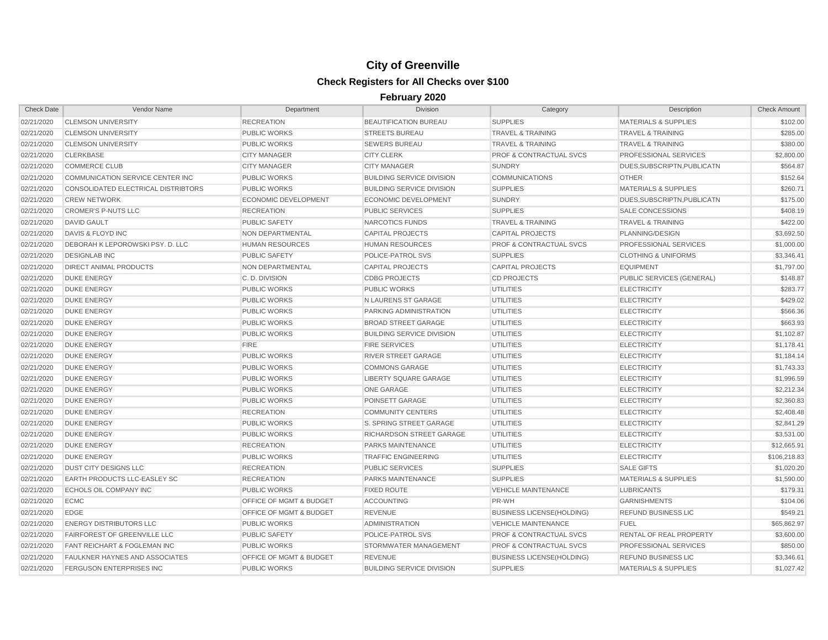| <b>Check Date</b> | Vendor Name                             | Department                         | <b>Division</b>                  | Category                           | Description                      | <b>Check Amount</b> |
|-------------------|-----------------------------------------|------------------------------------|----------------------------------|------------------------------------|----------------------------------|---------------------|
| 02/21/2020        | <b>CLEMSON UNIVERSITY</b>               | <b>RECREATION</b>                  | <b>BEAUTIFICATION BUREAU</b>     | <b>SUPPLIES</b>                    | <b>MATERIALS &amp; SUPPLIES</b>  | \$102.00            |
| 02/21/2020        | <b>CLEMSON UNIVERSITY</b>               | <b>PUBLIC WORKS</b>                | <b>STREETS BUREAU</b>            | <b>TRAVEL &amp; TRAINING</b>       | <b>TRAVEL &amp; TRAINING</b>     | \$285.00            |
| 02/21/2020        | <b>CLEMSON UNIVERSITY</b>               | <b>PUBLIC WORKS</b>                | <b>SEWERS BUREAU</b>             | <b>TRAVEL &amp; TRAINING</b>       | <b>TRAVEL &amp; TRAINING</b>     | \$380.00            |
| 02/21/2020        | <b>CLERKBASE</b>                        | <b>CITY MANAGER</b>                | <b>CITY CLERK</b>                | <b>PROF &amp; CONTRACTUAL SVCS</b> | PROFESSIONAL SERVICES            | \$2,800.00          |
| 02/21/2020        | <b>COMMERCE CLUB</b>                    | <b>CITY MANAGER</b>                | <b>CITY MANAGER</b>              | <b>SUNDRY</b>                      | DUES, SUBSCRIPTN, PUBLICATN      | \$564.87            |
| 02/21/2020        | <b>COMMUNICATION SERVICE CENTER INC</b> | <b>PUBLIC WORKS</b>                | <b>BUILDING SERVICE DIVISION</b> | <b>COMMUNICATIONS</b>              | <b>OTHER</b>                     | \$152.64            |
| 02/21/2020        | CONSOLIDATED ELECTRICAL DISTRIBTORS     | <b>PUBLIC WORKS</b>                | <b>BUILDING SERVICE DIVISION</b> | <b>SUPPLIES</b>                    | <b>MATERIALS &amp; SUPPLIES</b>  | \$260.71            |
| 02/21/2020        | <b>CREW NETWORK</b>                     | <b>ECONOMIC DEVELOPMENT</b>        | ECONOMIC DEVELOPMENT             | <b>SUNDRY</b>                      | DUES, SUBSCRIPTN, PUBLICATN      | \$175.00            |
| 02/21/2020        | <b>CROMER'S P-NUTS LLC</b>              | <b>RECREATION</b>                  | <b>PUBLIC SERVICES</b>           | <b>SUPPLIES</b>                    | <b>SALE CONCESSIONS</b>          | \$408.19            |
| 02/21/2020        | <b>DAVID GAULT</b>                      | <b>PUBLIC SAFETY</b>               | NARCOTICS FUNDS                  | <b>TRAVEL &amp; TRAINING</b>       | <b>TRAVEL &amp; TRAINING</b>     | \$422.00            |
| 02/21/2020        | <b>DAVIS &amp; FLOYD INC</b>            | <b>NON DEPARTMENTAL</b>            | <b>CAPITAL PROJECTS</b>          | <b>CAPITAL PROJECTS</b>            | PLANNING/DESIGN                  | \$3,692.50          |
| 02/21/2020        | DEBORAH K LEPOROWSKI PSY. D. LLC        | <b>HUMAN RESOURCES</b>             | <b>HUMAN RESOURCES</b>           | <b>PROF &amp; CONTRACTUAL SVCS</b> | PROFESSIONAL SERVICES            | \$1,000.00          |
| 02/21/2020        | <b>DESIGNLAB INC</b>                    | <b>PUBLIC SAFETY</b>               | POLICE-PATROL SVS                | <b>SUPPLIES</b>                    | <b>CLOTHING &amp; UNIFORMS</b>   | \$3,346.41          |
| 02/21/2020        | <b>DIRECT ANIMAL PRODUCTS</b>           | NON DEPARTMENTAL                   | <b>CAPITAL PROJECTS</b>          | <b>CAPITAL PROJECTS</b>            | <b>EQUIPMENT</b>                 | \$1,797.00          |
| 02/21/2020        | <b>DUKE ENERGY</b>                      | C.D. DIVISION                      | <b>CDBG PROJECTS</b>             | <b>CD PROJECTS</b>                 | <b>PUBLIC SERVICES (GENERAL)</b> | \$148.87            |
| 02/21/2020        | <b>DUKE ENERGY</b>                      | <b>PUBLIC WORKS</b>                | <b>PUBLIC WORKS</b>              | UTILITIES                          | <b>ELECTRICITY</b>               | \$283.77            |
| 02/21/2020        | <b>DUKE ENERGY</b>                      | <b>PUBLIC WORKS</b>                | N LAURENS ST GARAGE              | <b>UTILITIES</b>                   | <b>ELECTRICITY</b>               | \$429.02            |
| 02/21/2020        | <b>DUKE ENERGY</b>                      | <b>PUBLIC WORKS</b>                | PARKING ADMINISTRATION           | <b>UTILITIES</b>                   | <b>ELECTRICITY</b>               | \$566.36            |
| 02/21/2020        | <b>DUKE ENERGY</b>                      | <b>PUBLIC WORKS</b>                | <b>BROAD STREET GARAGE</b>       | <b>UTILITIES</b>                   | <b>ELECTRICITY</b>               | \$663.93            |
| 02/21/2020        | <b>DUKE ENERGY</b>                      | <b>PUBLIC WORKS</b>                | <b>BUILDING SERVICE DIVISION</b> | <b>UTILITIES</b>                   | <b>ELECTRICITY</b>               | \$1,102.87          |
| 02/21/2020        | <b>DUKE ENERGY</b>                      | <b>FIRE</b>                        | <b>FIRE SERVICES</b>             | UTILITIES                          | <b>ELECTRICITY</b>               | \$1,178.41          |
| 02/21/2020        | <b>DUKE ENERGY</b>                      | <b>PUBLIC WORKS</b>                | <b>RIVER STREET GARAGE</b>       | UTILITIES                          | <b>ELECTRICITY</b>               | \$1,184.14          |
| 02/21/2020        | <b>DUKE ENERGY</b>                      | <b>PUBLIC WORKS</b>                | <b>COMMONS GARAGE</b>            | UTILITIES                          | <b>ELECTRICITY</b>               | \$1,743.33          |
| 02/21/2020        | <b>DUKE ENERGY</b>                      | <b>PUBLIC WORKS</b>                | <b>LIBERTY SQUARE GARAGE</b>     | UTILITIES                          | <b>ELECTRICITY</b>               | \$1,996.59          |
| 02/21/2020        | <b>DUKE ENERGY</b>                      | <b>PUBLIC WORKS</b>                | <b>ONE GARAGE</b>                | <b>UTILITIES</b>                   | <b>ELECTRICITY</b>               | \$2,212.34          |
| 02/21/2020        | <b>DUKE ENERGY</b>                      | <b>PUBLIC WORKS</b>                | POINSETT GARAGE                  | <b>UTILITIES</b>                   | <b>ELECTRICITY</b>               | \$2,360.83          |
| 02/21/2020        | <b>DUKE ENERGY</b>                      | <b>RECREATION</b>                  | <b>COMMUNITY CENTERS</b>         | UTILITIES                          | <b>ELECTRICITY</b>               | \$2,408.48          |
| 02/21/2020        | <b>DUKE ENERGY</b>                      | <b>PUBLIC WORKS</b>                | <b>S. SPRING STREET GARAGE</b>   | <b>UTILITIES</b>                   | <b>ELECTRICITY</b>               | \$2,841.29          |
| 02/21/2020        | <b>DUKE ENERGY</b>                      | <b>PUBLIC WORKS</b>                | RICHARDSON STREET GARAGE         | <b>UTILITIES</b>                   | <b>ELECTRICITY</b>               | \$3,531.00          |
| 02/21/2020        | <b>DUKE ENERGY</b>                      | <b>RECREATION</b>                  | <b>PARKS MAINTENANCE</b>         | <b>UTILITIES</b>                   | <b>ELECTRICITY</b>               | \$12,665.91         |
| 02/21/2020        | <b>DUKE ENERGY</b>                      | <b>PUBLIC WORKS</b>                | <b>TRAFFIC ENGINEERING</b>       | <b>UTILITIES</b>                   | <b>ELECTRICITY</b>               | \$106,218.83        |
| 02/21/2020        | <b>DUST CITY DESIGNS LLC</b>            | <b>RECREATION</b>                  | <b>PUBLIC SERVICES</b>           | <b>SUPPLIES</b>                    | <b>SALE GIFTS</b>                | \$1,020.20          |
| 02/21/2020        | <b>EARTH PRODUCTS LLC-EASLEY SC</b>     | <b>RECREATION</b>                  | <b>PARKS MAINTENANCE</b>         | <b>SUPPLIES</b>                    | <b>MATERIALS &amp; SUPPLIES</b>  | \$1,590.00          |
| 02/21/2020        | <b>ECHOLS OIL COMPANY INC</b>           | <b>PUBLIC WORKS</b>                | <b>FIXED ROUTE</b>               | <b>VEHICLE MAINTENANCE</b>         | <b>LUBRICANTS</b>                | \$179.31            |
| 02/21/2020        | <b>ECMC</b>                             | <b>OFFICE OF MGMT &amp; BUDGET</b> | <b>ACCOUNTING</b>                | PR-WH                              | <b>GARNISHMENTS</b>              | \$104.06            |
| 02/21/2020        | <b>EDGE</b>                             | <b>OFFICE OF MGMT &amp; BUDGET</b> | <b>REVENUE</b>                   | <b>BUSINESS LICENSE(HOLDING)</b>   | <b>REFUND BUSINESS LIC</b>       | \$549.21            |
| 02/21/2020        | <b>ENERGY DISTRIBUTORS LLC</b>          | <b>PUBLIC WORKS</b>                | <b>ADMINISTRATION</b>            | <b>VEHICLE MAINTENANCE</b>         | <b>FUEL</b>                      | \$65,862.97         |
| 02/21/2020        | <b>FAIRFOREST OF GREENVILLE LLC</b>     | <b>PUBLIC SAFETY</b>               | POLICE-PATROL SVS                | <b>PROF &amp; CONTRACTUAL SVCS</b> | <b>RENTAL OF REAL PROPERTY</b>   | \$3,600.00          |
| 02/21/2020        | FANT REICHART & FOGLEMAN INC            | <b>PUBLIC WORKS</b>                | STORMWATER MANAGEMENT            | PROF & CONTRACTUAL SVCS            | <b>PROFESSIONAL SERVICES</b>     | \$850.00            |
| 02/21/2020        | <b>FAULKNER HAYNES AND ASSOCIATES</b>   | <b>OFFICE OF MGMT &amp; BUDGET</b> | <b>REVENUE</b>                   | <b>BUSINESS LICENSE(HOLDING)</b>   | <b>REFUND BUSINESS LIC</b>       | \$3,346.61          |
| 02/21/2020        | <b>FERGUSON ENTERPRISES INC</b>         | <b>PUBLIC WORKS</b>                | <b>BUILDING SERVICE DIVISION</b> | <b>SUPPLIES</b>                    | <b>MATERIALS &amp; SUPPLIES</b>  | \$1,027.42          |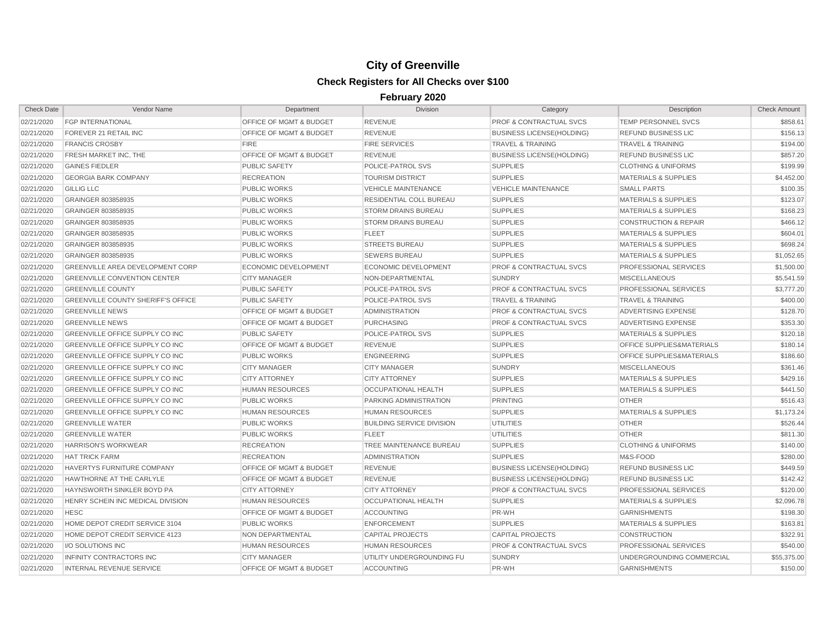| <b>Check Date</b> | Vendor Name                               | Department                         | <b>Division</b>                  | Category                           | Description                          | <b>Check Amount</b> |
|-------------------|-------------------------------------------|------------------------------------|----------------------------------|------------------------------------|--------------------------------------|---------------------|
| 02/21/2020        | <b>FGP INTERNATIONAL</b>                  | OFFICE OF MGMT & BUDGET            | <b>REVENUE</b>                   | PROF & CONTRACTUAL SVCS            | TEMP PERSONNEL SVCS                  | \$858.61            |
| 02/21/2020        | FOREVER 21 RETAIL INC                     | <b>OFFICE OF MGMT &amp; BUDGET</b> | <b>REVENUE</b>                   | <b>BUSINESS LICENSE(HOLDING)</b>   | <b>REFUND BUSINESS LIC</b>           | \$156.13            |
| 02/21/2020        | <b>FRANCIS CROSBY</b>                     | <b>FIRE</b>                        | <b>FIRE SERVICES</b>             | <b>TRAVEL &amp; TRAINING</b>       | <b>TRAVEL &amp; TRAINING</b>         | \$194.00            |
| 02/21/2020        | FRESH MARKET INC, THE                     | <b>OFFICE OF MGMT &amp; BUDGET</b> | <b>REVENUE</b>                   | <b>BUSINESS LICENSE(HOLDING)</b>   | <b>REFUND BUSINESS LIC</b>           | \$857.20            |
| 02/21/2020        | <b>GAINES FIEDLER</b>                     | <b>PUBLIC SAFETY</b>               | POLICE-PATROL SVS                | <b>SUPPLIES</b>                    | <b>CLOTHING &amp; UNIFORMS</b>       | \$199.99            |
| 02/21/2020        | <b>GEORGIA BARK COMPANY</b>               | <b>RECREATION</b>                  | <b>TOURISM DISTRICT</b>          | <b>SUPPLIES</b>                    | <b>MATERIALS &amp; SUPPLIES</b>      | \$4,452.00          |
| 02/21/2020        | <b>GILLIG LLC</b>                         | <b>PUBLIC WORKS</b>                | <b>VEHICLE MAINTENANCE</b>       | <b>VEHICLE MAINTENANCE</b>         | <b>SMALL PARTS</b>                   | \$100.35            |
| 02/21/2020        | GRAINGER 803858935                        | <b>PUBLIC WORKS</b>                | RESIDENTIAL COLL BUREAU          | <b>SUPPLIES</b>                    | <b>MATERIALS &amp; SUPPLIES</b>      | \$123.07            |
| 02/21/2020        | GRAINGER 803858935                        | <b>PUBLIC WORKS</b>                | <b>STORM DRAINS BUREAU</b>       | <b>SUPPLIES</b>                    | <b>MATERIALS &amp; SUPPLIES</b>      | \$168.23            |
| 02/21/2020        | GRAINGER 803858935                        | <b>PUBLIC WORKS</b>                | <b>STORM DRAINS BUREAU</b>       | <b>SUPPLIES</b>                    | <b>CONSTRUCTION &amp; REPAIR</b>     | \$466.12            |
| 02/21/2020        | GRAINGER 803858935                        | <b>PUBLIC WORKS</b>                | <b>FLEET</b>                     | <b>SUPPLIES</b>                    | <b>MATERIALS &amp; SUPPLIES</b>      | \$604.01            |
| 02/21/2020        | GRAINGER 803858935                        | <b>PUBLIC WORKS</b>                | <b>STREETS BUREAU</b>            | <b>SUPPLIES</b>                    | <b>MATERIALS &amp; SUPPLIES</b>      | \$698.24            |
| 02/21/2020        | GRAINGER 803858935                        | <b>PUBLIC WORKS</b>                | <b>SEWERS BUREAU</b>             | <b>SUPPLIES</b>                    | <b>MATERIALS &amp; SUPPLIES</b>      | \$1,052.65          |
| 02/21/2020        | <b>GREENVILLE AREA DEVELOPMENT CORP</b>   | <b>ECONOMIC DEVELOPMENT</b>        | <b>ECONOMIC DEVELOPMENT</b>      | <b>PROF &amp; CONTRACTUAL SVCS</b> | <b>PROFESSIONAL SERVICES</b>         | \$1,500.00          |
| 02/21/2020        | <b>GREENVILLE CONVENTION CENTER</b>       | <b>CITY MANAGER</b>                | NON-DEPARTMENTAL                 | <b>SUNDRY</b>                      | <b>MISCELLANEOUS</b>                 | \$5,541.59          |
| 02/21/2020        | <b>GREENVILLE COUNTY</b>                  | <b>PUBLIC SAFETY</b>               | POLICE-PATROL SVS                | <b>PROF &amp; CONTRACTUAL SVCS</b> | <b>PROFESSIONAL SERVICES</b>         | \$3,777.20          |
| 02/21/2020        | <b>GREENVILLE COUNTY SHERIFF'S OFFICE</b> | <b>PUBLIC SAFETY</b>               | POLICE-PATROL SVS                | <b>TRAVEL &amp; TRAINING</b>       | <b>TRAVEL &amp; TRAINING</b>         | \$400.00            |
| 02/21/2020        | <b>GREENVILLE NEWS</b>                    | <b>OFFICE OF MGMT &amp; BUDGET</b> | <b>ADMINISTRATION</b>            | <b>PROF &amp; CONTRACTUAL SVCS</b> | ADVERTISING EXPENSE                  | \$128.70            |
| 02/21/2020        | <b>GREENVILLE NEWS</b>                    | <b>OFFICE OF MGMT &amp; BUDGET</b> | <b>PURCHASING</b>                | <b>PROF &amp; CONTRACTUAL SVCS</b> | ADVERTISING EXPENSE                  | \$353.30            |
| 02/21/2020        | <b>GREENVILLE OFFICE SUPPLY CO INC</b>    | <b>PUBLIC SAFETY</b>               | POLICE-PATROL SVS                | <b>SUPPLIES</b>                    | <b>MATERIALS &amp; SUPPLIES</b>      | \$120.18            |
| 02/21/2020        | GREENVILLE OFFICE SUPPLY CO INC           | OFFICE OF MGMT & BUDGET            | <b>REVENUE</b>                   | <b>SUPPLIES</b>                    | OFFICE SUPPLIES&MATERIALS            | \$180.14            |
| 02/21/2020        | GREENVILLE OFFICE SUPPLY CO INC           | <b>PUBLIC WORKS</b>                | <b>ENGINEERING</b>               | <b>SUPPLIES</b>                    | <b>OFFICE SUPPLIES&amp;MATERIALS</b> | \$186.60            |
| 02/21/2020        | GREENVILLE OFFICE SUPPLY CO INC           | <b>CITY MANAGER</b>                | <b>CITY MANAGER</b>              | <b>SUNDRY</b>                      | <b>MISCELLANEOUS</b>                 | \$361.46            |
| 02/21/2020        | GREENVILLE OFFICE SUPPLY CO INC           | <b>CITY ATTORNEY</b>               | <b>CITY ATTORNEY</b>             | <b>SUPPLIES</b>                    | <b>MATERIALS &amp; SUPPLIES</b>      | \$429.16            |
| 02/21/2020        | GREENVILLE OFFICE SUPPLY CO INC           | <b>HUMAN RESOURCES</b>             | OCCUPATIONAL HEALTH              | <b>SUPPLIES</b>                    | <b>MATERIALS &amp; SUPPLIES</b>      | \$441.50            |
| 02/21/2020        | GREENVILLE OFFICE SUPPLY CO INC           | <b>PUBLIC WORKS</b>                | PARKING ADMINISTRATION           | <b>PRINTING</b>                    | <b>OTHER</b>                         | \$516.43            |
| 02/21/2020        | <b>GREENVILLE OFFICE SUPPLY CO INC</b>    | <b>HUMAN RESOURCES</b>             | <b>HUMAN RESOURCES</b>           | <b>SUPPLIES</b>                    | <b>MATERIALS &amp; SUPPLIES</b>      | \$1,173.24          |
| 02/21/2020        | <b>GREENVILLE WATER</b>                   | <b>PUBLIC WORKS</b>                | <b>BUILDING SERVICE DIVISION</b> | <b>UTILITIES</b>                   | <b>OTHER</b>                         | \$526.44            |
| 02/21/2020        | <b>GREENVILLE WATER</b>                   | <b>PUBLIC WORKS</b>                | <b>FLEET</b>                     | <b>UTILITIES</b>                   | <b>OTHER</b>                         | \$811.30            |
| 02/21/2020        | <b>HARRISON'S WORKWEAR</b>                | <b>RECREATION</b>                  | <b>TREE MAINTENANCE BUREAU</b>   | <b>SUPPLIES</b>                    | <b>CLOTHING &amp; UNIFORMS</b>       | \$140.00            |
| 02/21/2020        | <b>HAT TRICK FARM</b>                     | <b>RECREATION</b>                  | <b>ADMINISTRATION</b>            | <b>SUPPLIES</b>                    | M&S-FOOD                             | \$280.00            |
| 02/21/2020        | <b>HAVERTYS FURNITURE COMPANY</b>         | <b>OFFICE OF MGMT &amp; BUDGET</b> | <b>REVENUE</b>                   | <b>BUSINESS LICENSE(HOLDING)</b>   | <b>REFUND BUSINESS LIC</b>           | \$449.59            |
| 02/21/2020        | HAWTHORNE AT THE CARLYLE                  | <b>OFFICE OF MGMT &amp; BUDGET</b> | <b>REVENUE</b>                   | <b>BUSINESS LICENSE(HOLDING)</b>   | <b>REFUND BUSINESS LIC</b>           | \$142.42            |
| 02/21/2020        | <b>HAYNSWORTH SINKLER BOYD PA</b>         | <b>CITY ATTORNEY</b>               | <b>CITY ATTORNEY</b>             | <b>PROF &amp; CONTRACTUAL SVCS</b> | <b>PROFESSIONAL SERVICES</b>         | \$120.00            |
| 02/21/2020        | HENRY SCHEIN INC MEDICAL DIVISION         | <b>HUMAN RESOURCES</b>             | <b>OCCUPATIONAL HEALTH</b>       | <b>SUPPLIES</b>                    | <b>MATERIALS &amp; SUPPLIES</b>      | \$2,096.78          |
| 02/21/2020        | <b>HESC</b>                               | OFFICE OF MGMT & BUDGET            | <b>ACCOUNTING</b>                | PR-WH                              | <b>GARNISHMENTS</b>                  | \$198.30            |
| 02/21/2020        | HOME DEPOT CREDIT SERVICE 3104            | <b>PUBLIC WORKS</b>                | <b>ENFORCEMENT</b>               | <b>SUPPLIES</b>                    | <b>MATERIALS &amp; SUPPLIES</b>      | \$163.81            |
| 02/21/2020        | HOME DEPOT CREDIT SERVICE 4123            | <b>NON DEPARTMENTAL</b>            | <b>CAPITAL PROJECTS</b>          | <b>CAPITAL PROJECTS</b>            | <b>CONSTRUCTION</b>                  | \$322.91            |
| 02/21/2020        | <b>VO SOLUTIONS INC</b>                   | <b>HUMAN RESOURCES</b>             | <b>HUMAN RESOURCES</b>           | <b>PROF &amp; CONTRACTUAL SVCS</b> | PROFESSIONAL SERVICES                | \$540.00            |
| 02/21/2020        | <b>INFINITY CONTRACTORS INC</b>           | <b>CITY MANAGER</b>                | UTILITY UNDERGROUNDING FU        | <b>SUNDRY</b>                      | UNDERGROUNDING COMMERCIAL            | \$55,375.00         |
| 02/21/2020        | <b>INTERNAL REVENUE SERVICE</b>           | <b>OFFICE OF MGMT &amp; BUDGET</b> | <b>ACCOUNTING</b>                | PR-WH                              | <b>GARNISHMENTS</b>                  | \$150.00            |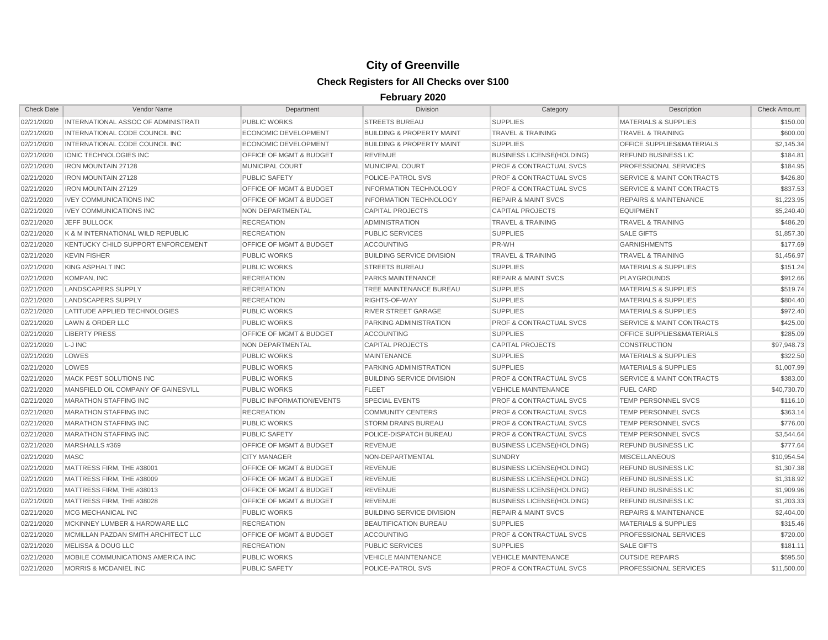| <b>Check Date</b> | Vendor Name                         | Department                         | <b>Division</b>                      | Category                           | Description                          | <b>Check Amount</b> |
|-------------------|-------------------------------------|------------------------------------|--------------------------------------|------------------------------------|--------------------------------------|---------------------|
| 02/21/2020        | INTERNATIONAL ASSOC OF ADMINISTRATI | <b>PUBLIC WORKS</b>                | <b>STREETS BUREAU</b>                | <b>SUPPLIES</b>                    | <b>MATERIALS &amp; SUPPLIES</b>      | \$150.00            |
| 02/21/2020        | INTERNATIONAL CODE COUNCIL INC      | ECONOMIC DEVELOPMENT               | <b>BUILDING &amp; PROPERTY MAINT</b> | <b>TRAVEL &amp; TRAINING</b>       | <b>TRAVEL &amp; TRAINING</b>         | \$600.00            |
| 02/21/2020        | INTERNATIONAL CODE COUNCIL INC      | ECONOMIC DEVELOPMENT               | <b>BUILDING &amp; PROPERTY MAINT</b> | <b>SUPPLIES</b>                    | <b>OFFICE SUPPLIES&amp;MATERIALS</b> | \$2,145.34          |
| 02/21/2020        | IONIC TECHNOLOGIES INC              | OFFICE OF MGMT & BUDGET            | <b>REVENUE</b>                       | <b>BUSINESS LICENSE(HOLDING)</b>   | <b>REFUND BUSINESS LIC</b>           | \$184.81            |
| 02/21/2020        | <b>IRON MOUNTAIN 27128</b>          | <b>MUNICIPAL COURT</b>             | <b>MUNICIPAL COURT</b>               | <b>PROF &amp; CONTRACTUAL SVCS</b> | PROFESSIONAL SERVICES                | \$184.95            |
| 02/21/2020        | <b>IRON MOUNTAIN 27128</b>          | <b>PUBLIC SAFETY</b>               | POLICE-PATROL SVS                    | <b>PROF &amp; CONTRACTUAL SVCS</b> | <b>SERVICE &amp; MAINT CONTRACTS</b> | \$426.80            |
| 02/21/2020        | <b>IRON MOUNTAIN 27129</b>          | <b>OFFICE OF MGMT &amp; BUDGET</b> | <b>INFORMATION TECHNOLOGY</b>        | <b>PROF &amp; CONTRACTUAL SVCS</b> | <b>SERVICE &amp; MAINT CONTRACTS</b> | \$837.53            |
| 02/21/2020        | <b>IVEY COMMUNICATIONS INC</b>      | OFFICE OF MGMT & BUDGET            | <b>INFORMATION TECHNOLOGY</b>        | <b>REPAIR &amp; MAINT SVCS</b>     | <b>REPAIRS &amp; MAINTENANCE</b>     | \$1,223.95          |
| 02/21/2020        | <b>IVEY COMMUNICATIONS INC</b>      | NON DEPARTMENTAL                   | <b>CAPITAL PROJECTS</b>              | <b>CAPITAL PROJECTS</b>            | <b>EQUIPMENT</b>                     | \$5,240.40          |
| 02/21/2020        | JEFF BULLOCK                        | <b>RECREATION</b>                  | <b>ADMINISTRATION</b>                | <b>TRAVEL &amp; TRAINING</b>       | <b>TRAVEL &amp; TRAINING</b>         | \$486.20            |
| 02/21/2020        | K & M INTERNATIONAL WILD REPUBLIC   | <b>RECREATION</b>                  | <b>PUBLIC SERVICES</b>               | <b>SUPPLIES</b>                    | <b>SALE GIFTS</b>                    | \$1,857.30          |
| 02/21/2020        | KENTUCKY CHILD SUPPORT ENFORCEMENT  | <b>OFFICE OF MGMT &amp; BUDGET</b> | <b>ACCOUNTING</b>                    | PR-WH                              | <b>GARNISHMENTS</b>                  | \$177.69            |
| 02/21/2020        | <b>KEVIN FISHER</b>                 | <b>PUBLIC WORKS</b>                | <b>BUILDING SERVICE DIVISION</b>     | <b>TRAVEL &amp; TRAINING</b>       | <b>TRAVEL &amp; TRAINING</b>         | \$1,456.97          |
| 02/21/2020        | <b>KING ASPHALT INC</b>             | <b>PUBLIC WORKS</b>                | <b>STREETS BUREAU</b>                | <b>SUPPLIES</b>                    | <b>MATERIALS &amp; SUPPLIES</b>      | \$151.24            |
| 02/21/2020        | KOMPAN, INC                         | <b>RECREATION</b>                  | <b>PARKS MAINTENANCE</b>             | <b>REPAIR &amp; MAINT SVCS</b>     | <b>PLAYGROUNDS</b>                   | \$912.66            |
| 02/21/2020        | LANDSCAPERS SUPPLY                  | <b>RECREATION</b>                  | <b>TREE MAINTENANCE BUREAU</b>       | <b>SUPPLIES</b>                    | <b>MATERIALS &amp; SUPPLIES</b>      | \$519.74            |
| 02/21/2020        | LANDSCAPERS SUPPLY                  | <b>RECREATION</b>                  | RIGHTS-OF-WAY                        | <b>SUPPLIES</b>                    | <b>MATERIALS &amp; SUPPLIES</b>      | \$804.40            |
| 02/21/2020        | LATITUDE APPLIED TECHNOLOGIES       | <b>PUBLIC WORKS</b>                | <b>RIVER STREET GARAGE</b>           | <b>SUPPLIES</b>                    | <b>MATERIALS &amp; SUPPLIES</b>      | \$972.40            |
| 02/21/2020        | <b>LAWN &amp; ORDER LLC</b>         | <b>PUBLIC WORKS</b>                | PARKING ADMINISTRATION               | <b>PROF &amp; CONTRACTUAL SVCS</b> | SERVICE & MAINT CONTRACTS            | \$425.00            |
| 02/21/2020        | <b>LIBERTY PRESS</b>                | OFFICE OF MGMT & BUDGET            | <b>ACCOUNTING</b>                    | <b>SUPPLIES</b>                    | <b>OFFICE SUPPLIES&amp;MATERIALS</b> | \$285.09            |
| 02/21/2020        | L-J INC                             | NON DEPARTMENTAL                   | <b>CAPITAL PROJECTS</b>              | <b>CAPITAL PROJECTS</b>            | <b>CONSTRUCTION</b>                  | \$97,948.73         |
| 02/21/2020        | LOWES                               | <b>PUBLIC WORKS</b>                | <b>MAINTENANCE</b>                   | <b>SUPPLIES</b>                    | <b>MATERIALS &amp; SUPPLIES</b>      | \$322.50            |
| 02/21/2020        | LOWES                               | <b>PUBLIC WORKS</b>                | PARKING ADMINISTRATION               | <b>SUPPLIES</b>                    | <b>MATERIALS &amp; SUPPLIES</b>      | \$1,007.99          |
| 02/21/2020        | MACK PEST SOLUTIONS INC             | <b>PUBLIC WORKS</b>                | <b>BUILDING SERVICE DIVISION</b>     | <b>PROF &amp; CONTRACTUAL SVCS</b> | <b>SERVICE &amp; MAINT CONTRACTS</b> | \$383.00            |
| 02/21/2020        | MANSFIELD OIL COMPANY OF GAINESVILL | <b>PUBLIC WORKS</b>                | <b>FLEET</b>                         | <b>VEHICLE MAINTENANCE</b>         | <b>FUEL CARD</b>                     | \$40,730.70         |
| 02/21/2020        | <b>MARATHON STAFFING INC</b>        | PUBLIC INFORMATION/EVENTS          | <b>SPECIAL EVENTS</b>                | <b>PROF &amp; CONTRACTUAL SVCS</b> | TEMP PERSONNEL SVCS                  | \$116.10            |
| 02/21/2020        | MARATHON STAFFING INC               | <b>RECREATION</b>                  | <b>COMMUNITY CENTERS</b>             | <b>PROF &amp; CONTRACTUAL SVCS</b> | TEMP PERSONNEL SVCS                  | \$363.14            |
| 02/21/2020        | <b>MARATHON STAFFING INC</b>        | <b>PUBLIC WORKS</b>                | <b>STORM DRAINS BUREAU</b>           | <b>PROF &amp; CONTRACTUAL SVCS</b> | TEMP PERSONNEL SVCS                  | \$776.00            |
| 02/21/2020        | <b>MARATHON STAFFING INC</b>        | <b>PUBLIC SAFETY</b>               | POLICE-DISPATCH BUREAU               | <b>PROF &amp; CONTRACTUAL SVCS</b> | TEMP PERSONNEL SVCS                  | \$3,544.64          |
| 02/21/2020        | MARSHALLS #369                      | OFFICE OF MGMT & BUDGET            | <b>REVENUE</b>                       | <b>BUSINESS LICENSE(HOLDING)</b>   | <b>REFUND BUSINESS LIC</b>           | \$777.64            |
| 02/21/2020        | <b>MASC</b>                         | <b>CITY MANAGER</b>                | NON-DEPARTMENTAL                     | <b>SUNDRY</b>                      | <b>MISCELLANEOUS</b>                 | \$10,954.54         |
| 02/21/2020        | MATTRESS FIRM, THE #38001           | OFFICE OF MGMT & BUDGET            | <b>REVENUE</b>                       | <b>BUSINESS LICENSE(HOLDING)</b>   | <b>REFUND BUSINESS LIC</b>           | \$1,307.38          |
| 02/21/2020        | MATTRESS FIRM, THE #38009           | OFFICE OF MGMT & BUDGET            | <b>REVENUE</b>                       | <b>BUSINESS LICENSE(HOLDING)</b>   | <b>REFUND BUSINESS LIC</b>           | \$1,318.92          |
| 02/21/2020        | MATTRESS FIRM, THE #38013           | <b>OFFICE OF MGMT &amp; BUDGET</b> | <b>REVENUE</b>                       | <b>BUSINESS LICENSE(HOLDING)</b>   | <b>REFUND BUSINESS LIC</b>           | \$1,909.96          |
| 02/21/2020        | MATTRESS FIRM, THE #38028           | OFFICE OF MGMT & BUDGET            | <b>REVENUE</b>                       | <b>BUSINESS LICENSE(HOLDING)</b>   | <b>REFUND BUSINESS LIC</b>           | \$1,203.33          |
| 02/21/2020        | MCG MECHANICAL INC                  | <b>PUBLIC WORKS</b>                | <b>BUILDING SERVICE DIVISION</b>     | <b>REPAIR &amp; MAINT SVCS</b>     | <b>REPAIRS &amp; MAINTENANCE</b>     | \$2,404.00          |
| 02/21/2020        | MCKINNEY LUMBER & HARDWARE LLC      | <b>RECREATION</b>                  | <b>BEAUTIFICATION BUREAU</b>         | <b>SUPPLIES</b>                    | <b>MATERIALS &amp; SUPPLIES</b>      | \$315.46            |
| 02/21/2020        | MCMILLAN PAZDAN SMITH ARCHITECT LLC | OFFICE OF MGMT & BUDGET            | <b>ACCOUNTING</b>                    | <b>PROF &amp; CONTRACTUAL SVCS</b> | PROFESSIONAL SERVICES                | \$720.00            |
| 02/21/2020        | MELISSA & DOUG LLC                  | <b>RECREATION</b>                  | <b>PUBLIC SERVICES</b>               | <b>SUPPLIES</b>                    | <b>SALE GIFTS</b>                    | \$181.11            |
| 02/21/2020        | MOBILE COMMUNICATIONS AMERICA INC   | <b>PUBLIC WORKS</b>                | <b>VEHICLE MAINTENANCE</b>           | <b>VEHICLE MAINTENANCE</b>         | <b>OUTSIDE REPAIRS</b>               | \$595.50            |
| 02/21/2020        | <b>MORRIS &amp; MCDANIEL INC</b>    | <b>PUBLIC SAFETY</b>               | POLICE-PATROL SVS                    | <b>PROF &amp; CONTRACTUAL SVCS</b> | PROFESSIONAL SERVICES                | \$11,500.00         |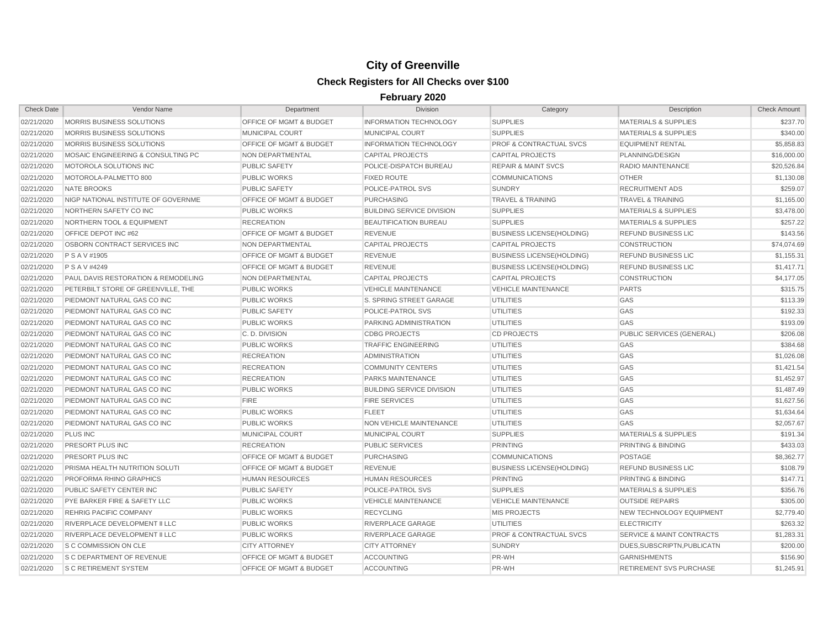| <b>Check Date</b> | Vendor Name                          | Department                         | <b>Division</b>                  | Category                           | Description                          | <b>Check Amount</b> |
|-------------------|--------------------------------------|------------------------------------|----------------------------------|------------------------------------|--------------------------------------|---------------------|
| 02/21/2020        | <b>MORRIS BUSINESS SOLUTIONS</b>     | OFFICE OF MGMT & BUDGET            | <b>INFORMATION TECHNOLOGY</b>    | <b>SUPPLIES</b>                    | <b>MATERIALS &amp; SUPPLIES</b>      | \$237.70            |
| 02/21/2020        | MORRIS BUSINESS SOLUTIONS            | MUNICIPAL COURT                    | MUNICIPAL COURT                  | <b>SUPPLIES</b>                    | <b>MATERIALS &amp; SUPPLIES</b>      | \$340.00            |
| 02/21/2020        | <b>MORRIS BUSINESS SOLUTIONS</b>     | OFFICE OF MGMT & BUDGET            | <b>INFORMATION TECHNOLOGY</b>    | <b>PROF &amp; CONTRACTUAL SVCS</b> | <b>EQUIPMENT RENTAL</b>              | \$5,858.83          |
| 02/21/2020        | MOSAIC ENGINEERING & CONSULTING PC   | NON DEPARTMENTAL                   | <b>CAPITAL PROJECTS</b>          | <b>CAPITAL PROJECTS</b>            | PLANNING/DESIGN                      | \$16,000.00         |
| 02/21/2020        | MOTOROLA SOLUTIONS INC               | <b>PUBLIC SAFETY</b>               | POLICE-DISPATCH BUREAU           | <b>REPAIR &amp; MAINT SVCS</b>     | RADIO MAINTENANCE                    | \$20,526.84         |
| 02/21/2020        | MOTOROLA-PALMETTO 800                | <b>PUBLIC WORKS</b>                | <b>FIXED ROUTE</b>               | <b>COMMUNICATIONS</b>              | <b>OTHER</b>                         | \$1,130.08          |
| 02/21/2020        | <b>NATE BROOKS</b>                   | <b>PUBLIC SAFETY</b>               | POLICE-PATROL SVS                | <b>SUNDRY</b>                      | <b>RECRUITMENT ADS</b>               | \$259.07            |
| 02/21/2020        | NIGP NATIONAL INSTITUTE OF GOVERNME  | OFFICE OF MGMT & BUDGET            | <b>PURCHASING</b>                | <b>TRAVEL &amp; TRAINING</b>       | <b>TRAVEL &amp; TRAINING</b>         | \$1,165.00          |
| 02/21/2020        | NORTHERN SAFETY CO INC               | <b>PUBLIC WORKS</b>                | <b>BUILDING SERVICE DIVISION</b> | <b>SUPPLIES</b>                    | <b>MATERIALS &amp; SUPPLIES</b>      | \$3,478.00          |
| 02/21/2020        | <b>NORTHERN TOOL &amp; EQUIPMENT</b> | <b>RECREATION</b>                  | <b>BEAUTIFICATION BUREAU</b>     | <b>SUPPLIES</b>                    | <b>MATERIALS &amp; SUPPLIES</b>      | \$257.22            |
| 02/21/2020        | OFFICE DEPOT INC #62                 | OFFICE OF MGMT & BUDGET            | <b>REVENUE</b>                   | <b>BUSINESS LICENSE(HOLDING)</b>   | <b>REFUND BUSINESS LIC</b>           | \$143.56            |
| 02/21/2020        | OSBORN CONTRACT SERVICES INC         | NON DEPARTMENTAL                   | <b>CAPITAL PROJECTS</b>          | <b>CAPITAL PROJECTS</b>            | <b>CONSTRUCTION</b>                  | \$74,074.69         |
| 02/21/2020        | P S A V #1905                        | OFFICE OF MGMT & BUDGET            | <b>REVENUE</b>                   | <b>BUSINESS LICENSE(HOLDING)</b>   | <b>REFUND BUSINESS LIC</b>           | \$1,155.31          |
| 02/21/2020        | P S A V #4249                        | OFFICE OF MGMT & BUDGET            | <b>REVENUE</b>                   | <b>BUSINESS LICENSE(HOLDING)</b>   | <b>REFUND BUSINESS LIC</b>           | \$1,417.71          |
| 02/21/2020        | PAUL DAVIS RESTORATION & REMODELING  | NON DEPARTMENTAL                   | <b>CAPITAL PROJECTS</b>          | <b>CAPITAL PROJECTS</b>            | <b>CONSTRUCTION</b>                  | \$4,177.05          |
| 02/21/2020        | PETERBILT STORE OF GREENVILLE, THE   | <b>PUBLIC WORKS</b>                | <b>VEHICLE MAINTENANCE</b>       | <b>VEHICLE MAINTENANCE</b>         | <b>PARTS</b>                         | \$315.75            |
| 02/21/2020        | PIEDMONT NATURAL GAS CO INC          | <b>PUBLIC WORKS</b>                | S. SPRING STREET GARAGE          | <b>UTILITIES</b>                   | GAS                                  | \$113.39            |
| 02/21/2020        | PIEDMONT NATURAL GAS CO INC          | <b>PUBLIC SAFETY</b>               | POLICE-PATROL SVS                | <b>UTILITIES</b>                   | GAS                                  | \$192.33            |
| 02/21/2020        | PIEDMONT NATURAL GAS CO INC          | <b>PUBLIC WORKS</b>                | PARKING ADMINISTRATION           | <b>UTILITIES</b>                   | GAS                                  | \$193.09            |
| 02/21/2020        | PIEDMONT NATURAL GAS CO INC          | C.D. DIVISION                      | <b>CDBG PROJECTS</b>             | <b>CD PROJECTS</b>                 | PUBLIC SERVICES (GENERAL)            | \$206.08            |
| 02/21/2020        | PIEDMONT NATURAL GAS CO INC          | <b>PUBLIC WORKS</b>                | <b>TRAFFIC ENGINEERING</b>       | <b>UTILITIES</b>                   | GAS                                  | \$384.68            |
| 02/21/2020        | PIEDMONT NATURAL GAS CO INC          | <b>RECREATION</b>                  | <b>ADMINISTRATION</b>            | <b>UTILITIES</b>                   | GAS                                  | \$1,026.08          |
| 02/21/2020        | PIEDMONT NATURAL GAS CO INC          | <b>RECREATION</b>                  | <b>COMMUNITY CENTERS</b>         | <b>UTILITIES</b>                   | GAS                                  | \$1,421.54          |
| 02/21/2020        | PIEDMONT NATURAL GAS CO INC          | <b>RECREATION</b>                  | <b>PARKS MAINTENANCE</b>         | <b>UTILITIES</b>                   | GAS                                  | \$1,452.97          |
| 02/21/2020        | PIEDMONT NATURAL GAS CO INC          | <b>PUBLIC WORKS</b>                | <b>BUILDING SERVICE DIVISION</b> | <b>UTILITIES</b>                   | GAS                                  | \$1,487.49          |
| 02/21/2020        | PIEDMONT NATURAL GAS CO INC          | <b>FIRE</b>                        | <b>FIRE SERVICES</b>             | <b>UTILITIES</b>                   | GAS                                  | \$1,627.56          |
| 02/21/2020        | PIEDMONT NATURAL GAS CO INC          | <b>PUBLIC WORKS</b>                | <b>FLEET</b>                     | <b>UTILITIES</b>                   | GAS                                  | \$1,634.64          |
| 02/21/2020        | PIEDMONT NATURAL GAS CO INC          | <b>PUBLIC WORKS</b>                | <b>NON VEHICLE MAINTENANCE</b>   | <b>UTILITIES</b>                   | GAS                                  | \$2,057.67          |
| 02/21/2020        | <b>PLUS INC</b>                      | MUNICIPAL COURT                    | <b>MUNICIPAL COURT</b>           | <b>SUPPLIES</b>                    | <b>MATERIALS &amp; SUPPLIES</b>      | \$191.34            |
| 02/21/2020        | PRESORT PLUS INC                     | <b>RECREATION</b>                  | <b>PUBLIC SERVICES</b>           | <b>PRINTING</b>                    | <b>PRINTING &amp; BINDING</b>        | \$433.03            |
| 02/21/2020        | PRESORT PLUS INC                     | <b>OFFICE OF MGMT &amp; BUDGET</b> | <b>PURCHASING</b>                | <b>COMMUNICATIONS</b>              | <b>POSTAGE</b>                       | \$8,362.77          |
| 02/21/2020        | PRISMA HEALTH NUTRITION SOLUTI       | <b>OFFICE OF MGMT &amp; BUDGET</b> | <b>REVENUE</b>                   | <b>BUSINESS LICENSE(HOLDING)</b>   | <b>REFUND BUSINESS LIC</b>           | \$108.79            |
| 02/21/2020        | PROFORMA RHINO GRAPHICS              | <b>HUMAN RESOURCES</b>             | <b>HUMAN RESOURCES</b>           | <b>PRINTING</b>                    | <b>PRINTING &amp; BINDING</b>        | \$147.71            |
| 02/21/2020        | PUBLIC SAFETY CENTER INC             | <b>PUBLIC SAFETY</b>               | POLICE-PATROL SVS                | <b>SUPPLIES</b>                    | <b>MATERIALS &amp; SUPPLIES</b>      | \$356.76            |
| 02/21/2020        | PYE BARKER FIRE & SAFETY LLC         | <b>PUBLIC WORKS</b>                | <b>VEHICLE MAINTENANCE</b>       | <b>VEHICLE MAINTENANCE</b>         | <b>OUTSIDE REPAIRS</b>               | \$305.00            |
| 02/21/2020        | <b>REHRIG PACIFIC COMPANY</b>        | <b>PUBLIC WORKS</b>                | <b>RECYCLING</b>                 | <b>MIS PROJECTS</b>                | NEW TECHNOLOGY EQUIPMENT             | \$2,779.40          |
| 02/21/2020        | RIVERPLACE DEVELOPMENT II LLC        | <b>PUBLIC WORKS</b>                | <b>RIVERPLACE GARAGE</b>         | <b>UTILITIES</b>                   | <b>ELECTRICITY</b>                   | \$263.32            |
| 02/21/2020        | RIVERPLACE DEVELOPMENT II LLC        | <b>PUBLIC WORKS</b>                | <b>RIVERPLACE GARAGE</b>         | <b>PROF &amp; CONTRACTUAL SVCS</b> | <b>SERVICE &amp; MAINT CONTRACTS</b> | \$1,283.31          |
| 02/21/2020        | S C COMMISSION ON CLE                | <b>CITY ATTORNEY</b>               | <b>CITY ATTORNEY</b>             | <b>SUNDRY</b>                      | DUES.SUBSCRIPTN.PUBLICATN            | \$200.00            |
| 02/21/2020        | S C DEPARTMENT OF REVENUE            | OFFICE OF MGMT & BUDGET            | <b>ACCOUNTING</b>                | PR-WH                              | <b>GARNISHMENTS</b>                  | \$156.90            |
| 02/21/2020        | <b>S C RETIREMENT SYSTEM</b>         | OFFICE OF MGMT & BUDGET            | <b>ACCOUNTING</b>                | PR-WH                              | <b>RETIREMENT SVS PURCHASE</b>       | \$1,245.91          |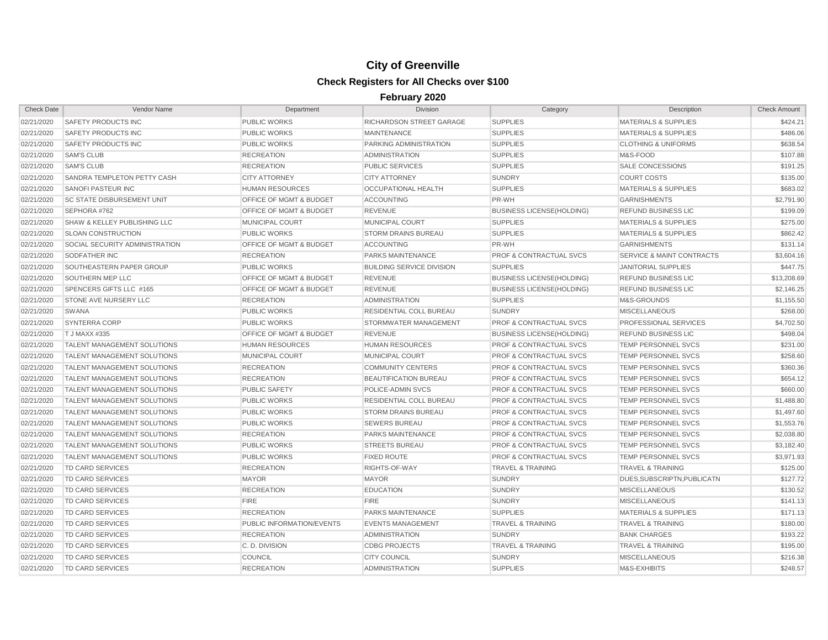| <b>Check Date</b> | Vendor Name                        | Department                         | <b>Division</b>                  | Category                           | Description                          | <b>Check Amount</b> |
|-------------------|------------------------------------|------------------------------------|----------------------------------|------------------------------------|--------------------------------------|---------------------|
| 02/21/2020        | <b>SAFETY PRODUCTS INC</b>         | <b>PUBLIC WORKS</b>                | RICHARDSON STREET GARAGE         | <b>SUPPLIES</b>                    | <b>MATERIALS &amp; SUPPLIES</b>      | \$424.21            |
| 02/21/2020        | <b>SAFETY PRODUCTS INC</b>         | <b>PUBLIC WORKS</b>                | <b>MAINTENANCE</b>               | <b>SUPPLIES</b>                    | <b>MATERIALS &amp; SUPPLIES</b>      | \$486.06            |
| 02/21/2020        | <b>SAFETY PRODUCTS INC</b>         | <b>PUBLIC WORKS</b>                | PARKING ADMINISTRATION           | <b>SUPPLIES</b>                    | <b>CLOTHING &amp; UNIFORMS</b>       | \$638.54            |
| 02/21/2020        | <b>SAM'S CLUB</b>                  | <b>RECREATION</b>                  | <b>ADMINISTRATION</b>            | <b>SUPPLIES</b>                    | M&S-FOOD                             | \$107.88            |
| 02/21/2020        | <b>SAM'S CLUB</b>                  | <b>RECREATION</b>                  | <b>PUBLIC SERVICES</b>           | <b>SUPPLIES</b>                    | SALE CONCESSIONS                     | \$191.25            |
| 02/21/2020        | SANDRA TEMPLETON PETTY CASH        | <b>CITY ATTORNEY</b>               | <b>CITY ATTORNEY</b>             | <b>SUNDRY</b>                      | <b>COURT COSTS</b>                   | \$135.00            |
| 02/21/2020        | SANOFI PASTEUR INC                 | <b>HUMAN RESOURCES</b>             | <b>OCCUPATIONAL HEALTH</b>       | <b>SUPPLIES</b>                    | <b>MATERIALS &amp; SUPPLIES</b>      | \$683.02            |
| 02/21/2020        | <b>SC STATE DISBURSEMENT UNIT</b>  | <b>OFFICE OF MGMT &amp; BUDGET</b> | <b>ACCOUNTING</b>                | PR-WH                              | <b>GARNISHMENTS</b>                  | \$2,791.90          |
| 02/21/2020        | SEPHORA #762                       | OFFICE OF MGMT & BUDGET            | <b>REVENUE</b>                   | <b>BUSINESS LICENSE(HOLDING)</b>   | <b>REFUND BUSINESS LIC</b>           | \$199.09            |
| 02/21/2020        | SHAW & KELLEY PUBLISHING LLC       | <b>MUNICIPAL COURT</b>             | MUNICIPAL COURT                  | <b>SUPPLIES</b>                    | <b>MATERIALS &amp; SUPPLIES</b>      | \$275.00            |
| 02/21/2020        | <b>SLOAN CONSTRUCTION</b>          | <b>PUBLIC WORKS</b>                | <b>STORM DRAINS BUREAU</b>       | <b>SUPPLIES</b>                    | <b>MATERIALS &amp; SUPPLIES</b>      | \$862.42            |
| 02/21/2020        | SOCIAL SECURITY ADMINISTRATION     | <b>OFFICE OF MGMT &amp; BUDGET</b> | <b>ACCOUNTING</b>                | PR-WH                              | <b>GARNISHMENTS</b>                  | \$131.14            |
| 02/21/2020        | SODFATHER INC                      | <b>RECREATION</b>                  | <b>PARKS MAINTENANCE</b>         | <b>PROF &amp; CONTRACTUAL SVCS</b> | <b>SERVICE &amp; MAINT CONTRACTS</b> | \$3,604.16          |
| 02/21/2020        | SOUTHEASTERN PAPER GROUP           | <b>PUBLIC WORKS</b>                | <b>BUILDING SERVICE DIVISION</b> | <b>SUPPLIES</b>                    | <b>JANITORIAL SUPPLIES</b>           | \$447.75            |
| 02/21/2020        | SOUTHERN MEP LLC                   | <b>OFFICE OF MGMT &amp; BUDGET</b> | <b>REVENUE</b>                   | <b>BUSINESS LICENSE(HOLDING)</b>   | <b>REFUND BUSINESS LIC</b>           | \$13,208.69         |
| 02/21/2020        | SPENCERS GIFTS LLC #165            | OFFICE OF MGMT & BUDGET            | <b>REVENUE</b>                   | <b>BUSINESS LICENSE(HOLDING)</b>   | <b>REFUND BUSINESS LIC</b>           | \$2,146.25          |
| 02/21/2020        | STONE AVE NURSERY LLC              | <b>RECREATION</b>                  | <b>ADMINISTRATION</b>            | <b>SUPPLIES</b>                    | M&S-GROUNDS                          | \$1,155.50          |
| 02/21/2020        | <b>SWANA</b>                       | <b>PUBLIC WORKS</b>                | RESIDENTIAL COLL BUREAU          | <b>SUNDRY</b>                      | <b>MISCELLANEOUS</b>                 | \$268.00            |
| 02/21/2020        | <b>SYNTERRA CORP</b>               | <b>PUBLIC WORKS</b>                | STORMWATER MANAGEMENT            | <b>PROF &amp; CONTRACTUAL SVCS</b> | <b>PROFESSIONAL SERVICES</b>         | \$4,702.50          |
| 02/21/2020        | T J MAXX #335                      | OFFICE OF MGMT & BUDGET            | <b>REVENUE</b>                   | <b>BUSINESS LICENSE(HOLDING)</b>   | <b>REFUND BUSINESS LIC</b>           | \$498.04            |
| 02/21/2020        | <b>TALENT MANAGEMENT SOLUTIONS</b> | <b>HUMAN RESOURCES</b>             | <b>HUMAN RESOURCES</b>           | PROF & CONTRACTUAL SVCS            | <b>TEMP PERSONNEL SVCS</b>           | \$231.00            |
| 02/21/2020        | <b>TALENT MANAGEMENT SOLUTIONS</b> | <b>MUNICIPAL COURT</b>             | MUNICIPAL COURT                  | <b>PROF &amp; CONTRACTUAL SVCS</b> | <b>TEMP PERSONNEL SVCS</b>           | \$258.60            |
| 02/21/2020        | <b>TALENT MANAGEMENT SOLUTIONS</b> | <b>RECREATION</b>                  | <b>COMMUNITY CENTERS</b>         | <b>PROF &amp; CONTRACTUAL SVCS</b> | <b>TEMP PERSONNEL SVCS</b>           | \$360.36            |
| 02/21/2020        | <b>TALENT MANAGEMENT SOLUTIONS</b> | <b>RECREATION</b>                  | <b>BEAUTIFICATION BUREAU</b>     | <b>PROF &amp; CONTRACTUAL SVCS</b> | <b>TEMP PERSONNEL SVCS</b>           | \$654.12            |
| 02/21/2020        | <b>TALENT MANAGEMENT SOLUTIONS</b> | <b>PUBLIC SAFETY</b>               | POLICE-ADMIN SVCS                | <b>PROF &amp; CONTRACTUAL SVCS</b> | <b>TEMP PERSONNEL SVCS</b>           | \$660.00            |
| 02/21/2020        | <b>TALENT MANAGEMENT SOLUTIONS</b> | <b>PUBLIC WORKS</b>                | <b>RESIDENTIAL COLL BUREAU</b>   | <b>PROF &amp; CONTRACTUAL SVCS</b> | <b>TEMP PERSONNEL SVCS</b>           | \$1,488.80          |
| 02/21/2020        | <b>TALENT MANAGEMENT SOLUTIONS</b> | <b>PUBLIC WORKS</b>                | <b>STORM DRAINS BUREAU</b>       | <b>PROF &amp; CONTRACTUAL SVCS</b> | <b>TEMP PERSONNEL SVCS</b>           | \$1,497.60          |
| 02/21/2020        | <b>TALENT MANAGEMENT SOLUTIONS</b> | <b>PUBLIC WORKS</b>                | <b>SEWERS BUREAU</b>             | <b>PROF &amp; CONTRACTUAL SVCS</b> | TEMP PERSONNEL SVCS                  | \$1,553.76          |
| 02/21/2020        | <b>TALENT MANAGEMENT SOLUTIONS</b> | <b>RECREATION</b>                  | PARKS MAINTENANCE                | <b>PROF &amp; CONTRACTUAL SVCS</b> | TEMP PERSONNEL SVCS                  | \$2,038.80          |
| 02/21/2020        | <b>TALENT MANAGEMENT SOLUTIONS</b> | <b>PUBLIC WORKS</b>                | <b>STREETS BUREAU</b>            | <b>PROF &amp; CONTRACTUAL SVCS</b> | TEMP PERSONNEL SVCS                  | \$3,182.40          |
| 02/21/2020        | <b>TALENT MANAGEMENT SOLUTIONS</b> | <b>PUBLIC WORKS</b>                | <b>FIXED ROUTE</b>               | <b>PROF &amp; CONTRACTUAL SVCS</b> | TEMP PERSONNEL SVCS                  | \$3,971.93          |
| 02/21/2020        | <b>TD CARD SERVICES</b>            | <b>RECREATION</b>                  | RIGHTS-OF-WAY                    | <b>TRAVEL &amp; TRAINING</b>       | <b>TRAVEL &amp; TRAINING</b>         | \$125.00            |
| 02/21/2020        | <b>TD CARD SERVICES</b>            | <b>MAYOR</b>                       | <b>MAYOR</b>                     | <b>SUNDRY</b>                      | DUES, SUBSCRIPTN, PUBLICATN          | \$127.72            |
| 02/21/2020        | <b>TD CARD SERVICES</b>            | <b>RECREATION</b>                  | <b>EDUCATION</b>                 | <b>SUNDRY</b>                      | <b>MISCELLANEOUS</b>                 | \$130.52            |
| 02/21/2020        | <b>TD CARD SERVICES</b>            | <b>FIRE</b>                        | <b>FIRE</b>                      | <b>SUNDRY</b>                      | <b>MISCELLANEOUS</b>                 | \$141.13            |
| 02/21/2020        | <b>TD CARD SERVICES</b>            | <b>RECREATION</b>                  | <b>PARKS MAINTENANCE</b>         | <b>SUPPLIES</b>                    | <b>MATERIALS &amp; SUPPLIES</b>      | \$171.13            |
| 02/21/2020        | <b>TD CARD SERVICES</b>            | PUBLIC INFORMATION/EVENTS          | <b>EVENTS MANAGEMENT</b>         | <b>TRAVEL &amp; TRAINING</b>       | <b>TRAVEL &amp; TRAINING</b>         | \$180.00            |
| 02/21/2020        | <b>TD CARD SERVICES</b>            | <b>RECREATION</b>                  | <b>ADMINISTRATION</b>            | <b>SUNDRY</b>                      | <b>BANK CHARGES</b>                  | \$193.22            |
| 02/21/2020        | <b>TD CARD SERVICES</b>            | C. D. DIVISION                     | <b>CDBG PROJECTS</b>             | <b>TRAVEL &amp; TRAINING</b>       | <b>TRAVEL &amp; TRAINING</b>         | \$195.00            |
| 02/21/2020        | <b>TD CARD SERVICES</b>            | <b>COUNCIL</b>                     | <b>CITY COUNCIL</b>              | <b>SUNDRY</b>                      | <b>MISCELLANEOUS</b>                 | \$216.38            |
| 02/21/2020        | <b>TD CARD SERVICES</b>            | <b>RECREATION</b>                  | <b>ADMINISTRATION</b>            | <b>SUPPLIES</b>                    | M&S-EXHIBITS                         | \$248.57            |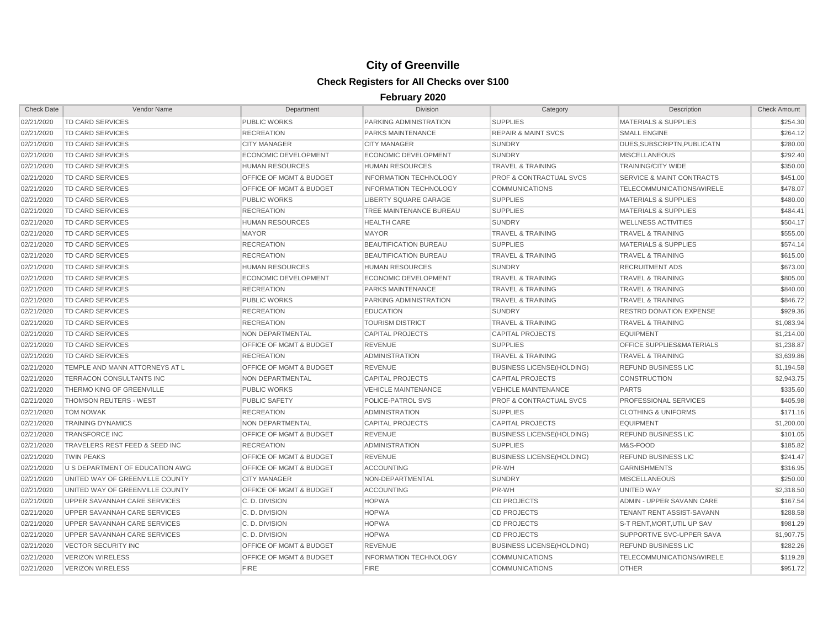| <b>Check Date</b> | Vendor Name                     | Department                         | <b>Division</b>               | Category                           | Description                          | <b>Check Amount</b> |
|-------------------|---------------------------------|------------------------------------|-------------------------------|------------------------------------|--------------------------------------|---------------------|
| 02/21/2020        | <b>TD CARD SERVICES</b>         | <b>PUBLIC WORKS</b>                | PARKING ADMINISTRATION        | <b>SUPPLIES</b>                    | <b>MATERIALS &amp; SUPPLIES</b>      | \$254.30            |
| 02/21/2020        | <b>TD CARD SERVICES</b>         | <b>RECREATION</b>                  | <b>PARKS MAINTENANCE</b>      | <b>REPAIR &amp; MAINT SVCS</b>     | <b>SMALL ENGINE</b>                  | \$264.12            |
| 02/21/2020        | <b>TD CARD SERVICES</b>         | <b>CITY MANAGER</b>                | <b>CITY MANAGER</b>           | <b>SUNDRY</b>                      | DUES, SUBSCRIPTN, PUBLICATN          | \$280.00            |
| 02/21/2020        | <b>TD CARD SERVICES</b>         | ECONOMIC DEVELOPMENT               | <b>ECONOMIC DEVELOPMENT</b>   | <b>SUNDRY</b>                      | <b>MISCELLANEOUS</b>                 | \$292.40            |
| 02/21/2020        | <b>TD CARD SERVICES</b>         | <b>HUMAN RESOURCES</b>             | <b>HUMAN RESOURCES</b>        | <b>TRAVEL &amp; TRAINING</b>       | <b>TRAINING/CITY WIDE</b>            | \$350.00            |
| 02/21/2020        | <b>TD CARD SERVICES</b>         | <b>OFFICE OF MGMT &amp; BUDGET</b> | <b>INFORMATION TECHNOLOGY</b> | <b>PROF &amp; CONTRACTUAL SVCS</b> | <b>SERVICE &amp; MAINT CONTRACTS</b> | \$451.00            |
| 02/21/2020        | <b>TD CARD SERVICES</b>         | <b>OFFICE OF MGMT &amp; BUDGET</b> | <b>INFORMATION TECHNOLOGY</b> | <b>COMMUNICATIONS</b>              | <b>TELECOMMUNICATIONS/WIRELE</b>     | \$478.07            |
| 02/21/2020        | <b>TD CARD SERVICES</b>         | <b>PUBLIC WORKS</b>                | <b>LIBERTY SQUARE GARAGE</b>  | <b>SUPPLIES</b>                    | <b>MATERIALS &amp; SUPPLIES</b>      | \$480.00            |
| 02/21/2020        | <b>TD CARD SERVICES</b>         | <b>RECREATION</b>                  | TREE MAINTENANCE BUREAU       | <b>SUPPLIES</b>                    | <b>MATERIALS &amp; SUPPLIES</b>      | \$484.41            |
| 02/21/2020        | <b>TD CARD SERVICES</b>         | <b>HUMAN RESOURCES</b>             | <b>HEALTH CARE</b>            | <b>SUNDRY</b>                      | <b>WELLNESS ACTIVITIES</b>           | \$504.17            |
| 02/21/2020        | <b>TD CARD SERVICES</b>         | <b>MAYOR</b>                       | <b>MAYOR</b>                  | <b>TRAVEL &amp; TRAINING</b>       | TRAVEL & TRAINING                    | \$555.00            |
| 02/21/2020        | <b>TD CARD SERVICES</b>         | <b>RECREATION</b>                  | <b>BEAUTIFICATION BUREAU</b>  | <b>SUPPLIES</b>                    | <b>MATERIALS &amp; SUPPLIES</b>      | \$574.14            |
| 02/21/2020        | <b>TD CARD SERVICES</b>         | <b>RECREATION</b>                  | BEAUTIFICATION BUREAU         | <b>TRAVEL &amp; TRAINING</b>       | <b>TRAVEL &amp; TRAINING</b>         | \$615.00            |
| 02/21/2020        | <b>TD CARD SERVICES</b>         | <b>HUMAN RESOURCES</b>             | <b>HUMAN RESOURCES</b>        | <b>SUNDRY</b>                      | <b>RECRUITMENT ADS</b>               | \$673.00            |
| 02/21/2020        | <b>TD CARD SERVICES</b>         | <b>ECONOMIC DEVELOPMENT</b>        | <b>ECONOMIC DEVELOPMENT</b>   | <b>TRAVEL &amp; TRAINING</b>       | TRAVEL & TRAINING                    | \$805.00            |
| 02/21/2020        | <b>TD CARD SERVICES</b>         | <b>RECREATION</b>                  | <b>PARKS MAINTENANCE</b>      | <b>TRAVEL &amp; TRAINING</b>       | TRAVEL & TRAINING                    | \$840.00            |
| 02/21/2020        | <b>TD CARD SERVICES</b>         | <b>PUBLIC WORKS</b>                | <b>PARKING ADMINISTRATION</b> | <b>TRAVEL &amp; TRAINING</b>       | TRAVEL & TRAINING                    | \$846.72            |
| 02/21/2020        | <b>TD CARD SERVICES</b>         | <b>RECREATION</b>                  | <b>EDUCATION</b>              | <b>SUNDRY</b>                      | <b>RESTRD DONATION EXPENSE</b>       | \$929.36            |
| 02/21/2020        | <b>TD CARD SERVICES</b>         | <b>RECREATION</b>                  | <b>TOURISM DISTRICT</b>       | <b>TRAVEL &amp; TRAINING</b>       | <b>TRAVEL &amp; TRAINING</b>         | \$1,083.94          |
| 02/21/2020        | <b>TD CARD SERVICES</b>         | NON DEPARTMENTAL                   | <b>CAPITAL PROJECTS</b>       | <b>CAPITAL PROJECTS</b>            | <b>EQUIPMENT</b>                     | \$1,214.00          |
| 02/21/2020        | <b>TD CARD SERVICES</b>         | <b>OFFICE OF MGMT &amp; BUDGET</b> | <b>REVENUE</b>                | <b>SUPPLIES</b>                    | OFFICE SUPPLIES&MATERIALS            | \$1,238.87          |
| 02/21/2020        | <b>TD CARD SERVICES</b>         | <b>RECREATION</b>                  | <b>ADMINISTRATION</b>         | <b>TRAVEL &amp; TRAINING</b>       | TRAVEL & TRAINING                    | \$3,639.86          |
| 02/21/2020        | TEMPLE AND MANN ATTORNEYS AT L  | <b>OFFICE OF MGMT &amp; BUDGET</b> | <b>REVENUE</b>                | <b>BUSINESS LICENSE(HOLDING)</b>   | <b>REFUND BUSINESS LIC</b>           | \$1,194.58          |
| 02/21/2020        | TERRACON CONSULTANTS INC        | NON DEPARTMENTAL                   | <b>CAPITAL PROJECTS</b>       | <b>CAPITAL PROJECTS</b>            | <b>CONSTRUCTION</b>                  | \$2,943.75          |
| 02/21/2020        | THERMO KING OF GREENVILLE       | <b>PUBLIC WORKS</b>                | <b>VEHICLE MAINTENANCE</b>    | <b>VEHICLE MAINTENANCE</b>         | <b>PARTS</b>                         | \$335.60            |
| 02/21/2020        | <b>THOMSON REUTERS - WEST</b>   | <b>PUBLIC SAFETY</b>               | POLICE-PATROL SVS             | <b>PROF &amp; CONTRACTUAL SVCS</b> | PROFESSIONAL SERVICES                | \$405.98            |
| 02/21/2020        | <b>TOM NOWAK</b>                | <b>RECREATION</b>                  | <b>ADMINISTRATION</b>         | <b>SUPPLIES</b>                    | <b>CLOTHING &amp; UNIFORMS</b>       | \$171.16            |
| 02/21/2020        | <b>TRAINING DYNAMICS</b>        | NON DEPARTMENTAL                   | <b>CAPITAL PROJECTS</b>       | <b>CAPITAL PROJECTS</b>            | <b>EQUIPMENT</b>                     | \$1,200.00          |
| 02/21/2020        | <b>TRANSFORCE INC</b>           | OFFICE OF MGMT & BUDGET            | <b>REVENUE</b>                | <b>BUSINESS LICENSE(HOLDING)</b>   | <b>REFUND BUSINESS LIC</b>           | \$101.05            |
| 02/21/2020        | TRAVELERS REST FEED & SEED INC  | <b>RECREATION</b>                  | <b>ADMINISTRATION</b>         | <b>SUPPLIES</b>                    | M&S-FOOD                             | \$185.82            |
| 02/21/2020        | <b>TWIN PEAKS</b>               | OFFICE OF MGMT & BUDGET            | REVENUE                       | <b>BUSINESS LICENSE(HOLDING)</b>   | <b>REFUND BUSINESS LIC</b>           | \$241.47            |
| 02/21/2020        | U S DEPARTMENT OF EDUCATION AWG | OFFICE OF MGMT & BUDGET            | <b>ACCOUNTING</b>             | PR-WH                              | <b>GARNISHMENTS</b>                  | \$316.95            |
| 02/21/2020        | UNITED WAY OF GREENVILLE COUNTY | <b>CITY MANAGER</b>                | NON-DEPARTMENTAL              | <b>SUNDRY</b>                      | <b>MISCELLANEOUS</b>                 | \$250.00            |
| 02/21/2020        | UNITED WAY OF GREENVILLE COUNTY | OFFICE OF MGMT & BUDGET            | <b>ACCOUNTING</b>             | PR-WH                              | UNITED WAY                           | \$2,318.50          |
| 02/21/2020        | UPPER SAVANNAH CARE SERVICES    | C.D. DIVISION                      | <b>HOPWA</b>                  | <b>CD PROJECTS</b>                 | ADMIN - UPPER SAVANN CARE            | \$167.54            |
| 02/21/2020        | UPPER SAVANNAH CARE SERVICES    | C.D. DIVISION                      | <b>HOPWA</b>                  | <b>CD PROJECTS</b>                 | TENANT RENT ASSIST-SAVANN            | \$288.58            |
| 02/21/2020        | UPPER SAVANNAH CARE SERVICES    | C.D. DIVISION                      | <b>HOPWA</b>                  | <b>CD PROJECTS</b>                 | S-T RENT, MORT, UTIL UP SAV          | \$981.29            |
| 02/21/2020        | UPPER SAVANNAH CARE SERVICES    | C.D. DIVISION                      | <b>HOPWA</b>                  | <b>CD PROJECTS</b>                 | SUPPORTIVE SVC-UPPER SAVA            | \$1,907.75          |
| 02/21/2020        | <b>VECTOR SECURITY INC</b>      | OFFICE OF MGMT & BUDGET            | REVENUE                       | <b>BUSINESS LICENSE(HOLDING)</b>   | <b>REFUND BUSINESS LIC</b>           | \$282.26            |
| 02/21/2020        | VERIZON WIRELESS                | OFFICE OF MGMT & BUDGET            | <b>INFORMATION TECHNOLOGY</b> | <b>COMMUNICATIONS</b>              | TELECOMMUNICATIONS/WIRELE            | \$119.28            |
| 02/21/2020        | <b>VERIZON WIRELESS</b>         | <b>FIRE</b>                        | <b>FIRE</b>                   | <b>COMMUNICATIONS</b>              | <b>OTHER</b>                         | \$951.72            |
|                   |                                 |                                    |                               |                                    |                                      |                     |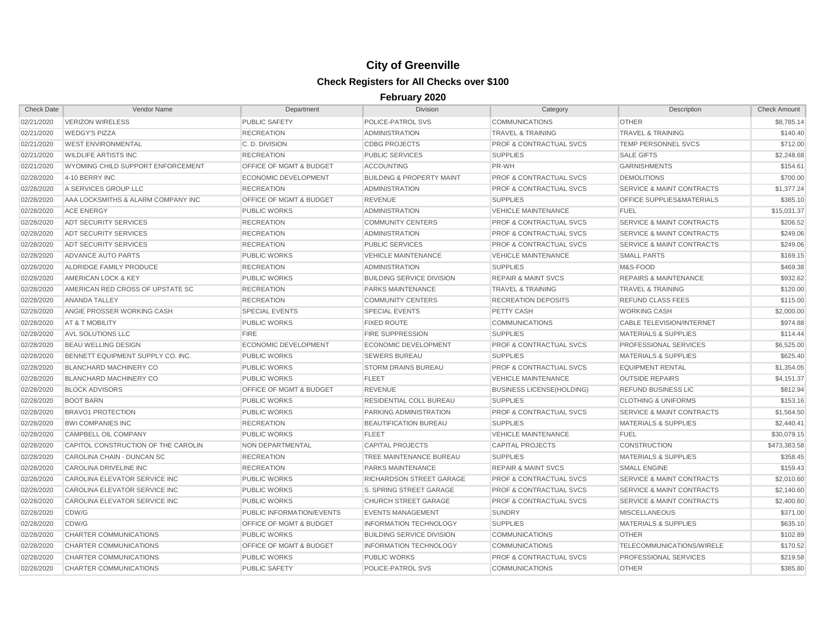| <b>Check Date</b> | Vendor Name                         | Department                         | <b>Division</b>                      | Category                           | Description                          | <b>Check Amount</b> |
|-------------------|-------------------------------------|------------------------------------|--------------------------------------|------------------------------------|--------------------------------------|---------------------|
| 02/21/2020        | <b>VERIZON WIRELESS</b>             | <b>PUBLIC SAFETY</b>               | POLICE-PATROL SVS                    | <b>COMMUNICATIONS</b>              | <b>OTHER</b>                         | \$8,785.14          |
| 02/21/2020        | <b>WEDGY'S PIZZA</b>                | <b>RECREATION</b>                  | <b>ADMINISTRATION</b>                | <b>TRAVEL &amp; TRAINING</b>       | <b>TRAVEL &amp; TRAINING</b>         | \$140.40            |
| 02/21/2020        | <b>WEST ENVIRONMENTAL</b>           | C.D. DIVISION                      | <b>CDBG PROJECTS</b>                 | <b>PROF &amp; CONTRACTUAL SVCS</b> | TEMP PERSONNEL SVCS                  | \$712.00            |
| 02/21/2020        | <b>WILDLIFE ARTISTS INC</b>         | <b>RECREATION</b>                  | <b>PUBLIC SERVICES</b>               | <b>SUPPLIES</b>                    | <b>SALE GIFTS</b>                    | \$2,248.68          |
| 02/21/2020        | WYOMING CHILD SUPPORT ENFORCEMENT   | <b>OFFICE OF MGMT &amp; BUDGET</b> | <b>ACCOUNTING</b>                    | PR-WH                              | <b>GARNISHMENTS</b>                  | \$154.61            |
| 02/28/2020        | 4-10 BERRY INC                      | ECONOMIC DEVELOPMENT               | <b>BUILDING &amp; PROPERTY MAINT</b> | <b>PROF &amp; CONTRACTUAL SVCS</b> | <b>DEMOLITIONS</b>                   | \$700.00            |
| 02/28/2020        | A SERVICES GROUP LLC                | <b>RECREATION</b>                  | <b>ADMINISTRATION</b>                | <b>PROF &amp; CONTRACTUAL SVCS</b> | <b>SERVICE &amp; MAINT CONTRACTS</b> | \$1,377.24          |
| 02/28/2020        | AAA LOCKSMITHS & ALARM COMPANY INC  | OFFICE OF MGMT & BUDGET            | <b>REVENUE</b>                       | <b>SUPPLIES</b>                    | OFFICE SUPPLIES&MATERIALS            | \$385.10            |
| 02/28/2020        | <b>ACE ENERGY</b>                   | <b>PUBLIC WORKS</b>                | <b>ADMINISTRATION</b>                | <b>VEHICLE MAINTENANCE</b>         | <b>FUEL</b>                          | \$15,031.37         |
| 02/28/2020        | <b>ADT SECURITY SERVICES</b>        | <b>RECREATION</b>                  | <b>COMMUNITY CENTERS</b>             | <b>PROF &amp; CONTRACTUAL SVCS</b> | SERVICE & MAINT CONTRACTS            | \$206.52            |
| 02/28/2020        | <b>ADT SECURITY SERVICES</b>        | <b>RECREATION</b>                  | <b>ADMINISTRATION</b>                | <b>PROF &amp; CONTRACTUAL SVCS</b> | <b>SERVICE &amp; MAINT CONTRACTS</b> | \$249.06            |
| 02/28/2020        | <b>ADT SECURITY SERVICES</b>        | <b>RECREATION</b>                  | PUBLIC SERVICES                      | <b>PROF &amp; CONTRACTUAL SVCS</b> | <b>SERVICE &amp; MAINT CONTRACTS</b> | \$249.06            |
| 02/28/2020        | ADVANCE AUTO PARTS                  | <b>PUBLIC WORKS</b>                | <b>VEHICLE MAINTENANCE</b>           | <b>VEHICLE MAINTENANCE</b>         | <b>SMALL PARTS</b>                   | \$169.15            |
| 02/28/2020        | ALDRIDGE FAMILY PRODUCE             | <b>RECREATION</b>                  | ADMINISTRATION                       | <b>SUPPLIES</b>                    | M&S-FOOD                             | \$469.38            |
| 02/28/2020        | AMERICAN LOCK & KEY                 | <b>PUBLIC WORKS</b>                | <b>BUILDING SERVICE DIVISION</b>     | <b>REPAIR &amp; MAINT SVCS</b>     | <b>REPAIRS &amp; MAINTENANCE</b>     | \$932.62            |
| 02/28/2020        | AMERICAN RED CROSS OF UPSTATE SC    | <b>RECREATION</b>                  | PARKS MAINTENANCE                    | <b>TRAVEL &amp; TRAINING</b>       | <b>TRAVEL &amp; TRAINING</b>         | \$120.00            |
| 02/28/2020        | ANANDA TALLEY                       | <b>RECREATION</b>                  | <b>COMMUNITY CENTERS</b>             | <b>RECREATION DEPOSITS</b>         | REFUND CLASS FEES                    | \$115.00            |
| 02/28/2020        | ANGIE PROSSER WORKING CASH          | <b>SPECIAL EVENTS</b>              | <b>SPECIAL EVENTS</b>                | PETTY CASH                         | <b>WORKING CASH</b>                  | \$2,000.00          |
| 02/28/2020        | AT & T MOBILITY                     | <b>PUBLIC WORKS</b>                | <b>FIXED ROUTE</b>                   | <b>COMMUNICATIONS</b>              | <b>CABLE TELEVISION/INTERNET</b>     | \$974.88            |
| 02/28/2020        | <b>AVL SOLUTIONS LLC</b>            | <b>FIRE</b>                        | <b>FIRE SUPPRESSION</b>              | <b>SUPPLIES</b>                    | <b>MATERIALS &amp; SUPPLIES</b>      | \$114.44            |
| 02/28/2020        | <b>BEAU WELLING DESIGN</b>          | ECONOMIC DEVELOPMENT               | ECONOMIC DEVELOPMENT                 | <b>PROF &amp; CONTRACTUAL SVCS</b> | PROFESSIONAL SERVICES                | \$6,525.00          |
| 02/28/2020        | BENNETT EQUIPMENT SUPPLY CO. INC.   | <b>PUBLIC WORKS</b>                | <b>SEWERS BUREAU</b>                 | <b>SUPPLIES</b>                    | <b>MATERIALS &amp; SUPPLIES</b>      | \$625.40            |
| 02/28/2020        | BLANCHARD MACHINERY CO              | <b>PUBLIC WORKS</b>                | <b>STORM DRAINS BUREAU</b>           | <b>PROF &amp; CONTRACTUAL SVCS</b> | <b>EQUIPMENT RENTAL</b>              | \$1,354.05          |
| 02/28/2020        | BLANCHARD MACHINERY CO              | <b>PUBLIC WORKS</b>                | <b>FLEET</b>                         | <b>VEHICLE MAINTENANCE</b>         | <b>OUTSIDE REPAIRS</b>               | \$4,151.37          |
| 02/28/2020        | <b>BLOCK ADVISORS</b>               | OFFICE OF MGMT & BUDGET            | <b>REVENUE</b>                       | <b>BUSINESS LICENSE(HOLDING)</b>   | <b>REFUND BUSINESS LIC</b>           | \$812.94            |
| 02/28/2020        | <b>BOOT BARN</b>                    | <b>PUBLIC WORKS</b>                | RESIDENTIAL COLL BUREAU              | <b>SUPPLIES</b>                    | <b>CLOTHING &amp; UNIFORMS</b>       | \$153.16            |
| 02/28/2020        | <b>BRAVO1 PROTECTION</b>            | <b>PUBLIC WORKS</b>                | PARKING ADMINISTRATION               | PROF & CONTRACTUAL SVCS            | <b>SERVICE &amp; MAINT CONTRACTS</b> | \$1,564.50          |
| 02/28/2020        | <b>BWI COMPANIES INC</b>            | <b>RECREATION</b>                  | <b>BEAUTIFICATION BUREAU</b>         | <b>SUPPLIES</b>                    | <b>MATERIALS &amp; SUPPLIES</b>      | \$2,440.41          |
| 02/28/2020        | CAMPBELL OIL COMPANY                | <b>PUBLIC WORKS</b>                | <b>FLEET</b>                         | <b>VEHICLE MAINTENANCE</b>         | <b>FUEL</b>                          | \$30,079.15         |
| 02/28/2020        | CAPITOL CONSTRUCTION OF THE CAROLIN | NON DEPARTMENTAL                   | <b>CAPITAL PROJECTS</b>              | <b>CAPITAL PROJECTS</b>            | <b>CONSTRUCTION</b>                  | \$473,383.58        |
| 02/28/2020        | CAROLINA CHAIN - DUNCAN SC          | <b>RECREATION</b>                  | <b>TREE MAINTENANCE BUREAU</b>       | <b>SUPPLIES</b>                    | <b>MATERIALS &amp; SUPPLIES</b>      | \$358.45            |
| 02/28/2020        | CAROLINA DRIVELINE INC              | <b>RECREATION</b>                  | PARKS MAINTENANCE                    | <b>REPAIR &amp; MAINT SVCS</b>     | <b>SMALL ENGINE</b>                  | \$159.43            |
| 02/28/2020        | CAROLINA ELEVATOR SERVICE INC       | <b>PUBLIC WORKS</b>                | RICHARDSON STREET GARAGE             | <b>PROF &amp; CONTRACTUAL SVCS</b> | SERVICE & MAINT CONTRACTS            | \$2,010.60          |
| 02/28/2020        | CAROLINA ELEVATOR SERVICE INC       | <b>PUBLIC WORKS</b>                | <b>S. SPRING STREET GARAGE</b>       | <b>PROF &amp; CONTRACTUAL SVCS</b> | <b>SERVICE &amp; MAINT CONTRACTS</b> | \$2,140.60          |
| 02/28/2020        | CAROLINA ELEVATOR SERVICE INC       | <b>PUBLIC WORKS</b>                | <b>CHURCH STREET GARAGE</b>          | <b>PROF &amp; CONTRACTUAL SVCS</b> | <b>SERVICE &amp; MAINT CONTRACTS</b> | \$2,400.60          |
| 02/28/2020        | CDW/G                               | PUBLIC INFORMATION/EVENTS          | <b>EVENTS MANAGEMENT</b>             | <b>SUNDRY</b>                      | <b>MISCELLANEOUS</b>                 | \$371.00            |
| 02/28/2020        | CDW/G                               | OFFICE OF MGMT & BUDGET            | <b>INFORMATION TECHNOLOGY</b>        | <b>SUPPLIES</b>                    | <b>MATERIALS &amp; SUPPLIES</b>      | \$635.10            |
| 02/28/2020        | CHARTER COMMUNICATIONS              | <b>PUBLIC WORKS</b>                | <b>BUILDING SERVICE DIVISION</b>     | <b>COMMUNICATIONS</b>              | <b>OTHER</b>                         | \$102.89            |
| 02/28/2020        | <b>CHARTER COMMUNICATIONS</b>       | OFFICE OF MGMT & BUDGET            | <b>INFORMATION TECHNOLOGY</b>        | <b>COMMUNICATIONS</b>              | TELECOMMUNICATIONS/WIRELE            | \$170.52            |
| 02/28/2020        | CHARTER COMMUNICATIONS              | <b>PUBLIC WORKS</b>                | <b>PUBLIC WORKS</b>                  | <b>PROF &amp; CONTRACTUAL SVCS</b> | PROFESSIONAL SERVICES                | \$219.58            |
| 02/28/2020        | CHARTER COMMUNICATIONS              | <b>PUBLIC SAFETY</b>               | POLICE-PATROL SVS                    | <b>COMMUNICATIONS</b>              | <b>OTHER</b>                         | \$385.80            |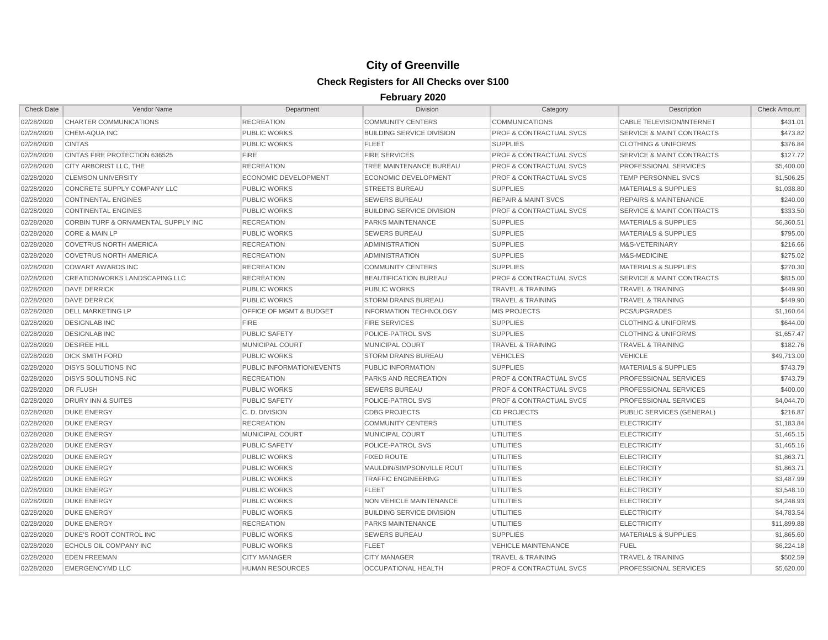| <b>Check Date</b> | Vendor Name                                    | Department                         | <b>Division</b>                  | Category                           | Description                          | <b>Check Amount</b> |
|-------------------|------------------------------------------------|------------------------------------|----------------------------------|------------------------------------|--------------------------------------|---------------------|
| 02/28/2020        | <b>CHARTER COMMUNICATIONS</b>                  | <b>RECREATION</b>                  | <b>COMMUNITY CENTERS</b>         | <b>COMMUNICATIONS</b>              | CABLE TELEVISION/INTERNET            | \$431.01            |
| 02/28/2020        | CHEM-AQUA INC                                  | <b>PUBLIC WORKS</b>                | <b>BUILDING SERVICE DIVISION</b> | <b>PROF &amp; CONTRACTUAL SVCS</b> | SERVICE & MAINT CONTRACTS            | \$473.82            |
| 02/28/2020        | <b>CINTAS</b>                                  | <b>PUBLIC WORKS</b>                | <b>FLEET</b>                     | <b>SUPPLIES</b>                    | <b>CLOTHING &amp; UNIFORMS</b>       | \$376.84            |
| 02/28/2020        | CINTAS FIRE PROTECTION 636525                  | <b>FIRE</b>                        | <b>FIRE SERVICES</b>             | <b>PROF &amp; CONTRACTUAL SVCS</b> | <b>SERVICE &amp; MAINT CONTRACTS</b> | \$127.72            |
| 02/28/2020        | CITY ARBORIST LLC, THE                         | <b>RECREATION</b>                  | TREE MAINTENANCE BUREAU          | <b>PROF &amp; CONTRACTUAL SVCS</b> | PROFESSIONAL SERVICES                | \$5,400.00          |
| 02/28/2020        | <b>CLEMSON UNIVERSITY</b>                      | <b>ECONOMIC DEVELOPMENT</b>        | <b>ECONOMIC DEVELOPMENT</b>      | <b>PROF &amp; CONTRACTUAL SVCS</b> | TEMP PERSONNEL SVCS                  | \$1,506.25          |
| 02/28/2020        | CONCRETE SUPPLY COMPANY LLC                    | <b>PUBLIC WORKS</b>                | <b>STREETS BUREAU</b>            | <b>SUPPLIES</b>                    | <b>MATERIALS &amp; SUPPLIES</b>      | \$1,038.80          |
| 02/28/2020        | <b>CONTINENTAL ENGINES</b>                     | <b>PUBLIC WORKS</b>                | <b>SEWERS BUREAU</b>             | <b>REPAIR &amp; MAINT SVCS</b>     | <b>REPAIRS &amp; MAINTENANCE</b>     | \$240.00            |
| 02/28/2020        | <b>CONTINENTAL ENGINES</b>                     | <b>PUBLIC WORKS</b>                | <b>BUILDING SERVICE DIVISION</b> | PROF & CONTRACTUAL SVCS            | <b>SERVICE &amp; MAINT CONTRACTS</b> | \$333.50            |
| 02/28/2020        | <b>CORBIN TURF &amp; ORNAMENTAL SUPPLY INC</b> | <b>RECREATION</b>                  | PARKS MAINTENANCE                | <b>SUPPLIES</b>                    | <b>MATERIALS &amp; SUPPLIES</b>      | \$6,360.51          |
| 02/28/2020        | <b>CORE &amp; MAIN LP</b>                      | <b>PUBLIC WORKS</b>                | <b>SEWERS BUREAU</b>             | <b>SUPPLIES</b>                    | <b>MATERIALS &amp; SUPPLIES</b>      | \$795.00            |
| 02/28/2020        | <b>COVETRUS NORTH AMERICA</b>                  | <b>RECREATION</b>                  | <b>ADMINISTRATION</b>            | <b>SUPPLIES</b>                    | M&S-VETERINARY                       | \$216.66            |
| 02/28/2020        | <b>COVETRUS NORTH AMERICA</b>                  | <b>RECREATION</b>                  | <b>ADMINISTRATION</b>            | <b>SUPPLIES</b>                    | M&S-MEDICINE                         | \$275.02            |
| 02/28/2020        | <b>COWART AWARDS INC</b>                       | <b>RECREATION</b>                  | <b>COMMUNITY CENTERS</b>         | <b>SUPPLIES</b>                    | <b>MATERIALS &amp; SUPPLIES</b>      | \$270.30            |
| 02/28/2020        | <b>CREATIONWORKS LANDSCAPING LLC</b>           | <b>RECREATION</b>                  | <b>BEAUTIFICATION BUREAU</b>     | <b>PROF &amp; CONTRACTUAL SVCS</b> | SERVICE & MAINT CONTRACTS            | \$815.00            |
| 02/28/2020        | <b>DAVE DERRICK</b>                            | <b>PUBLIC WORKS</b>                | <b>PUBLIC WORKS</b>              | <b>TRAVEL &amp; TRAINING</b>       | <b>TRAVEL &amp; TRAINING</b>         | \$449.90            |
| 02/28/2020        | <b>DAVE DERRICK</b>                            | <b>PUBLIC WORKS</b>                | <b>STORM DRAINS BUREAU</b>       | <b>TRAVEL &amp; TRAINING</b>       | TRAVEL & TRAINING                    | \$449.90            |
| 02/28/2020        | <b>DELL MARKETING LP</b>                       | <b>OFFICE OF MGMT &amp; BUDGET</b> | <b>INFORMATION TECHNOLOGY</b>    | <b>MIS PROJECTS</b>                | PCS/UPGRADES                         | \$1,160.64          |
| 02/28/2020        | <b>DESIGNLAB INC</b>                           | <b>FIRE</b>                        | <b>FIRE SERVICES</b>             | <b>SUPPLIES</b>                    | <b>CLOTHING &amp; UNIFORMS</b>       | \$644.00            |
| 02/28/2020        | <b>DESIGNLAB INC</b>                           | <b>PUBLIC SAFETY</b>               | POLICE-PATROL SVS                | <b>SUPPLIES</b>                    | <b>CLOTHING &amp; UNIFORMS</b>       | \$1,657.47          |
| 02/28/2020        | <b>DESIREE HILL</b>                            | <b>MUNICIPAL COURT</b>             | <b>MUNICIPAL COURT</b>           | <b>TRAVEL &amp; TRAINING</b>       | <b>TRAVEL &amp; TRAINING</b>         | \$182.76            |
| 02/28/2020        | <b>DICK SMITH FORD</b>                         | <b>PUBLIC WORKS</b>                | <b>STORM DRAINS BUREAU</b>       | <b>VEHICLES</b>                    | <b>VEHICLE</b>                       | \$49,713.00         |
| 02/28/2020        | <b>DISYS SOLUTIONS INC</b>                     | PUBLIC INFORMATION/EVENTS          | PUBLIC INFORMATION               | <b>SUPPLIES</b>                    | <b>MATERIALS &amp; SUPPLIES</b>      | \$743.79            |
| 02/28/2020        | <b>DISYS SOLUTIONS INC</b>                     | <b>RECREATION</b>                  | PARKS AND RECREATION             | <b>PROF &amp; CONTRACTUAL SVCS</b> | PROFESSIONAL SERVICES                | \$743.79            |
| 02/28/2020        | <b>DR FLUSH</b>                                | <b>PUBLIC WORKS</b>                | <b>SEWERS BUREAU</b>             | <b>PROF &amp; CONTRACTUAL SVCS</b> | <b>PROFESSIONAL SERVICES</b>         | \$400.00            |
| 02/28/2020        | <b>DRURY INN &amp; SUITES</b>                  | <b>PUBLIC SAFETY</b>               | POLICE-PATROL SVS                | <b>PROF &amp; CONTRACTUAL SVCS</b> | <b>PROFESSIONAL SERVICES</b>         | \$4,044.70          |
| 02/28/2020        | <b>DUKE ENERGY</b>                             | C.D. DIVISION                      | <b>CDBG PROJECTS</b>             | <b>CD PROJECTS</b>                 | <b>PUBLIC SERVICES (GENERAL)</b>     | \$216.87            |
| 02/28/2020        | <b>DUKE ENERGY</b>                             | <b>RECREATION</b>                  | <b>COMMUNITY CENTERS</b>         | <b>UTILITIES</b>                   | <b>ELECTRICITY</b>                   | \$1,183.84          |
| 02/28/2020        | <b>DUKE ENERGY</b>                             | <b>MUNICIPAL COURT</b>             | <b>MUNICIPAL COURT</b>           | <b>UTILITIES</b>                   | <b>ELECTRICITY</b>                   | \$1,465.15          |
| 02/28/2020        | <b>DUKE ENERGY</b>                             | <b>PUBLIC SAFETY</b>               | POLICE-PATROL SVS                | UTILITIES                          | <b>ELECTRICITY</b>                   | \$1,465.16          |
| 02/28/2020        | <b>DUKE ENERGY</b>                             | <b>PUBLIC WORKS</b>                | <b>FIXED ROUTE</b>               | <b>UTILITIES</b>                   | <b>ELECTRICITY</b>                   | \$1,863.71          |
| 02/28/2020        | <b>DUKE ENERGY</b>                             | <b>PUBLIC WORKS</b>                | MAULDIN/SIMPSONVILLE ROUT        | UTILITIES                          | <b>ELECTRICITY</b>                   | \$1,863.71          |
| 02/28/2020        | <b>DUKE ENERGY</b>                             | <b>PUBLIC WORKS</b>                | <b>TRAFFIC ENGINEERING</b>       | UTILITIES                          | <b>ELECTRICITY</b>                   | \$3,487.99          |
| 02/28/2020        | <b>DUKE ENERGY</b>                             | <b>PUBLIC WORKS</b>                | <b>FLEET</b>                     | <b>UTILITIES</b>                   | <b>ELECTRICITY</b>                   | \$3,548.10          |
| 02/28/2020        | <b>DUKE ENERGY</b>                             | <b>PUBLIC WORKS</b>                | NON VEHICLE MAINTENANCE          | <b>UTILITIES</b>                   | <b>ELECTRICITY</b>                   | \$4,248.93          |
| 02/28/2020        | <b>DUKE ENERGY</b>                             | <b>PUBLIC WORKS</b>                | <b>BUILDING SERVICE DIVISION</b> | <b>UTILITIES</b>                   | <b>ELECTRICITY</b>                   | \$4,783.54          |
| 02/28/2020        | <b>DUKE ENERGY</b>                             | <b>RECREATION</b>                  | PARKS MAINTENANCE                | <b>UTILITIES</b>                   | <b>ELECTRICITY</b>                   | \$11,899.88         |
| 02/28/2020        | DUKE'S ROOT CONTROL INC                        | <b>PUBLIC WORKS</b>                | <b>SEWERS BUREAU</b>             | <b>SUPPLIES</b>                    | <b>MATERIALS &amp; SUPPLIES</b>      | \$1,865.60          |
| 02/28/2020        | ECHOLS OIL COMPANY INC                         | <b>PUBLIC WORKS</b>                | <b>FLEET</b>                     | <b>VEHICLE MAINTENANCE</b>         | <b>FUEL</b>                          | \$6,224.18          |
| 02/28/2020        | <b>EDEN FREEMAN</b>                            | <b>CITY MANAGER</b>                | <b>CITY MANAGER</b>              | TRAVEL & TRAINING                  | TRAVEL & TRAINING                    | \$502.59            |
| 02/28/2020        | <b>EMERGENCYMD LLC</b>                         | <b>HUMAN RESOURCES</b>             | <b>OCCUPATIONAL HEALTH</b>       | <b>PROF &amp; CONTRACTUAL SVCS</b> | PROFESSIONAL SERVICES                | \$5,620.00          |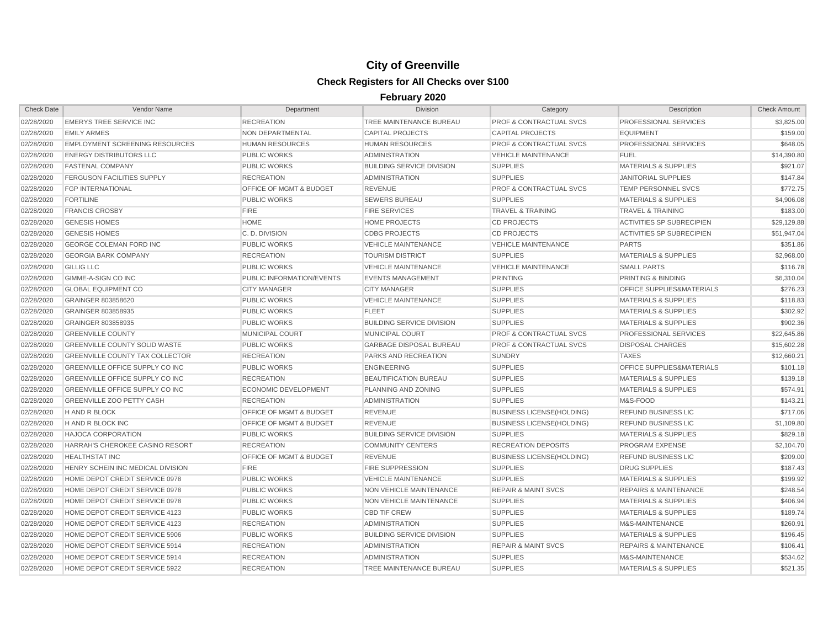| <b>Check Date</b> | Vendor Name                            | Department                  | <b>Division</b>                  | Category                           | Description                      | <b>Check Amount</b> |
|-------------------|----------------------------------------|-----------------------------|----------------------------------|------------------------------------|----------------------------------|---------------------|
| 02/28/2020        | <b>EMERYS TREE SERVICE INC</b>         | <b>RECREATION</b>           | TREE MAINTENANCE BUREAU          | PROF & CONTRACTUAL SVCS            | PROFESSIONAL SERVICES            | \$3,825.00          |
| 02/28/2020        | <b>EMILY ARMES</b>                     | NON DEPARTMENTAL            | <b>CAPITAL PROJECTS</b>          | <b>CAPITAL PROJECTS</b>            | <b>EQUIPMENT</b>                 | \$159.00            |
| 02/28/2020        | <b>EMPLOYMENT SCREENING RESOURCES</b>  | <b>HUMAN RESOURCES</b>      | <b>HUMAN RESOURCES</b>           | <b>PROF &amp; CONTRACTUAL SVCS</b> | PROFESSIONAL SERVICES            | \$648.05            |
| 02/28/2020        | <b>ENERGY DISTRIBUTORS LLC</b>         | <b>PUBLIC WORKS</b>         | <b>ADMINISTRATION</b>            | <b>VEHICLE MAINTENANCE</b>         | <b>FUEL</b>                      | \$14,390.80         |
| 02/28/2020        | <b>FASTENAL COMPANY</b>                | <b>PUBLIC WORKS</b>         | <b>BUILDING SERVICE DIVISION</b> | <b>SUPPLIES</b>                    | <b>MATERIALS &amp; SUPPLIES</b>  | \$921.07            |
| 02/28/2020        | <b>FERGUSON FACILITIES SUPPLY</b>      | <b>RECREATION</b>           | <b>ADMINISTRATION</b>            | <b>SUPPLIES</b>                    | <b>JANITORIAL SUPPLIES</b>       | \$147.84            |
| 02/28/2020        | <b>FGP INTERNATIONAL</b>               | OFFICE OF MGMT & BUDGET     | <b>REVENUE</b>                   | <b>PROF &amp; CONTRACTUAL SVCS</b> | TEMP PERSONNEL SVCS              | \$772.75            |
| 02/28/2020        | <b>FORTILINE</b>                       | <b>PUBLIC WORKS</b>         | <b>SEWERS BUREAU</b>             | <b>SUPPLIES</b>                    | <b>MATERIALS &amp; SUPPLIES</b>  | \$4,906.08          |
| 02/28/2020        | <b>FRANCIS CROSBY</b>                  | <b>FIRE</b>                 | <b>FIRE SERVICES</b>             | <b>TRAVEL &amp; TRAINING</b>       | <b>TRAVEL &amp; TRAINING</b>     | \$183.00            |
| 02/28/2020        | <b>GENESIS HOMES</b>                   | <b>HOME</b>                 | <b>HOME PROJECTS</b>             | <b>CD PROJECTS</b>                 | ACTIVITIES SP SUBRECIPIEN        | \$29,129.88         |
| 02/28/2020        | <b>GENESIS HOMES</b>                   | C.D. DIVISION               | <b>CDBG PROJECTS</b>             | <b>CD PROJECTS</b>                 | <b>ACTIVITIES SP SUBRECIPIEN</b> | \$51.947.04         |
| 02/28/2020        | <b>GEORGE COLEMAN FORD INC</b>         | <b>PUBLIC WORKS</b>         | <b>VEHICLE MAINTENANCE</b>       | <b>VEHICLE MAINTENANCE</b>         | <b>PARTS</b>                     | \$351.86            |
| 02/28/2020        | <b>GEORGIA BARK COMPANY</b>            | <b>RECREATION</b>           | <b>TOURISM DISTRICT</b>          | <b>SUPPLIES</b>                    | <b>MATERIALS &amp; SUPPLIES</b>  | \$2,968.00          |
| 02/28/2020        | <b>GILLIG LLC</b>                      | <b>PUBLIC WORKS</b>         | <b>VEHICLE MAINTENANCE</b>       | <b>VEHICLE MAINTENANCE</b>         | <b>SMALL PARTS</b>               | \$116.78            |
| 02/28/2020        | GIMME-A-SIGN CO INC                    | PUBLIC INFORMATION/EVENTS   | <b>EVENTS MANAGEMENT</b>         | <b>PRINTING</b>                    | <b>PRINTING &amp; BINDING</b>    | \$6,310.04          |
| 02/28/2020        | <b>GLOBAL EQUIPMENT CO</b>             | <b>CITY MANAGER</b>         | <b>CITY MANAGER</b>              | <b>SUPPLIES</b>                    | OFFICE SUPPLIES&MATERIALS        | \$276.23            |
| 02/28/2020        | GRAINGER 803858620                     | <b>PUBLIC WORKS</b>         | <b>VEHICLE MAINTENANCE</b>       | <b>SUPPLIES</b>                    | <b>MATERIALS &amp; SUPPLIES</b>  | \$118.83            |
| 02/28/2020        | GRAINGER 803858935                     | <b>PUBLIC WORKS</b>         | <b>FLEET</b>                     | <b>SUPPLIES</b>                    | <b>MATERIALS &amp; SUPPLIES</b>  | \$302.92            |
| 02/28/2020        | GRAINGER 803858935                     | <b>PUBLIC WORKS</b>         | <b>BUILDING SERVICE DIVISION</b> | <b>SUPPLIES</b>                    | <b>MATERIALS &amp; SUPPLIES</b>  | \$902.36            |
| 02/28/2020        | <b>GREENVILLE COUNTY</b>               | <b>MUNICIPAL COURT</b>      | <b>MUNICIPAL COURT</b>           | <b>PROF &amp; CONTRACTUAL SVCS</b> | PROFESSIONAL SERVICES            | \$22,645.86         |
| 02/28/2020        | <b>GREENVILLE COUNTY SOLID WASTE</b>   | <b>PUBLIC WORKS</b>         | <b>GARBAGE DISPOSAL BUREAU</b>   | <b>PROF &amp; CONTRACTUAL SVCS</b> | <b>DISPOSAL CHARGES</b>          | \$15,602.28         |
| 02/28/2020        | <b>GREENVILLE COUNTY TAX COLLECTOR</b> | <b>RECREATION</b>           | PARKS AND RECREATION             | <b>SUNDRY</b>                      | <b>TAXES</b>                     | \$12,660.21         |
| 02/28/2020        | GREENVILLE OFFICE SUPPLY CO INC        | <b>PUBLIC WORKS</b>         | <b>ENGINEERING</b>               | <b>SUPPLIES</b>                    | OFFICE SUPPLIES&MATERIALS        | \$101.18            |
| 02/28/2020        | GREENVILLE OFFICE SUPPLY CO INC        | <b>RECREATION</b>           | <b>BEAUTIFICATION BUREAU</b>     | <b>SUPPLIES</b>                    | <b>MATERIALS &amp; SUPPLIES</b>  | \$139.18            |
| 02/28/2020        | <b>GREENVILLE OFFICE SUPPLY CO INC</b> | <b>ECONOMIC DEVELOPMENT</b> | PLANNING AND ZONING              | <b>SUPPLIES</b>                    | <b>MATERIALS &amp; SUPPLIES</b>  | \$574.91            |
| 02/28/2020        | <b>GREENVILLE ZOO PETTY CASH</b>       | <b>RECREATION</b>           | <b>ADMINISTRATION</b>            | <b>SUPPLIES</b>                    | M&S-FOOD                         | \$143.21            |
| 02/28/2020        | H AND R BLOCK                          | OFFICE OF MGMT & BUDGET     | <b>REVENUE</b>                   | <b>BUSINESS LICENSE(HOLDING)</b>   | <b>REFUND BUSINESS LIC</b>       | \$717.06            |
| 02/28/2020        | H AND R BLOCK INC                      | OFFICE OF MGMT & BUDGET     | <b>REVENUE</b>                   | <b>BUSINESS LICENSE(HOLDING)</b>   | <b>REFUND BUSINESS LIC</b>       | \$1,109.80          |
| 02/28/2020        | <b>HAJOCA CORPORATION</b>              | <b>PUBLIC WORKS</b>         | <b>BUILDING SERVICE DIVISION</b> | <b>SUPPLIES</b>                    | <b>MATERIALS &amp; SUPPLIES</b>  | \$829.18            |
| 02/28/2020        | HARRAH'S CHEROKEE CASINO RESORT        | <b>RECREATION</b>           | <b>COMMUNITY CENTERS</b>         | <b>RECREATION DEPOSITS</b>         | <b>PROGRAM EXPENSE</b>           | \$2,104.70          |
| 02/28/2020        | <b>HEALTHSTAT INC</b>                  | OFFICE OF MGMT & BUDGET     | <b>REVENUE</b>                   | <b>BUSINESS LICENSE(HOLDING)</b>   | <b>REFUND BUSINESS LIC</b>       | \$209.00            |
| 02/28/2020        | HENRY SCHEIN INC MEDICAL DIVISION      | <b>FIRE</b>                 | FIRE SUPPRESSION                 | <b>SUPPLIES</b>                    | <b>DRUG SUPPLIES</b>             | \$187.43            |
| 02/28/2020        | HOME DEPOT CREDIT SERVICE 0978         | <b>PUBLIC WORKS</b>         | <b>VEHICLE MAINTENANCE</b>       | <b>SUPPLIES</b>                    | <b>MATERIALS &amp; SUPPLIES</b>  | \$199.92            |
| 02/28/2020        | HOME DEPOT CREDIT SERVICE 0978         | <b>PUBLIC WORKS</b>         | NON VEHICLE MAINTENANCE          | <b>REPAIR &amp; MAINT SVCS</b>     | <b>REPAIRS &amp; MAINTENANCE</b> | \$248.54            |
| 02/28/2020        | HOME DEPOT CREDIT SERVICE 0978         | <b>PUBLIC WORKS</b>         | NON VEHICLE MAINTENANCE          | <b>SUPPLIES</b>                    | <b>MATERIALS &amp; SUPPLIES</b>  | \$406.94            |
| 02/28/2020        | HOME DEPOT CREDIT SERVICE 4123         | <b>PUBLIC WORKS</b>         | <b>CBD TIF CREW</b>              | <b>SUPPLIES</b>                    | <b>MATERIALS &amp; SUPPLIES</b>  | \$189.74            |
| 02/28/2020        | HOME DEPOT CREDIT SERVICE 4123         | <b>RECREATION</b>           | ADMINISTRATION                   | <b>SUPPLIES</b>                    | M&S-MAINTENANCE                  | \$260.91            |
| 02/28/2020        | HOME DEPOT CREDIT SERVICE 5906         | <b>PUBLIC WORKS</b>         | <b>BUILDING SERVICE DIVISION</b> | <b>SUPPLIES</b>                    | <b>MATERIALS &amp; SUPPLIES</b>  | \$196.45            |
| 02/28/2020        | HOME DEPOT CREDIT SERVICE 5914         | <b>RECREATION</b>           | ADMINISTRATION                   | <b>REPAIR &amp; MAINT SVCS</b>     | <b>REPAIRS &amp; MAINTENANCE</b> | \$106.41            |
| 02/28/2020        | HOME DEPOT CREDIT SERVICE 5914         | <b>RECREATION</b>           | <b>ADMINISTRATION</b>            | <b>SUPPLIES</b>                    | M&S-MAINTENANCE                  | \$534.62            |
| 02/28/2020        | HOME DEPOT CREDIT SERVICE 5922         | <b>RECREATION</b>           | TREE MAINTENANCE BUREAU          | <b>SUPPLIES</b>                    | <b>MATERIALS &amp; SUPPLIES</b>  | \$521.35            |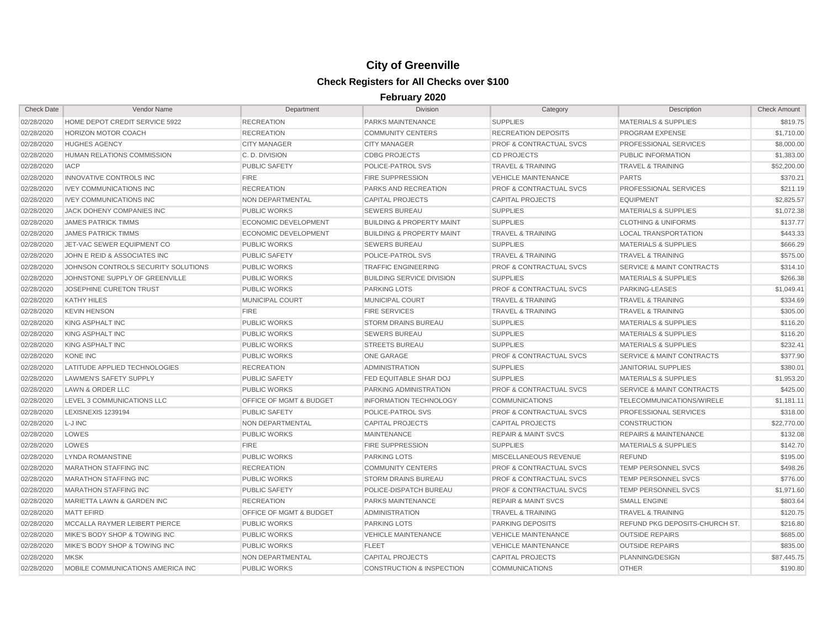| <b>Check Date</b> | Vendor Name                         | Department                         | <b>Division</b>                      | Category                           | Description                          | <b>Check Amount</b> |
|-------------------|-------------------------------------|------------------------------------|--------------------------------------|------------------------------------|--------------------------------------|---------------------|
| 02/28/2020        | HOME DEPOT CREDIT SERVICE 5922      | <b>RECREATION</b>                  | PARKS MAINTENANCE                    | <b>SUPPLIES</b>                    | <b>MATERIALS &amp; SUPPLIES</b>      | \$819.75            |
| 02/28/2020        | <b>HORIZON MOTOR COACH</b>          | <b>RECREATION</b>                  | <b>COMMUNITY CENTERS</b>             | <b>RECREATION DEPOSITS</b>         | PROGRAM EXPENSE                      | \$1,710.00          |
| 02/28/2020        | <b>HUGHES AGENCY</b>                | <b>CITY MANAGER</b>                | <b>CITY MANAGER</b>                  | <b>PROF &amp; CONTRACTUAL SVCS</b> | <b>PROFESSIONAL SERVICES</b>         | \$8,000.00          |
| 02/28/2020        | <b>HUMAN RELATIONS COMMISSION</b>   | C.D. DIVISION                      | <b>CDBG PROJECTS</b>                 | <b>CD PROJECTS</b>                 | PUBLIC INFORMATION                   | \$1,383.00          |
| 02/28/2020        | <b>IACP</b>                         | <b>PUBLIC SAFETY</b>               | POLICE-PATROL SVS                    | <b>TRAVEL &amp; TRAINING</b>       | <b>TRAVEL &amp; TRAINING</b>         | \$52,200.00         |
| 02/28/2020        | INNOVATIVE CONTROLS INC             | <b>FIRE</b>                        | <b>FIRE SUPPRESSION</b>              | <b>VEHICLE MAINTENANCE</b>         | <b>PARTS</b>                         | \$370.21            |
| 02/28/2020        | <b>IVEY COMMUNICATIONS INC</b>      | <b>RECREATION</b>                  | <b>PARKS AND RECREATION</b>          | <b>PROF &amp; CONTRACTUAL SVCS</b> | <b>PROFESSIONAL SERVICES</b>         | \$211.19            |
| 02/28/2020        | <b>IVEY COMMUNICATIONS INC</b>      | NON DEPARTMENTAL                   | <b>CAPITAL PROJECTS</b>              | <b>CAPITAL PROJECTS</b>            | <b>EQUIPMENT</b>                     | \$2,825.57          |
| 02/28/2020        | JACK DOHENY COMPANIES INC           | <b>PUBLIC WORKS</b>                | <b>SEWERS BUREAU</b>                 | <b>SUPPLIES</b>                    | <b>MATERIALS &amp; SUPPLIES</b>      | \$1,072.38          |
| 02/28/2020        | <b>JAMES PATRICK TIMMS</b>          | <b>ECONOMIC DEVELOPMENT</b>        | <b>BUILDING &amp; PROPERTY MAINT</b> | <b>SUPPLIES</b>                    | <b>CLOTHING &amp; UNIFORMS</b>       | \$137.77            |
| 02/28/2020        | <b>JAMES PATRICK TIMMS</b>          | <b>ECONOMIC DEVELOPMENT</b>        | <b>BUILDING &amp; PROPERTY MAINT</b> | <b>TRAVEL &amp; TRAINING</b>       | <b>LOCAL TRANSPORTATION</b>          | \$443.33            |
| 02/28/2020        | <b>JET-VAC SEWER EQUIPMENT CO</b>   | <b>PUBLIC WORKS</b>                | <b>SEWERS BUREAU</b>                 | <b>SUPPLIES</b>                    | <b>MATERIALS &amp; SUPPLIES</b>      | \$666.29            |
| 02/28/2020        | JOHN E REID & ASSOCIATES INC        | <b>PUBLIC SAFETY</b>               | POLICE-PATROL SVS                    | <b>TRAVEL &amp; TRAINING</b>       | <b>TRAVEL &amp; TRAINING</b>         | \$575.00            |
| 02/28/2020        | JOHNSON CONTROLS SECURITY SOLUTIONS | <b>PUBLIC WORKS</b>                | <b>TRAFFIC ENGINEERING</b>           | <b>PROF &amp; CONTRACTUAL SVCS</b> | <b>SERVICE &amp; MAINT CONTRACTS</b> | \$314.10            |
| 02/28/2020        | JOHNSTONE SUPPLY OF GREENVILLE      | <b>PUBLIC WORKS</b>                | <b>BUILDING SERVICE DIVISION</b>     | <b>SUPPLIES</b>                    | <b>MATERIALS &amp; SUPPLIES</b>      | \$266.38            |
| 02/28/2020        | JOSEPHINE CURETON TRUST             | <b>PUBLIC WORKS</b>                | <b>PARKING LOTS</b>                  | <b>PROF &amp; CONTRACTUAL SVCS</b> | PARKING-LEASES                       | \$1,049.41          |
| 02/28/2020        | <b>KATHY HILES</b>                  | <b>MUNICIPAL COURT</b>             | MUNICIPAL COURT                      | <b>TRAVEL &amp; TRAINING</b>       | <b>TRAVEL &amp; TRAINING</b>         | \$334.69            |
| 02/28/2020        | <b>KEVIN HENSON</b>                 | <b>FIRE</b>                        | <b>FIRE SERVICES</b>                 | <b>TRAVEL &amp; TRAINING</b>       | <b>TRAVEL &amp; TRAINING</b>         | \$305.00            |
| 02/28/2020        | KING ASPHALT INC                    | <b>PUBLIC WORKS</b>                | <b>STORM DRAINS BUREAU</b>           | <b>SUPPLIES</b>                    | <b>MATERIALS &amp; SUPPLIES</b>      | \$116.20            |
| 02/28/2020        | KING ASPHALT INC                    | <b>PUBLIC WORKS</b>                | <b>SEWERS BUREAU</b>                 | <b>SUPPLIES</b>                    | <b>MATERIALS &amp; SUPPLIES</b>      | \$116.20            |
| 02/28/2020        | KING ASPHALT INC                    | <b>PUBLIC WORKS</b>                | <b>STREETS BUREAU</b>                | <b>SUPPLIES</b>                    | <b>MATERIALS &amp; SUPPLIES</b>      | \$232.41            |
| 02/28/2020        | KONE INC                            | <b>PUBLIC WORKS</b>                | <b>ONE GARAGE</b>                    | <b>PROF &amp; CONTRACTUAL SVCS</b> | <b>SERVICE &amp; MAINT CONTRACTS</b> | \$377.90            |
| 02/28/2020        | LATITUDE APPLIED TECHNOLOGIES       | <b>RECREATION</b>                  | <b>ADMINISTRATION</b>                | <b>SUPPLIES</b>                    | <b>JANITORIAL SUPPLIES</b>           | \$380.01            |
| 02/28/2020        | LAWMEN'S SAFETY SUPPLY              | <b>PUBLIC SAFETY</b>               | FED EQUITABLE SHAR DOJ               | <b>SUPPLIES</b>                    | <b>MATERIALS &amp; SUPPLIES</b>      | \$1,953.20          |
| 02/28/2020        | <b>LAWN &amp; ORDER LLC</b>         | <b>PUBLIC WORKS</b>                | PARKING ADMINISTRATION               | <b>PROF &amp; CONTRACTUAL SVCS</b> | SERVICE & MAINT CONTRACTS            | \$425.00            |
| 02/28/2020        | LEVEL 3 COMMUNICATIONS LLC          | OFFICE OF MGMT & BUDGET            | <b>INFORMATION TECHNOLOGY</b>        | <b>COMMUNICATIONS</b>              | TELECOMMUNICATIONS/WIRELE            | \$1,181.11          |
| 02/28/2020        | LEXISNEXIS 1239194                  | <b>PUBLIC SAFETY</b>               | POLICE-PATROL SVS                    | PROF & CONTRACTUAL SVCS            | PROFESSIONAL SERVICES                | \$318.00            |
| 02/28/2020        | L-J INC                             | <b>NON DEPARTMENTAL</b>            | <b>CAPITAL PROJECTS</b>              | <b>CAPITAL PROJECTS</b>            | <b>CONSTRUCTION</b>                  | \$22,770.00         |
| 02/28/2020        | LOWES                               | <b>PUBLIC WORKS</b>                | <b>MAINTENANCE</b>                   | <b>REPAIR &amp; MAINT SVCS</b>     | <b>REPAIRS &amp; MAINTENANCE</b>     | \$132.08            |
| 02/28/2020        | LOWES                               | <b>FIRE</b>                        | <b>FIRE SUPPRESSION</b>              | <b>SUPPLIES</b>                    | <b>MATERIALS &amp; SUPPLIES</b>      | \$142.70            |
| 02/28/2020        | <b>LYNDA ROMANSTINE</b>             | <b>PUBLIC WORKS</b>                | <b>PARKING LOTS</b>                  | <b>MISCELLANEOUS REVENUE</b>       | <b>REFUND</b>                        | \$195.00            |
| 02/28/2020        | <b>MARATHON STAFFING INC</b>        | <b>RECREATION</b>                  | <b>COMMUNITY CENTERS</b>             | <b>PROF &amp; CONTRACTUAL SVCS</b> | TEMP PERSONNEL SVCS                  | \$498.26            |
| 02/28/2020        | <b>MARATHON STAFFING INC</b>        | <b>PUBLIC WORKS</b>                | <b>STORM DRAINS BUREAU</b>           | <b>PROF &amp; CONTRACTUAL SVCS</b> | TEMP PERSONNEL SVCS                  | \$776.00            |
| 02/28/2020        | <b>MARATHON STAFFING INC</b>        | <b>PUBLIC SAFETY</b>               | POLICE-DISPATCH BUREAU               | <b>PROF &amp; CONTRACTUAL SVCS</b> | TEMP PERSONNEL SVCS                  | \$1,971.60          |
| 02/28/2020        | MARIETTA LAWN & GARDEN INC          | <b>RECREATION</b>                  | <b>PARKS MAINTENANCE</b>             | <b>REPAIR &amp; MAINT SVCS</b>     | <b>SMALL ENGINE</b>                  | \$803.64            |
| 02/28/2020        | <b>MATT EFIRD</b>                   | <b>OFFICE OF MGMT &amp; BUDGET</b> | <b>ADMINISTRATION</b>                | <b>TRAVEL &amp; TRAINING</b>       | <b>TRAVEL &amp; TRAINING</b>         | \$120.75            |
| 02/28/2020        | MCCALLA RAYMER LEIBERT PIERCE       | <b>PUBLIC WORKS</b>                | <b>PARKING LOTS</b>                  | <b>PARKING DEPOSITS</b>            | REFUND PKG DEPOSITS-CHURCH ST.       | \$216.80            |
| 02/28/2020        | MIKE'S BODY SHOP & TOWING INC.      | <b>PUBLIC WORKS</b>                | <b>VEHICLE MAINTENANCE</b>           | <b>VEHICLE MAINTENANCE</b>         | <b>OUTSIDE REPAIRS</b>               | \$685.00            |
| 02/28/2020        | MIKE'S BODY SHOP & TOWING INC       | <b>PUBLIC WORKS</b>                | <b>FLEET</b>                         | <b>VEHICLE MAINTENANCE</b>         | <b>OUTSIDE REPAIRS</b>               | \$835.00            |
| 02/28/2020        | <b>MKSK</b>                         | NON DEPARTMENTAL                   | <b>CAPITAL PROJECTS</b>              | <b>CAPITAL PROJECTS</b>            | PLANNING/DESIGN                      | \$87,445.75         |
| 02/28/2020        | MOBILE COMMUNICATIONS AMERICA INC   | <b>PUBLIC WORKS</b>                | <b>CONSTRUCTION &amp; INSPECTION</b> | <b>COMMUNICATIONS</b>              | <b>OTHER</b>                         | \$190.80            |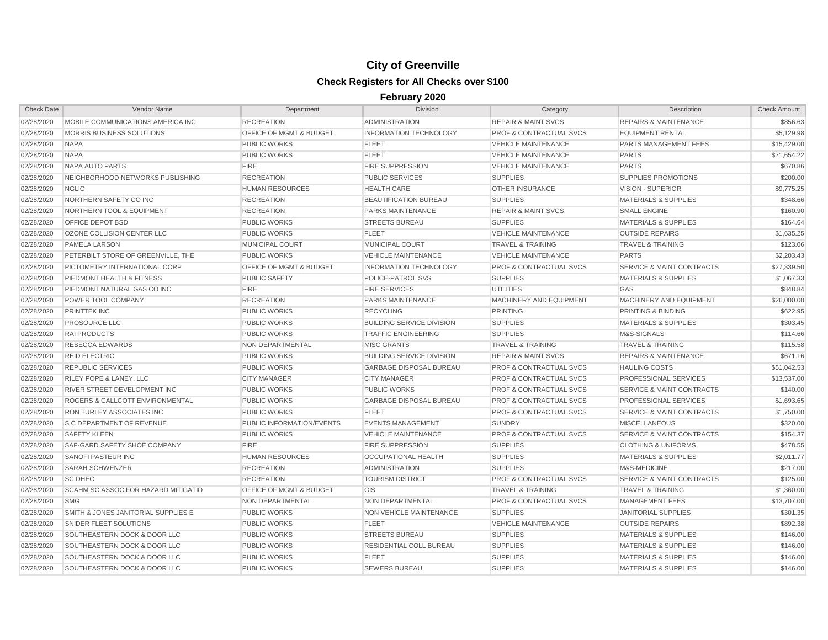| <b>Check Date</b> | Vendor Name                          | Department                         | Division                         | Category                           | Description                          | <b>Check Amount</b> |
|-------------------|--------------------------------------|------------------------------------|----------------------------------|------------------------------------|--------------------------------------|---------------------|
| 02/28/2020        | MOBILE COMMUNICATIONS AMERICA INC    | <b>RECREATION</b>                  | <b>ADMINISTRATION</b>            | <b>REPAIR &amp; MAINT SVCS</b>     | <b>REPAIRS &amp; MAINTENANCE</b>     | \$856.63            |
| 02/28/2020        | <b>MORRIS BUSINESS SOLUTIONS</b>     | <b>OFFICE OF MGMT &amp; BUDGET</b> | <b>INFORMATION TECHNOLOGY</b>    | <b>PROF &amp; CONTRACTUAL SVCS</b> | <b>EQUIPMENT RENTAL</b>              | \$5,129.98          |
| 02/28/2020        | <b>NAPA</b>                          | <b>PUBLIC WORKS</b>                | <b>FLEET</b>                     | <b>VEHICLE MAINTENANCE</b>         | <b>PARTS MANAGEMENT FEES</b>         | \$15,429.00         |
| 02/28/2020        | <b>NAPA</b>                          | <b>PUBLIC WORKS</b>                | <b>FLEET</b>                     | <b>VEHICLE MAINTENANCE</b>         | <b>PARTS</b>                         | \$71,654.22         |
| 02/28/2020        | NAPA AUTO PARTS                      | <b>FIRE</b>                        | <b>FIRE SUPPRESSION</b>          | <b>VEHICLE MAINTENANCE</b>         | <b>PARTS</b>                         | \$670.86            |
| 02/28/2020        | NEIGHBORHOOD NETWORKS PUBLISHING     | <b>RECREATION</b>                  | <b>PUBLIC SERVICES</b>           | <b>SUPPLIES</b>                    | SUPPLIES PROMOTIONS                  | \$200.00            |
| 02/28/2020        | <b>NGLIC</b>                         | <b>HUMAN RESOURCES</b>             | <b>HEALTH CARE</b>               | <b>OTHER INSURANCE</b>             | VISION - SUPERIOR                    | \$9,775.25          |
| 02/28/2020        | NORTHERN SAFETY CO INC               | <b>RECREATION</b>                  | <b>BEAUTIFICATION BUREAU</b>     | <b>SUPPLIES</b>                    | <b>MATERIALS &amp; SUPPLIES</b>      | \$348.66            |
| 02/28/2020        | <b>NORTHERN TOOL &amp; EQUIPMENT</b> | <b>RECREATION</b>                  | <b>PARKS MAINTENANCE</b>         | <b>REPAIR &amp; MAINT SVCS</b>     | <b>SMALL ENGINE</b>                  | \$160.90            |
| 02/28/2020        | OFFICE DEPOT BSD                     | <b>PUBLIC WORKS</b>                | <b>STREETS BUREAU</b>            | <b>SUPPLIES</b>                    | <b>MATERIALS &amp; SUPPLIES</b>      | \$164.64            |
| 02/28/2020        | OZONE COLLISION CENTER LLC           | <b>PUBLIC WORKS</b>                | <b>FLEET</b>                     | <b>VEHICLE MAINTENANCE</b>         | <b>OUTSIDE REPAIRS</b>               | \$1,635.25          |
| 02/28/2020        | <b>PAMELA LARSON</b>                 | <b>MUNICIPAL COURT</b>             | <b>MUNICIPAL COURT</b>           | <b>TRAVEL &amp; TRAINING</b>       | <b>TRAVEL &amp; TRAINING</b>         | \$123.06            |
| 02/28/2020        | PETERBILT STORE OF GREENVILLE, THE   | <b>PUBLIC WORKS</b>                | <b>VEHICLE MAINTENANCE</b>       | <b>VEHICLE MAINTENANCE</b>         | <b>PARTS</b>                         | \$2,203.43          |
| 02/28/2020        | PICTOMETRY INTERNATIONAL CORP        | OFFICE OF MGMT & BUDGET            | <b>INFORMATION TECHNOLOGY</b>    | <b>PROF &amp; CONTRACTUAL SVCS</b> | <b>SERVICE &amp; MAINT CONTRACTS</b> | \$27,339.50         |
| 02/28/2020        | PIEDMONT HEALTH & FITNESS            | <b>PUBLIC SAFETY</b>               | POLICE-PATROL SVS                | <b>SUPPLIES</b>                    | <b>MATERIALS &amp; SUPPLIES</b>      | \$1,067.33          |
| 02/28/2020        | PIEDMONT NATURAL GAS CO INC          | <b>FIRE</b>                        | <b>FIRE SERVICES</b>             | <b>UTILITIES</b>                   | GAS                                  | \$848.84            |
| 02/28/2020        | POWER TOOL COMPANY                   | <b>RECREATION</b>                  | <b>PARKS MAINTENANCE</b>         | MACHINERY AND EQUIPMENT            | MACHINERY AND EQUIPMENT              | \$26,000.00         |
| 02/28/2020        | <b>PRINTTEK INC</b>                  | <b>PUBLIC WORKS</b>                | <b>RECYCLING</b>                 | <b>PRINTING</b>                    | <b>PRINTING &amp; BINDING</b>        | \$622.95            |
| 02/28/2020        | PROSOURCE LLC                        | <b>PUBLIC WORKS</b>                | <b>BUILDING SERVICE DIVISION</b> | <b>SUPPLIES</b>                    | <b>MATERIALS &amp; SUPPLIES</b>      | \$303.45            |
| 02/28/2020        | <b>RAI PRODUCTS</b>                  | <b>PUBLIC WORKS</b>                | <b>TRAFFIC ENGINEERING</b>       | <b>SUPPLIES</b>                    | M&S-SIGNALS                          | \$114.66            |
| 02/28/2020        | <b>REBECCA EDWARDS</b>               | NON DEPARTMENTAL                   | <b>MISC GRANTS</b>               | <b>TRAVEL &amp; TRAINING</b>       | <b>TRAVEL &amp; TRAINING</b>         | \$115.58            |
| 02/28/2020        | <b>REID ELECTRIC</b>                 | <b>PUBLIC WORKS</b>                | <b>BUILDING SERVICE DIVISION</b> | <b>REPAIR &amp; MAINT SVCS</b>     | <b>REPAIRS &amp; MAINTENANCE</b>     | \$671.16            |
| 02/28/2020        | <b>REPUBLIC SERVICES</b>             | <b>PUBLIC WORKS</b>                | <b>GARBAGE DISPOSAL BUREAU</b>   | <b>PROF &amp; CONTRACTUAL SVCS</b> | <b>HAULING COSTS</b>                 | \$51,042.53         |
| 02/28/2020        | RILEY POPE & LANEY, LLC              | <b>CITY MANAGER</b>                | <b>CITY MANAGER</b>              | <b>PROF &amp; CONTRACTUAL SVCS</b> | <b>PROFESSIONAL SERVICES</b>         | \$13,537.00         |
| 02/28/2020        | RIVER STREET DEVELOPMENT INC         | <b>PUBLIC WORKS</b>                | <b>PUBLIC WORKS</b>              | <b>PROF &amp; CONTRACTUAL SVCS</b> | <b>SERVICE &amp; MAINT CONTRACTS</b> | \$140.00            |
| 02/28/2020        | ROGERS & CALLCOTT ENVIRONMENTAL      | <b>PUBLIC WORKS</b>                | <b>GARBAGE DISPOSAL BUREAU</b>   | <b>PROF &amp; CONTRACTUAL SVCS</b> | PROFESSIONAL SERVICES                | \$1.693.65          |
| 02/28/2020        | <b>RON TURLEY ASSOCIATES INC</b>     | <b>PUBLIC WORKS</b>                | <b>FLEET</b>                     | <b>PROF &amp; CONTRACTUAL SVCS</b> | <b>SERVICE &amp; MAINT CONTRACTS</b> | \$1,750.00          |
| 02/28/2020        | <b>S C DEPARTMENT OF REVENUE</b>     | PUBLIC INFORMATION/EVENTS          | <b>EVENTS MANAGEMENT</b>         | <b>SUNDRY</b>                      | <b>MISCELLANEOUS</b>                 | \$320.00            |
| 02/28/2020        | <b>SAFETY KLEEN</b>                  | <b>PUBLIC WORKS</b>                | <b>VEHICLE MAINTENANCE</b>       | <b>PROF &amp; CONTRACTUAL SVCS</b> | <b>SERVICE &amp; MAINT CONTRACTS</b> | \$154.37            |
| 02/28/2020        | SAF-GARD SAFETY SHOE COMPANY         | <b>FIRE</b>                        | <b>FIRE SUPPRESSION</b>          | <b>SUPPLIES</b>                    | <b>CLOTHING &amp; UNIFORMS</b>       | \$478.55            |
| 02/28/2020        | SANOFI PASTEUR INC                   | <b>HUMAN RESOURCES</b>             | <b>OCCUPATIONAL HEALTH</b>       | <b>SUPPLIES</b>                    | <b>MATERIALS &amp; SUPPLIES</b>      | \$2,011.77          |
| 02/28/2020        | <b>SARAH SCHWENZER</b>               | <b>RECREATION</b>                  | <b>ADMINISTRATION</b>            | <b>SUPPLIES</b>                    | M&S-MEDICINE                         | \$217.00            |
| 02/28/2020        | <b>SC DHEC</b>                       | <b>RECREATION</b>                  | <b>TOURISM DISTRICT</b>          | <b>PROF &amp; CONTRACTUAL SVCS</b> | <b>SERVICE &amp; MAINT CONTRACTS</b> | \$125.00            |
| 02/28/2020        | SCAHM SC ASSOC FOR HAZARD MITIGATIO  | <b>OFFICE OF MGMT &amp; BUDGET</b> | GIS                              | <b>TRAVEL &amp; TRAINING</b>       | <b>TRAVEL &amp; TRAINING</b>         | \$1,360.00          |
| 02/28/2020        | <b>SMG</b>                           | NON DEPARTMENTAL                   | NON DEPARTMENTAL                 | <b>PROF &amp; CONTRACTUAL SVCS</b> | MANAGEMENT FEES                      | \$13,707.00         |
| 02/28/2020        | SMITH & JONES JANITORIAL SUPPLIES E  | <b>PUBLIC WORKS</b>                | NON VEHICLE MAINTENANCE          | <b>SUPPLIES</b>                    | <b>JANITORIAL SUPPLIES</b>           | \$301.35            |
| 02/28/2020        | <b>SNIDER FLEET SOLUTIONS</b>        | <b>PUBLIC WORKS</b>                | <b>FLEET</b>                     | <b>VEHICLE MAINTENANCE</b>         | <b>OUTSIDE REPAIRS</b>               | \$892.38            |
| 02/28/2020        | SOUTHEASTERN DOCK & DOOR LLC         | <b>PUBLIC WORKS</b>                | <b>STREETS BUREAU</b>            | <b>SUPPLIES</b>                    | <b>MATERIALS &amp; SUPPLIES</b>      | \$146.00            |
| 02/28/2020        | SOUTHEASTERN DOCK & DOOR LLC         | <b>PUBLIC WORKS</b>                | <b>RESIDENTIAL COLL BUREAU</b>   | <b>SUPPLIES</b>                    | <b>MATERIALS &amp; SUPPLIES</b>      | \$146.00            |
| 02/28/2020        | SOUTHEASTERN DOCK & DOOR LLC         | <b>PUBLIC WORKS</b>                | <b>FLEET</b>                     | <b>SUPPLIES</b>                    | <b>MATERIALS &amp; SUPPLIES</b>      | \$146.00            |
| 02/28/2020        | SOUTHEASTERN DOCK & DOOR LLC         | <b>PUBLIC WORKS</b>                | <b>SEWERS BUREAU</b>             | <b>SUPPLIES</b>                    | <b>MATERIALS &amp; SUPPLIES</b>      | \$146.00            |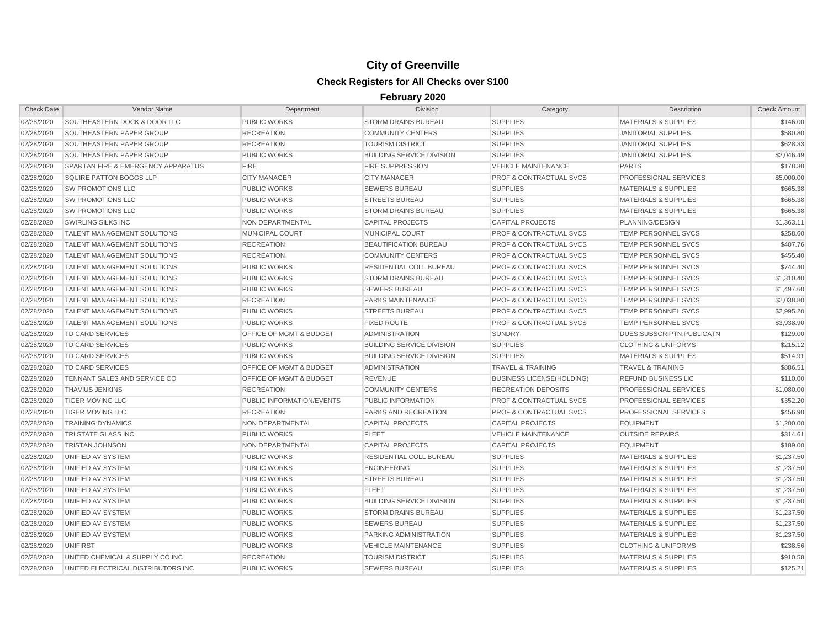| <b>Check Date</b> | Vendor Name                                   | Department                         | <b>Division</b>                  | Category                           | Description                     | <b>Check Amount</b> |
|-------------------|-----------------------------------------------|------------------------------------|----------------------------------|------------------------------------|---------------------------------|---------------------|
| 02/28/2020        | SOUTHEASTERN DOCK & DOOR LLC                  | <b>PUBLIC WORKS</b>                | <b>STORM DRAINS BUREAU</b>       | <b>SUPPLIES</b>                    | <b>MATERIALS &amp; SUPPLIES</b> | \$146.00            |
| 02/28/2020        | SOUTHEASTERN PAPER GROUP                      | <b>RECREATION</b>                  | <b>COMMUNITY CENTERS</b>         | <b>SUPPLIES</b>                    | <b>JANITORIAL SUPPLIES</b>      | \$580.80            |
| 02/28/2020        | SOUTHEASTERN PAPER GROUP                      | <b>RECREATION</b>                  | <b>TOURISM DISTRICT</b>          | <b>SUPPLIES</b>                    | <b>JANITORIAL SUPPLIES</b>      | \$628.33            |
| 02/28/2020        | SOUTHEASTERN PAPER GROUP                      | <b>PUBLIC WORKS</b>                | <b>BUILDING SERVICE DIVISION</b> | <b>SUPPLIES</b>                    | <b>JANITORIAL SUPPLIES</b>      | \$2,046.49          |
| 02/28/2020        | <b>SPARTAN FIRE &amp; EMERGENCY APPARATUS</b> | <b>FIRE</b>                        | <b>FIRE SUPPRESSION</b>          | <b>VEHICLE MAINTENANCE</b>         | <b>PARTS</b>                    | \$178.30            |
| 02/28/2020        | SQUIRE PATTON BOGGS LLP                       | <b>CITY MANAGER</b>                | <b>CITY MANAGER</b>              | <b>PROF &amp; CONTRACTUAL SVCS</b> | PROFESSIONAL SERVICES           | \$5,000.00          |
| 02/28/2020        | <b>SW PROMOTIONS LLC</b>                      | <b>PUBLIC WORKS</b>                | <b>SEWERS BUREAU</b>             | <b>SUPPLIES</b>                    | <b>MATERIALS &amp; SUPPLIES</b> | \$665.38            |
| 02/28/2020        | <b>SW PROMOTIONS LLC</b>                      | <b>PUBLIC WORKS</b>                | <b>STREETS BUREAU</b>            | <b>SUPPLIES</b>                    | <b>MATERIALS &amp; SUPPLIES</b> | \$665.38            |
| 02/28/2020        | <b>SW PROMOTIONS LLC</b>                      | <b>PUBLIC WORKS</b>                | <b>STORM DRAINS BUREAU</b>       | <b>SUPPLIES</b>                    | <b>MATERIALS &amp; SUPPLIES</b> | \$665.38            |
| 02/28/2020        | <b>SWIRLING SILKS INC</b>                     | NON DEPARTMENTAL                   | <b>CAPITAL PROJECTS</b>          | <b>CAPITAL PROJECTS</b>            | PLANNING/DESIGN                 | \$1,363.11          |
| 02/28/2020        | <b>TALENT MANAGEMENT SOLUTIONS</b>            | <b>MUNICIPAL COURT</b>             | <b>MUNICIPAL COURT</b>           | <b>PROF &amp; CONTRACTUAL SVCS</b> | <b>TEMP PERSONNEL SVCS</b>      | \$258.60            |
| 02/28/2020        | <b>TALENT MANAGEMENT SOLUTIONS</b>            | <b>RECREATION</b>                  | <b>BEAUTIFICATION BUREAU</b>     | <b>PROF &amp; CONTRACTUAL SVCS</b> | <b>TEMP PERSONNEL SVCS</b>      | \$407.76            |
| 02/28/2020        | <b>TALENT MANAGEMENT SOLUTIONS</b>            | <b>RECREATION</b>                  | <b>COMMUNITY CENTERS</b>         | <b>PROF &amp; CONTRACTUAL SVCS</b> | <b>TEMP PERSONNEL SVCS</b>      | \$455.40            |
| 02/28/2020        | <b>TALENT MANAGEMENT SOLUTIONS</b>            | <b>PUBLIC WORKS</b>                | RESIDENTIAL COLL BUREAU          | <b>PROF &amp; CONTRACTUAL SVCS</b> | TEMP PERSONNEL SVCS             | \$744.40            |
| 02/28/2020        | <b>TALENT MANAGEMENT SOLUTIONS</b>            | <b>PUBLIC WORKS</b>                | <b>STORM DRAINS BUREAU</b>       | <b>PROF &amp; CONTRACTUAL SVCS</b> | TEMP PERSONNEL SVCS             | \$1,310.40          |
| 02/28/2020        | <b>TALENT MANAGEMENT SOLUTIONS</b>            | <b>PUBLIC WORKS</b>                | <b>SEWERS BUREAU</b>             | <b>PROF &amp; CONTRACTUAL SVCS</b> | TEMP PERSONNEL SVCS             | \$1,497.60          |
| 02/28/2020        | <b>TALENT MANAGEMENT SOLUTIONS</b>            | <b>RECREATION</b>                  | PARKS MAINTENANCE                | <b>PROF &amp; CONTRACTUAL SVCS</b> | TEMP PERSONNEL SVCS             | \$2,038.80          |
| 02/28/2020        | <b>TALENT MANAGEMENT SOLUTIONS</b>            | <b>PUBLIC WORKS</b>                | <b>STREETS BUREAU</b>            | <b>PROF &amp; CONTRACTUAL SVCS</b> | TEMP PERSONNEL SVCS             | \$2,995.20          |
| 02/28/2020        | <b>TALENT MANAGEMENT SOLUTIONS</b>            | <b>PUBLIC WORKS</b>                | <b>FIXED ROUTE</b>               | <b>PROF &amp; CONTRACTUAL SVCS</b> | <b>TEMP PERSONNEL SVCS</b>      | \$3,938.90          |
| 02/28/2020        | <b>TD CARD SERVICES</b>                       | <b>OFFICE OF MGMT &amp; BUDGET</b> | <b>ADMINISTRATION</b>            | <b>SUNDRY</b>                      | DUES.SUBSCRIPTN.PUBLICATN       | \$129.00            |
| 02/28/2020        | TD CARD SERVICES                              | <b>PUBLIC WORKS</b>                | <b>BUILDING SERVICE DIVISION</b> | <b>SUPPLIES</b>                    | <b>CLOTHING &amp; UNIFORMS</b>  | \$215.12            |
| 02/28/2020        | TD CARD SERVICES                              | <b>PUBLIC WORKS</b>                | <b>BUILDING SERVICE DIVISION</b> | <b>SUPPLIES</b>                    | <b>MATERIALS &amp; SUPPLIES</b> | \$514.91            |
| 02/28/2020        | TD CARD SERVICES                              | OFFICE OF MGMT & BUDGET            | <b>ADMINISTRATION</b>            | <b>TRAVEL &amp; TRAINING</b>       | <b>TRAVEL &amp; TRAINING</b>    | \$886.51            |
| 02/28/2020        | TENNANT SALES AND SERVICE CO                  | OFFICE OF MGMT & BUDGET            | <b>REVENUE</b>                   | <b>BUSINESS LICENSE(HOLDING)</b>   | <b>REFUND BUSINESS LIC</b>      | \$110.00            |
| 02/28/2020        | <b>THAVIUS JENKINS</b>                        | <b>RECREATION</b>                  | <b>COMMUNITY CENTERS</b>         | <b>RECREATION DEPOSITS</b>         | PROFESSIONAL SERVICES           | \$1,080.00          |
| 02/28/2020        | <b>TIGER MOVING LLC</b>                       | PUBLIC INFORMATION/EVENTS          | PUBLIC INFORMATION               | <b>PROF &amp; CONTRACTUAL SVCS</b> | PROFESSIONAL SERVICES           | \$352.20            |
| 02/28/2020        | <b>TIGER MOVING LLC</b>                       | <b>RECREATION</b>                  | PARKS AND RECREATION             | <b>PROF &amp; CONTRACTUAL SVCS</b> | PROFESSIONAL SERVICES           | \$456.90            |
| 02/28/2020        | <b>TRAINING DYNAMICS</b>                      | NON DEPARTMENTAL                   | <b>CAPITAL PROJECTS</b>          | <b>CAPITAL PROJECTS</b>            | <b>EQUIPMENT</b>                | \$1,200.00          |
| 02/28/2020        | TRI STATE GLASS INC                           | <b>PUBLIC WORKS</b>                | <b>FLEET</b>                     | <b>VEHICLE MAINTENANCE</b>         | <b>OUTSIDE REPAIRS</b>          | \$314.61            |
| 02/28/2020        | <b>TRISTAN JOHNSON</b>                        | NON DEPARTMENTAL                   | <b>CAPITAL PROJECTS</b>          | <b>CAPITAL PROJECTS</b>            | <b>EQUIPMENT</b>                | \$189.00            |
| 02/28/2020        | UNIFIED AV SYSTEM                             | <b>PUBLIC WORKS</b>                | <b>RESIDENTIAL COLL BUREAU</b>   | <b>SUPPLIES</b>                    | <b>MATERIALS &amp; SUPPLIES</b> | \$1,237.50          |
| 02/28/2020        | UNIFIED AV SYSTEM                             | <b>PUBLIC WORKS</b>                | <b>ENGINEERING</b>               | <b>SUPPLIES</b>                    | <b>MATERIALS &amp; SUPPLIES</b> | \$1,237.50          |
| 02/28/2020        | UNIFIED AV SYSTEM                             | <b>PUBLIC WORKS</b>                | <b>STREETS BUREAU</b>            | <b>SUPPLIES</b>                    | <b>MATERIALS &amp; SUPPLIES</b> | \$1,237.50          |
| 02/28/2020        | UNIFIED AV SYSTEM                             | <b>PUBLIC WORKS</b>                | <b>FLEET</b>                     | <b>SUPPLIES</b>                    | <b>MATERIALS &amp; SUPPLIES</b> | \$1,237.50          |
| 02/28/2020        | UNIFIED AV SYSTEM                             | <b>PUBLIC WORKS</b>                | <b>BUILDING SERVICE DIVISION</b> | <b>SUPPLIES</b>                    | <b>MATERIALS &amp; SUPPLIES</b> | \$1,237.50          |
| 02/28/2020        | UNIFIED AV SYSTEM                             | <b>PUBLIC WORKS</b>                | <b>STORM DRAINS BUREAU</b>       | <b>SUPPLIES</b>                    | <b>MATERIALS &amp; SUPPLIES</b> | \$1,237.50          |
| 02/28/2020        | UNIFIED AV SYSTEM                             | <b>PUBLIC WORKS</b>                | <b>SEWERS BUREAU</b>             | <b>SUPPLIES</b>                    | <b>MATERIALS &amp; SUPPLIES</b> | \$1,237.50          |
| 02/28/2020        | UNIFIED AV SYSTEM                             | <b>PUBLIC WORKS</b>                | PARKING ADMINISTRATION           | <b>SUPPLIES</b>                    | <b>MATERIALS &amp; SUPPLIES</b> | \$1,237.50          |
| 02/28/2020        | <b>UNIFIRST</b>                               | <b>PUBLIC WORKS</b>                | <b>VEHICLE MAINTENANCE</b>       | <b>SUPPLIES</b>                    | <b>CLOTHING &amp; UNIFORMS</b>  | \$238.56            |
| 02/28/2020        | UNITED CHEMICAL & SUPPLY CO INC               | <b>RECREATION</b>                  | <b>TOURISM DISTRICT</b>          | <b>SUPPLIES</b>                    | <b>MATERIALS &amp; SUPPLIES</b> | \$910.58            |
| 02/28/2020        | UNITED ELECTRICAL DISTRIBUTORS INC            | <b>PUBLIC WORKS</b>                | <b>SEWERS BUREAU</b>             | <b>SUPPLIES</b>                    | <b>MATERIALS &amp; SUPPLIES</b> | \$125.21            |